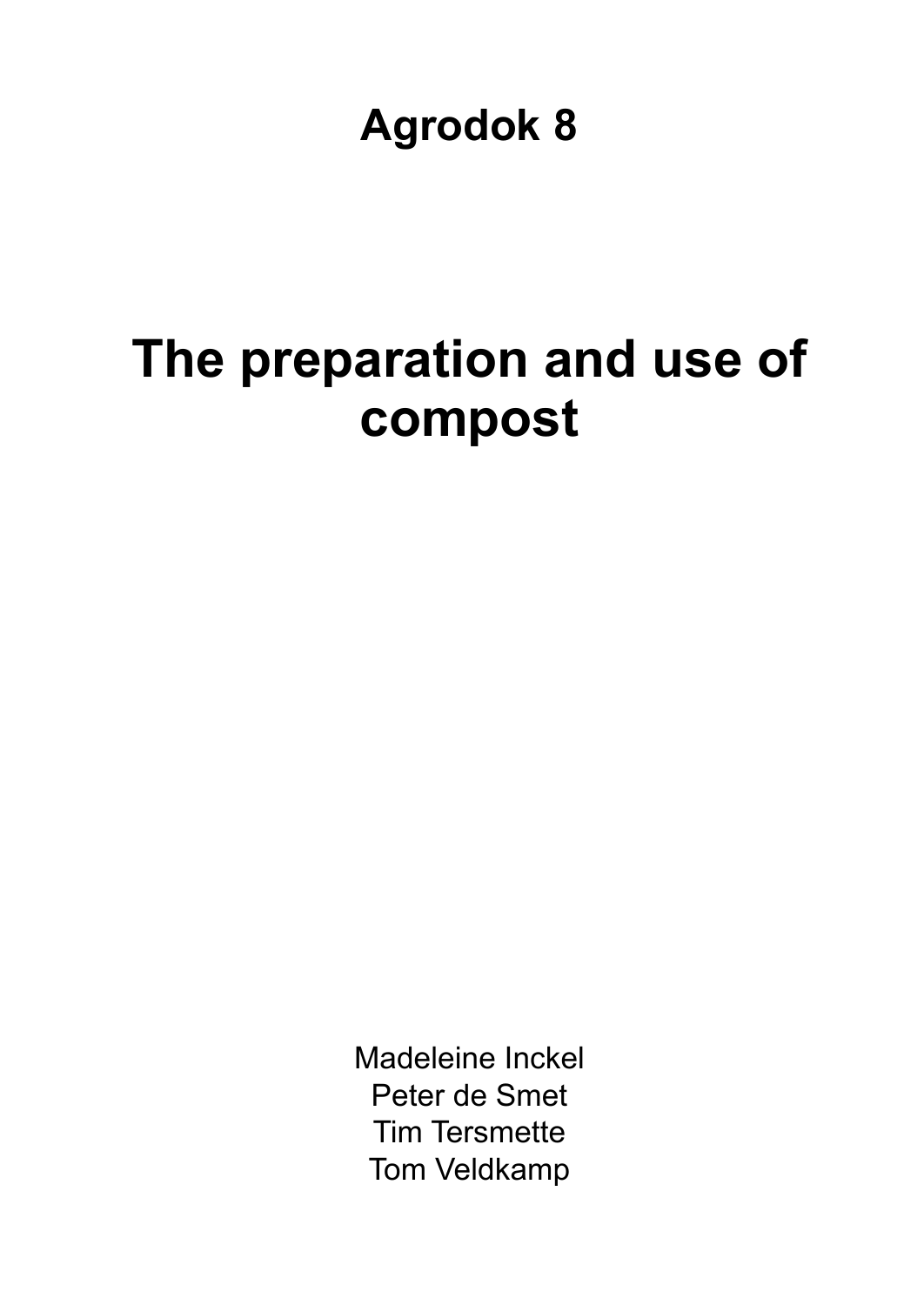**Agrodok 8** 

# **The preparation and use of compost**

Madeleine Inckel Peter de Smet Tim Tersmette Tom Veldkamp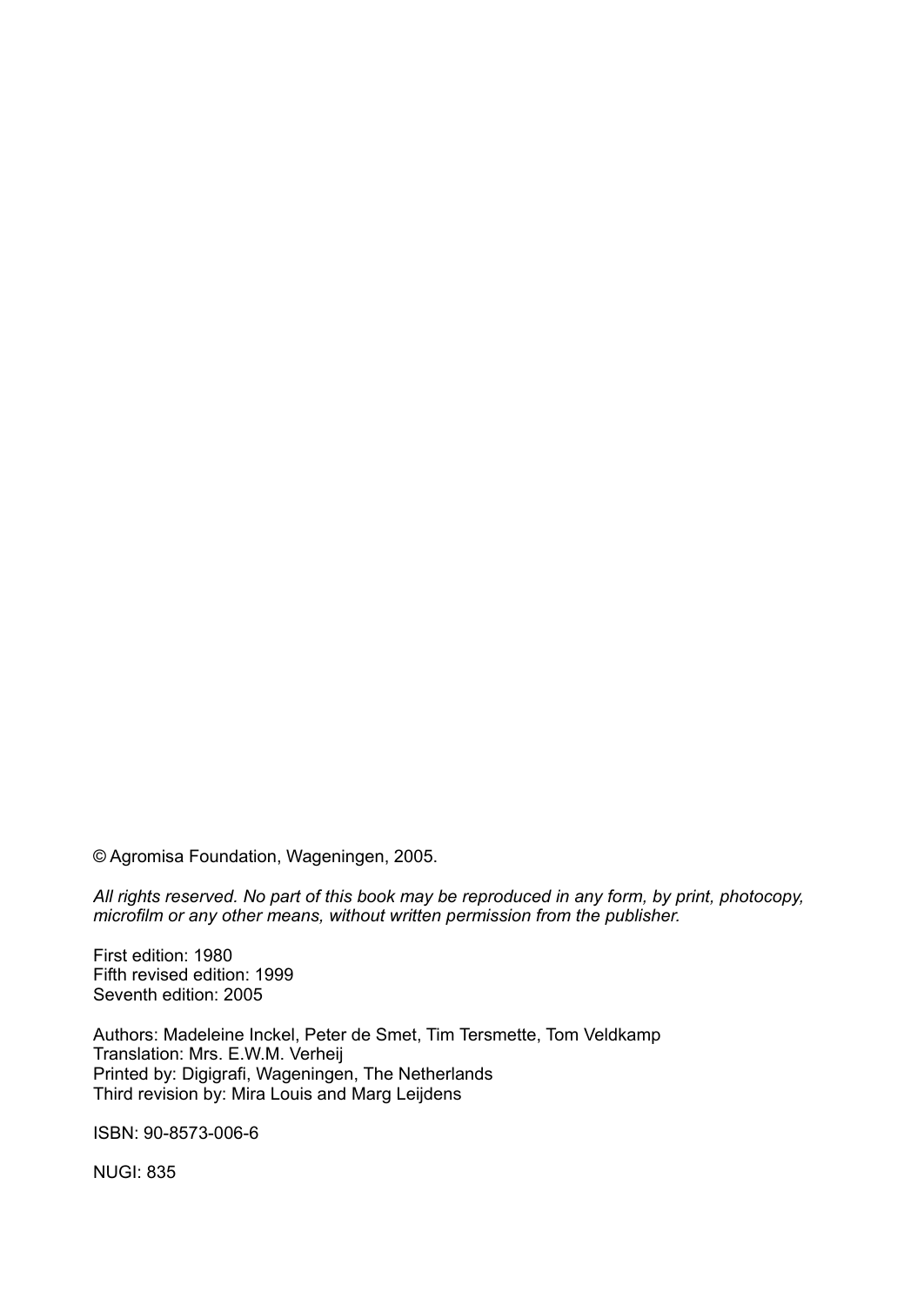© Agromisa Foundation, Wageningen, 2005.

*All rights reserved. No part of this book may be reproduced in any form, by print, photocopy, microfilm or any other means, without written permission from the publisher.* 

First edition: 1980 Fifth revised edition: 1999 Seventh edition: 2005

Authors: Madeleine Inckel, Peter de Smet, Tim Tersmette, Tom Veldkamp Translation: Mrs. E.W.M. Verheij Printed by: Digigrafi, Wageningen, The Netherlands Third revision by: Mira Louis and Marg Leijdens

ISBN: 90-8573-006-6

NUGI: 835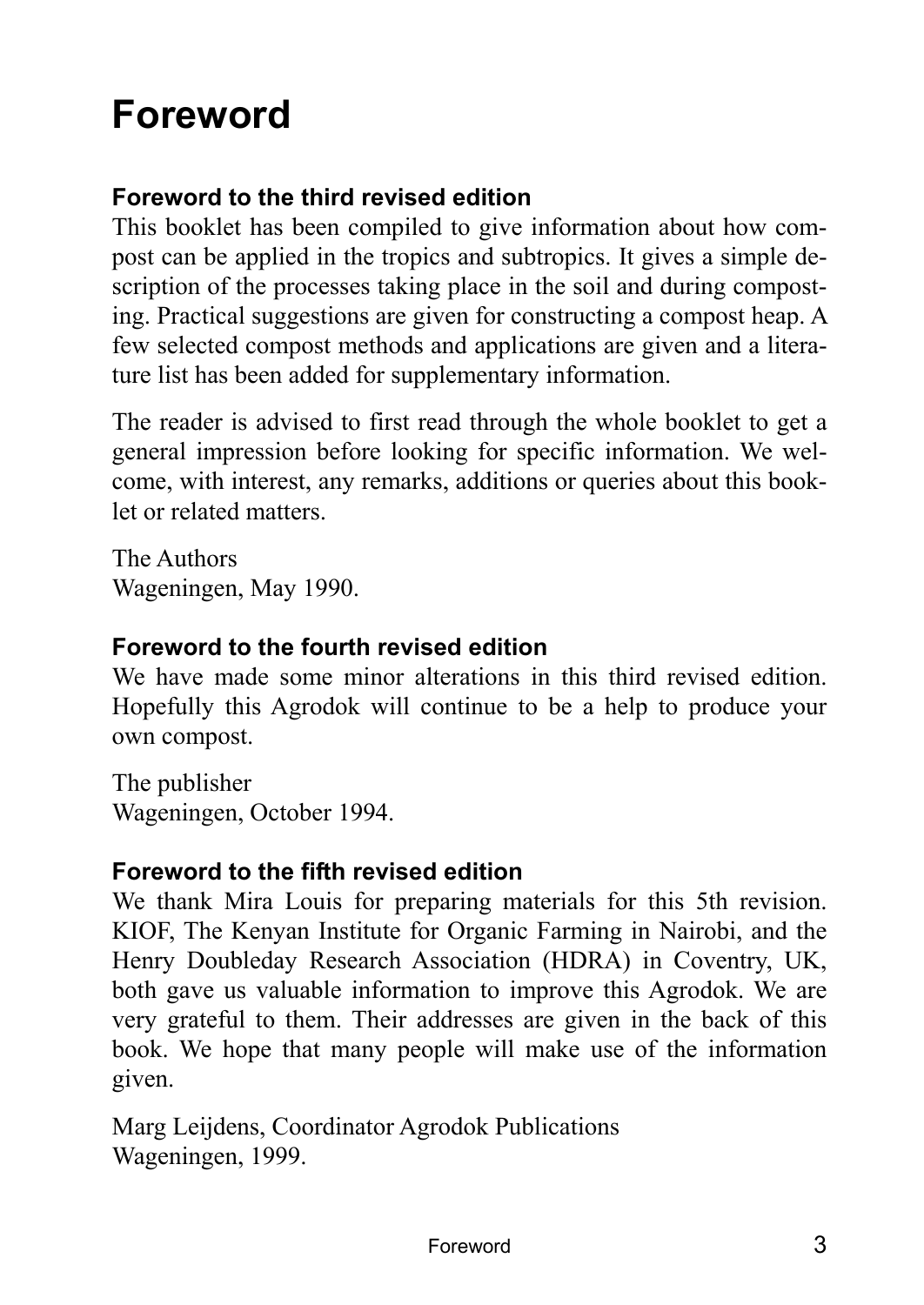# **Foreword**

## **Foreword to the third revised edition**

This booklet has been compiled to give information about how compost can be applied in the tropics and subtropics. It gives a simple description of the processes taking place in the soil and during composting. Practical suggestions are given for constructing a compost heap. A few selected compost methods and applications are given and a literature list has been added for supplementary information.

The reader is advised to first read through the whole booklet to get a general impression before looking for specific information. We welcome, with interest, any remarks, additions or queries about this booklet or related matters.

The Authors Wageningen, May 1990.

#### **Foreword to the fourth revised edition**

We have made some minor alterations in this third revised edition. Hopefully this Agrodok will continue to be a help to produce your own compost.

The publisher Wageningen, October 1994.

#### **Foreword to the fifth revised edition**

We thank Mira Louis for preparing materials for this 5th revision. KIOF, The Kenyan Institute for Organic Farming in Nairobi, and the Henry Doubleday Research Association (HDRA) in Coventry, UK, both gave us valuable information to improve this Agrodok. We are very grateful to them. Their addresses are given in the back of this book. We hope that many people will make use of the information given.

Marg Leijdens, Coordinator Agrodok Publications Wageningen, 1999.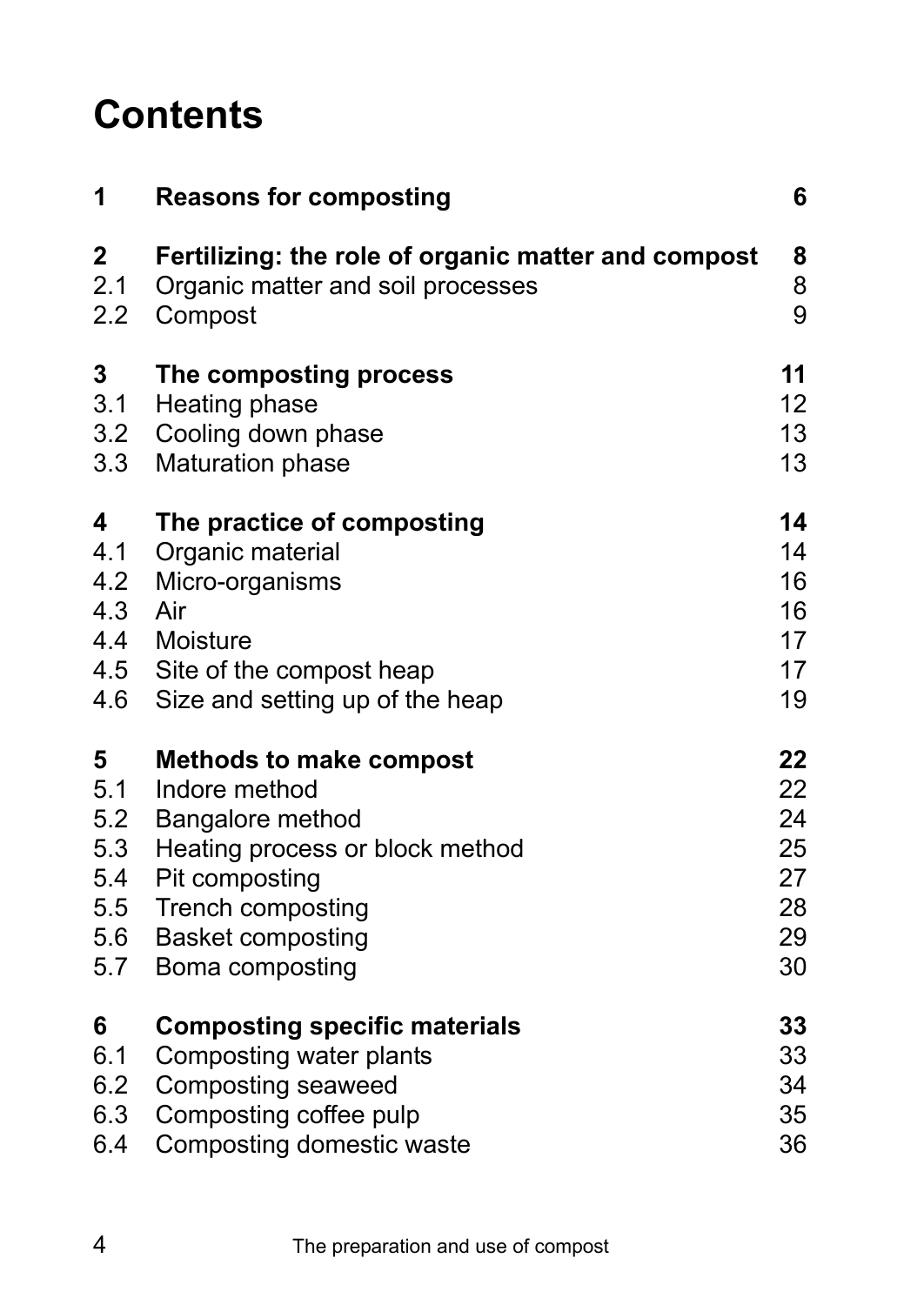# **Contents**

| 1                                    | <b>Reasons for composting</b>                                                                                                                           | 6                                      |
|--------------------------------------|---------------------------------------------------------------------------------------------------------------------------------------------------------|----------------------------------------|
| $\overline{\mathbf{2}}$              | Fertilizing: the role of organic matter and compost                                                                                                     | 8                                      |
| 2.1                                  | Organic matter and soil processes                                                                                                                       | 8                                      |
| 2.2                                  | Compost                                                                                                                                                 | 9                                      |
| 3                                    | The composting process                                                                                                                                  | 11                                     |
| 3.1                                  | Heating phase                                                                                                                                           | 12                                     |
| 3.2                                  | Cooling down phase                                                                                                                                      | 13                                     |
| 3.3                                  | <b>Maturation phase</b>                                                                                                                                 | 13                                     |
| 4<br>4.1<br>4.2<br>4.3<br>4.4<br>4.6 | The practice of composting<br>Organic material<br>Micro-organisms<br>Air<br>Moisture<br>4.5 Site of the compost heap<br>Size and setting up of the heap | 14<br>14<br>16<br>16<br>17<br>17<br>19 |
| 5                                    | <b>Methods to make compost</b>                                                                                                                          | 22                                     |
| 5.1                                  | Indore method                                                                                                                                           | 22                                     |
| 5.2                                  | Bangalore method                                                                                                                                        | 24                                     |
| 5.3                                  | Heating process or block method                                                                                                                         | 25                                     |
| 5.4                                  | Pit composting                                                                                                                                          | 27                                     |
| 5.5                                  | Trench composting                                                                                                                                       | 28                                     |
| 5.6                                  | <b>Basket composting</b>                                                                                                                                | 29                                     |
| 5.7                                  | Boma composting                                                                                                                                         | 30                                     |
| 6                                    | <b>Composting specific materials</b>                                                                                                                    | 33                                     |
| 6.1                                  | Composting water plants                                                                                                                                 | 33                                     |
| 6.2                                  | Composting seaweed                                                                                                                                      | 34                                     |
| 6.3                                  | Composting coffee pulp                                                                                                                                  | 35                                     |
| 6.4                                  | Composting domestic waste                                                                                                                               | 36                                     |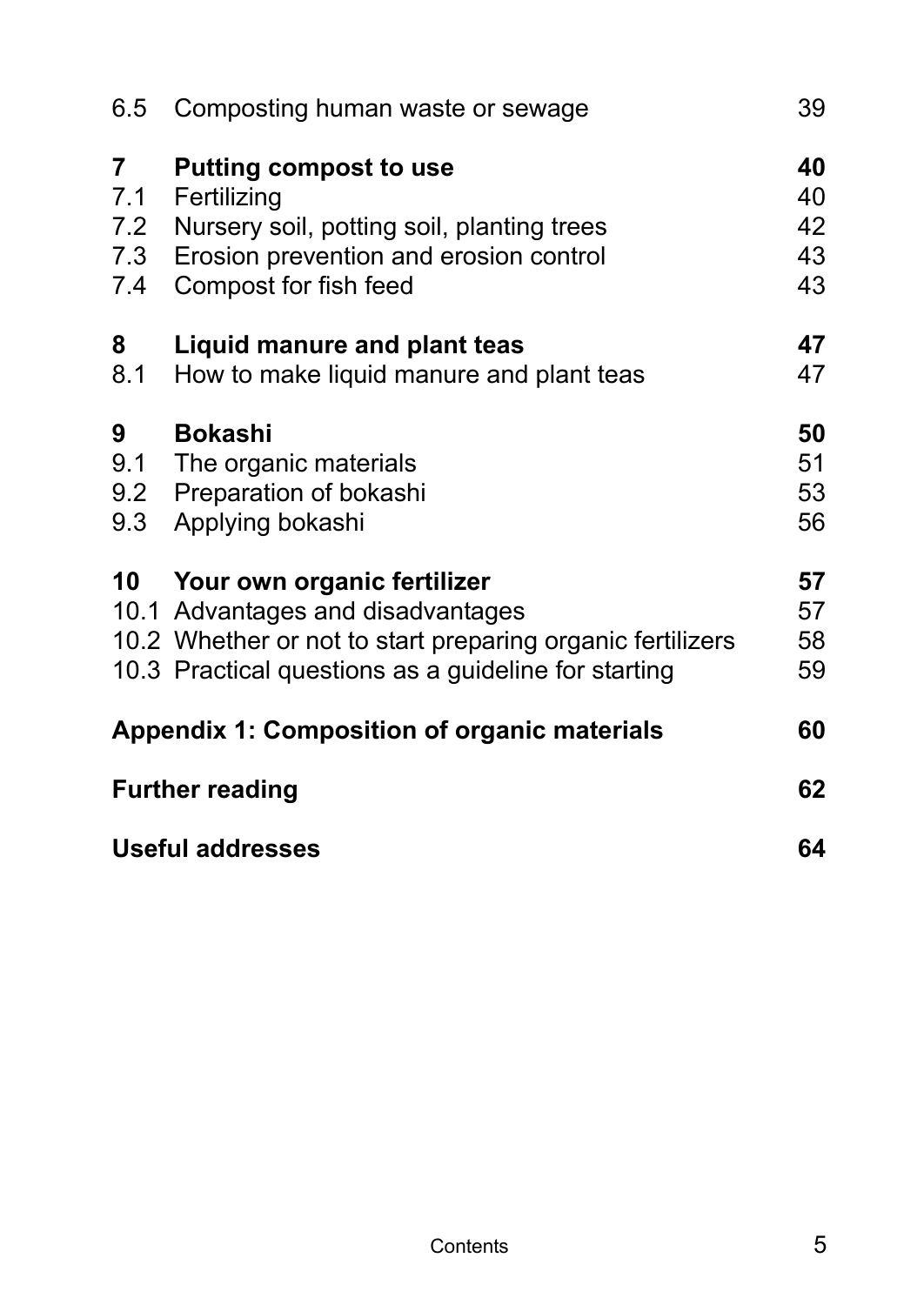| 6.5                           | Composting human waste or sewage                                                                                                                                                          | 39                         |
|-------------------------------|-------------------------------------------------------------------------------------------------------------------------------------------------------------------------------------------|----------------------------|
| 7<br>7.1<br>7.2<br>7.3<br>7.4 | <b>Putting compost to use</b><br>Fertilizing<br>Nursery soil, potting soil, planting trees<br>Erosion prevention and erosion control<br>Compost for fish feed                             | 40<br>40<br>42<br>43<br>43 |
| 8<br>8.1                      | Liquid manure and plant teas<br>How to make liquid manure and plant teas                                                                                                                  | 47<br>47                   |
| 9<br>9.1<br>9.2<br>9.3        | <b>Bokashi</b><br>The organic materials<br>Preparation of bokashi<br>Applying bokashi                                                                                                     | 50<br>51<br>53<br>56       |
|                               | 10 Your own organic fertilizer<br>10.1 Advantages and disadvantages<br>10.2 Whether or not to start preparing organic fertilizers<br>10.3 Practical questions as a guideline for starting | 57<br>57<br>58<br>59       |
|                               | <b>Appendix 1: Composition of organic materials</b>                                                                                                                                       | 60                         |
|                               | <b>Further reading</b>                                                                                                                                                                    | 62                         |
| <b>Useful addresses</b>       |                                                                                                                                                                                           |                            |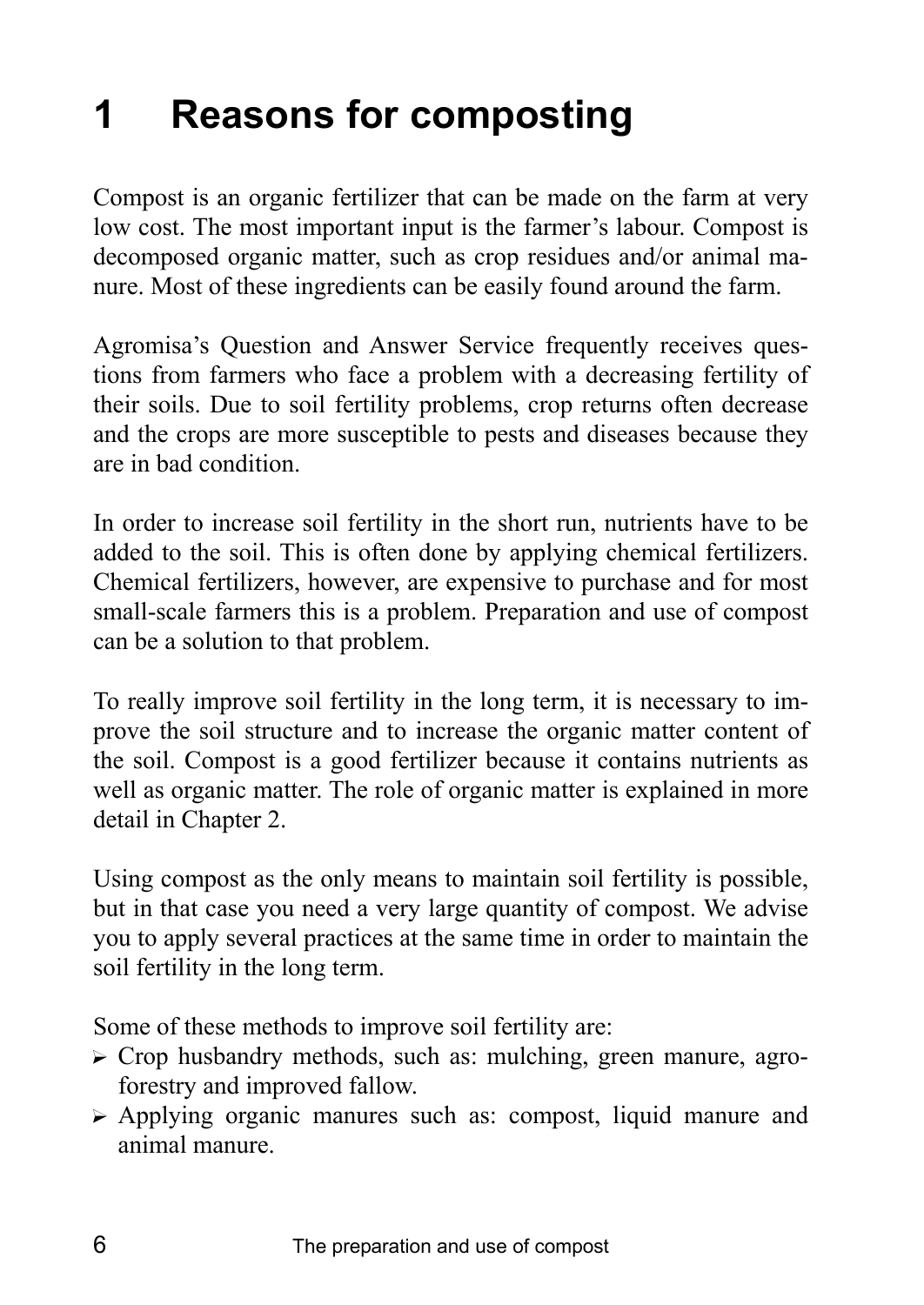# **1 Reasons for composting**

Compost is an organic fertilizer that can be made on the farm at very low cost. The most important input is the farmer's labour. Compost is decomposed organic matter, such as crop residues and/or animal manure. Most of these ingredients can be easily found around the farm.

Agromisa's Question and Answer Service frequently receives questions from farmers who face a problem with a decreasing fertility of their soils. Due to soil fertility problems, crop returns often decrease and the crops are more susceptible to pests and diseases because they are in bad condition.

In order to increase soil fertility in the short run, nutrients have to be added to the soil. This is often done by applying chemical fertilizers. Chemical fertilizers, however, are expensive to purchase and for most small-scale farmers this is a problem. Preparation and use of compost can be a solution to that problem.

To really improve soil fertility in the long term, it is necessary to improve the soil structure and to increase the organic matter content of the soil. Compost is a good fertilizer because it contains nutrients as well as organic matter. The role of organic matter is explained in more detail in Chapter 2.

Using compost as the only means to maintain soil fertility is possible, but in that case you need a very large quantity of compost. We advise you to apply several practices at the same time in order to maintain the soil fertility in the long term.

Some of these methods to improve soil fertility are:

- $\triangleright$  Crop husbandry methods, such as: mulching, green manure, agroforestry and improved fallow.
- ? Applying organic manures such as: compost, liquid manure and animal manure.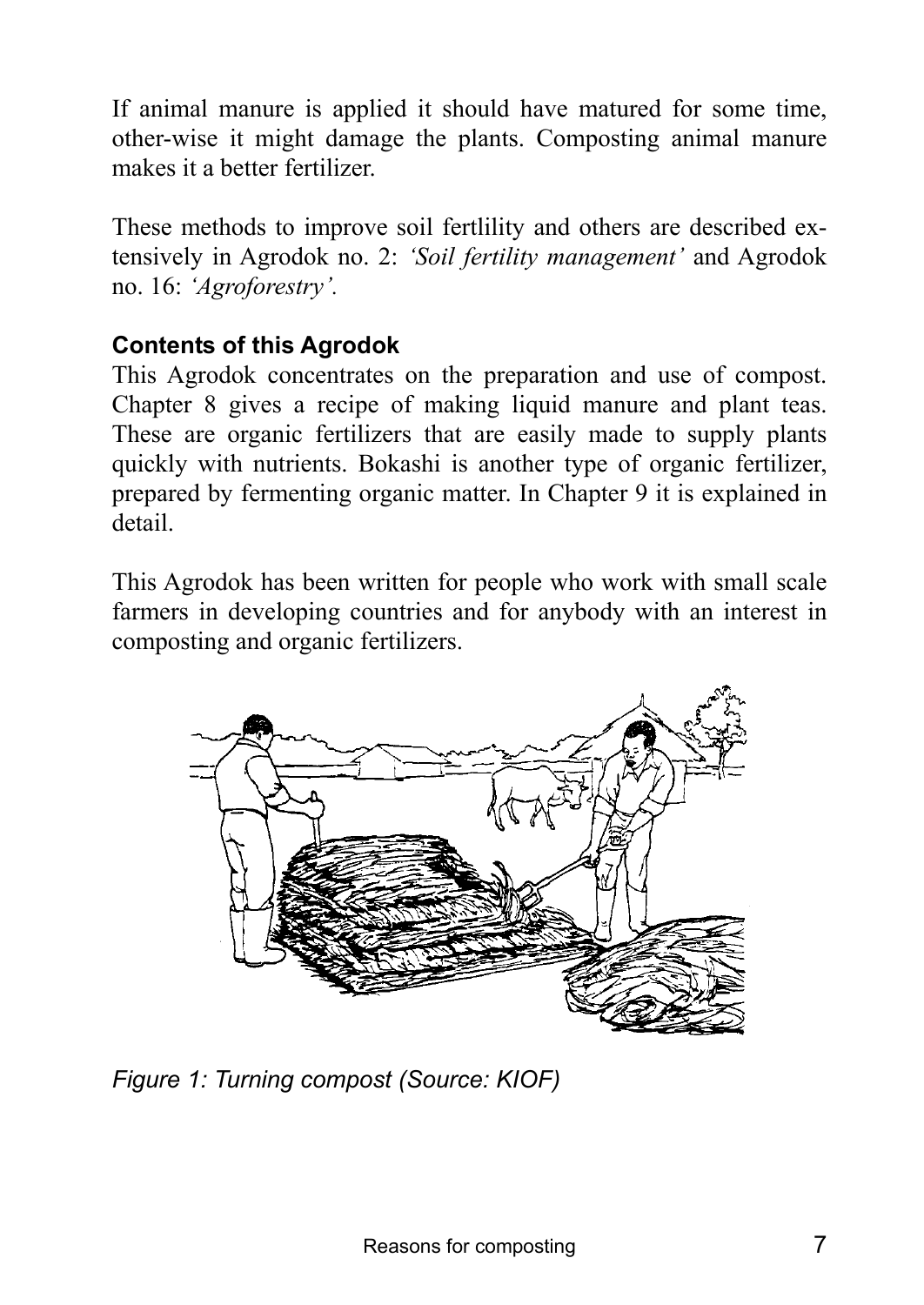If animal manure is applied it should have matured for some time, other-wise it might damage the plants. Composting animal manure makes it a better fertilizer.

These methods to improve soil fertlility and others are described extensively in Agrodok no. 2: *'Soil fertility management'* and Agrodok no. 16: *ëAgroforestryí.*

### **Contents of this Agrodok**

This Agrodok concentrates on the preparation and use of compost. Chapter 8 gives a recipe of making liquid manure and plant teas. These are organic fertilizers that are easily made to supply plants quickly with nutrients. Bokashi is another type of organic fertilizer, prepared by fermenting organic matter. In Chapter 9 it is explained in detail.

This Agrodok has been written for people who work with small scale farmers in developing countries and for anybody with an interest in composting and organic fertilizers.



*Figure 1: Turning compost (Source: KIOF)*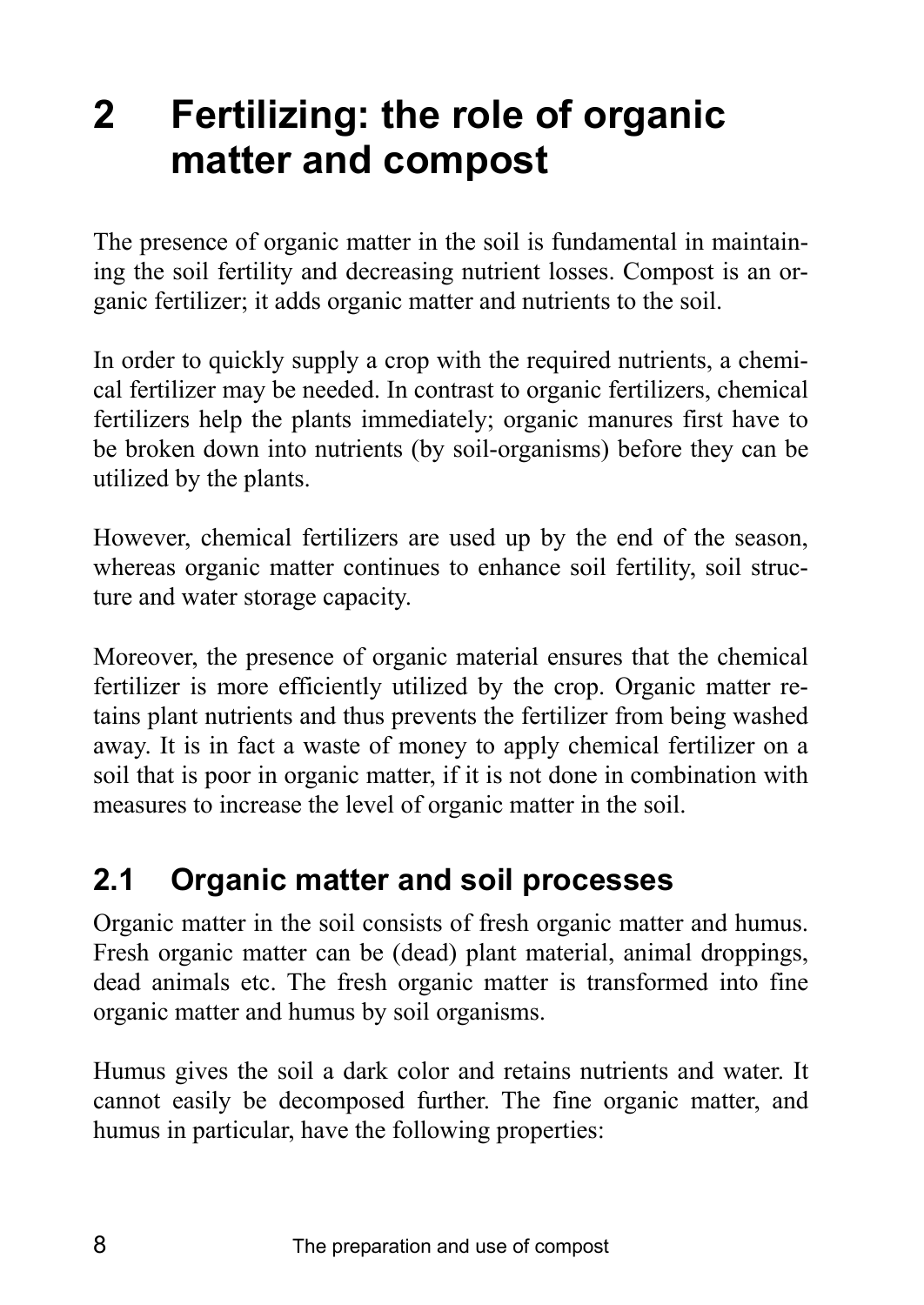# **2 Fertilizing: the role of organic matter and compost**

The presence of organic matter in the soil is fundamental in maintaining the soil fertility and decreasing nutrient losses. Compost is an organic fertilizer; it adds organic matter and nutrients to the soil.

In order to quickly supply a crop with the required nutrients, a chemical fertilizer may be needed. In contrast to organic fertilizers, chemical fertilizers help the plants immediately; organic manures first have to be broken down into nutrients (by soil-organisms) before they can be utilized by the plants.

However, chemical fertilizers are used up by the end of the season, whereas organic matter continues to enhance soil fertility, soil structure and water storage capacity.

Moreover, the presence of organic material ensures that the chemical fertilizer is more efficiently utilized by the crop. Organic matter retains plant nutrients and thus prevents the fertilizer from being washed away. It is in fact a waste of money to apply chemical fertilizer on a soil that is poor in organic matter, if it is not done in combination with measures to increase the level of organic matter in the soil.

# **2.1 Organic matter and soil processes**

Organic matter in the soil consists of fresh organic matter and humus. Fresh organic matter can be (dead) plant material, animal droppings, dead animals etc. The fresh organic matter is transformed into fine organic matter and humus by soil organisms.

Humus gives the soil a dark color and retains nutrients and water. It cannot easily be decomposed further. The fine organic matter, and humus in particular, have the following properties: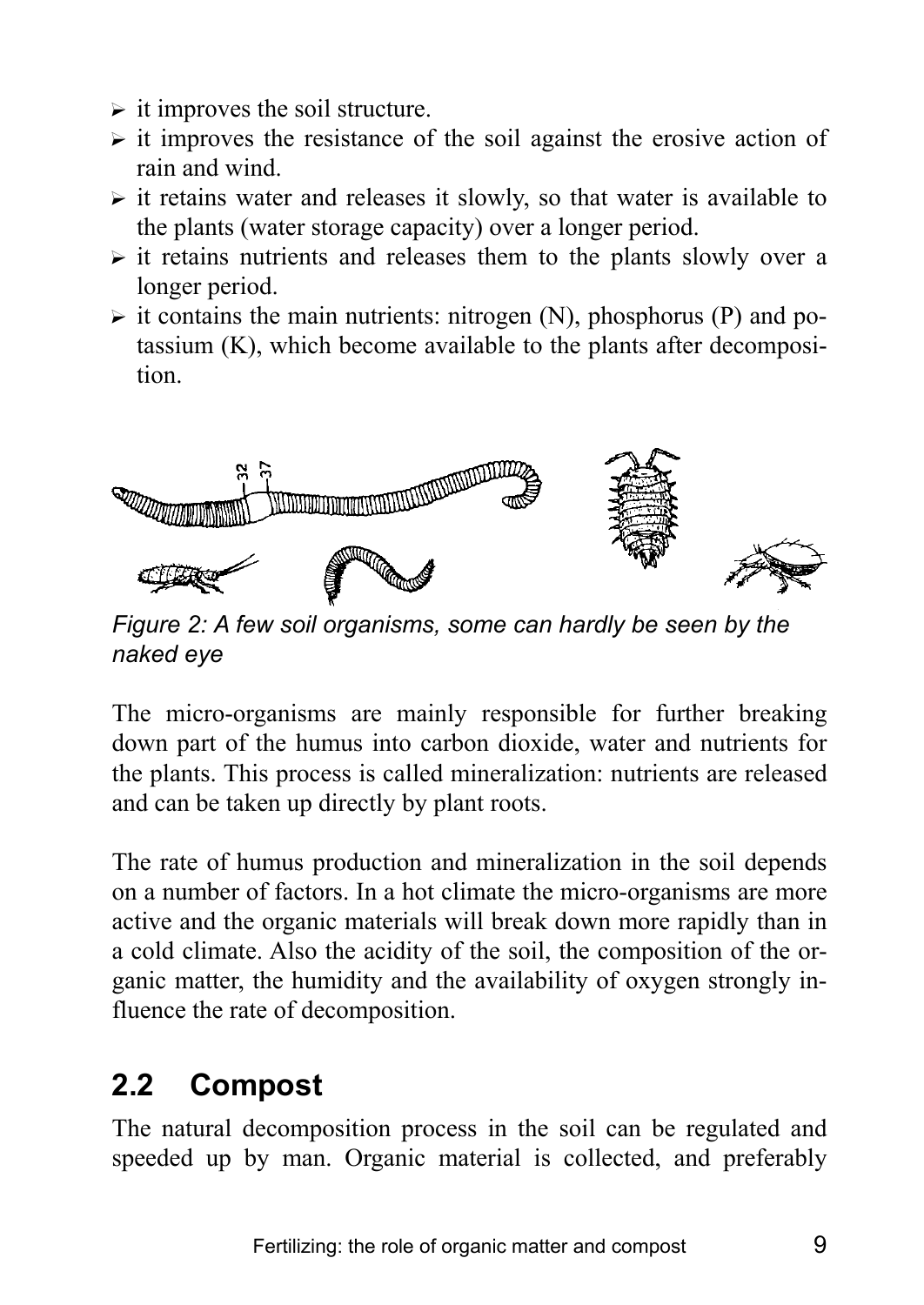- $\triangleright$  it improves the soil structure.
- $\triangleright$  it improves the resistance of the soil against the erosive action of rain and wind.
- $\triangleright$  it retains water and releases it slowly, so that water is available to the plants (water storage capacity) over a longer period.
- $\triangleright$  it retains nutrients and releases them to the plants slowly over a longer period.
- $\triangleright$  it contains the main nutrients: nitrogen (N), phosphorus (P) and potassium (K), which become available to the plants after decomposition.



*Figure 2: A few soil organisms, some can hardly be seen by the naked eye* 

The micro-organisms are mainly responsible for further breaking down part of the humus into carbon dioxide, water and nutrients for the plants. This process is called mineralization: nutrients are released and can be taken up directly by plant roots.

The rate of humus production and mineralization in the soil depends on a number of factors. In a hot climate the micro-organisms are more active and the organic materials will break down more rapidly than in a cold climate. Also the acidity of the soil, the composition of the organic matter, the humidity and the availability of oxygen strongly influence the rate of decomposition.

# **2.2 Compost**

The natural decomposition process in the soil can be regulated and speeded up by man. Organic material is collected, and preferably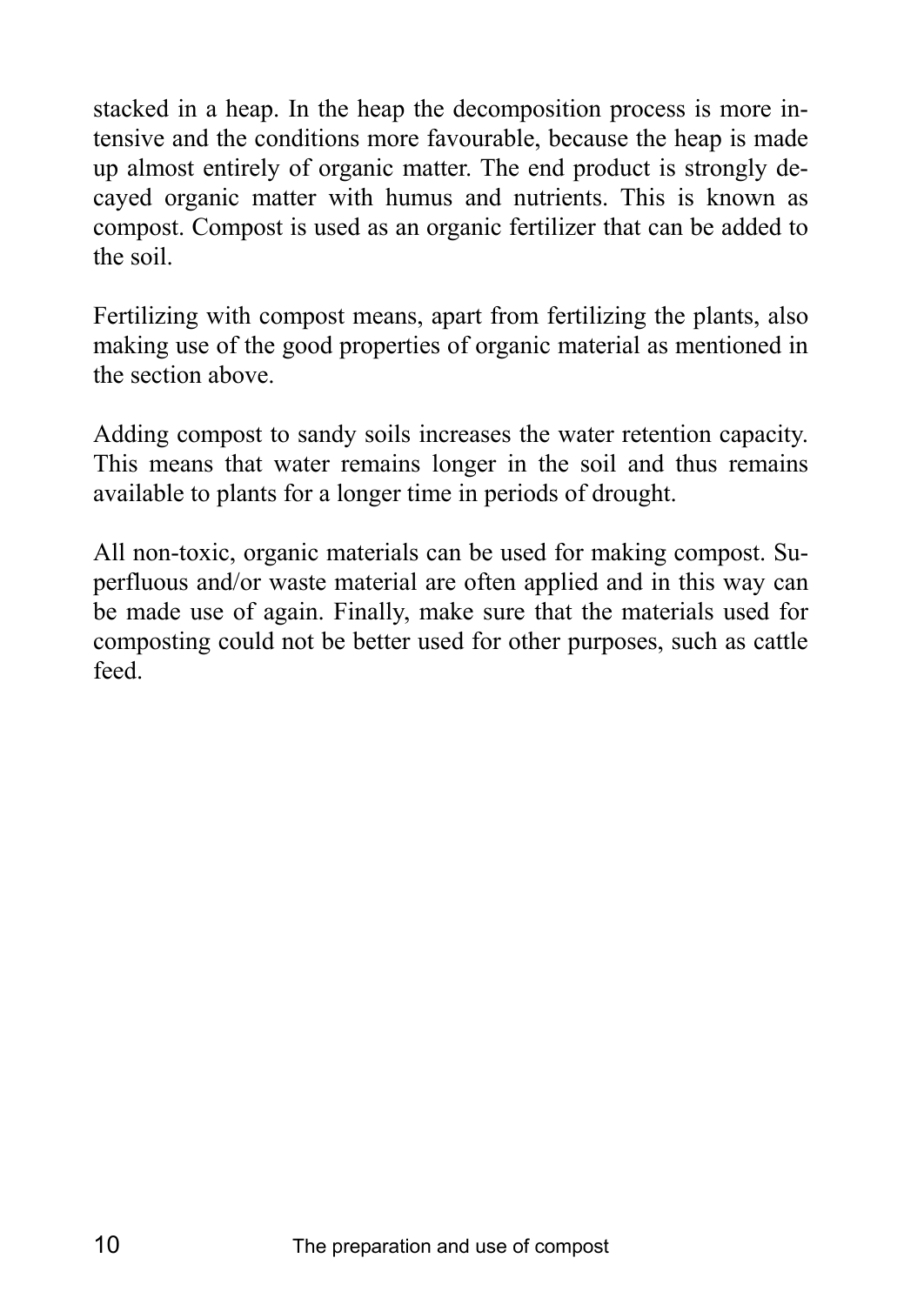stacked in a heap. In the heap the decomposition process is more intensive and the conditions more favourable, because the heap is made up almost entirely of organic matter. The end product is strongly decayed organic matter with humus and nutrients. This is known as compost. Compost is used as an organic fertilizer that can be added to the soil.

Fertilizing with compost means, apart from fertilizing the plants, also making use of the good properties of organic material as mentioned in the section above.

Adding compost to sandy soils increases the water retention capacity. This means that water remains longer in the soil and thus remains available to plants for a longer time in periods of drought.

All non-toxic, organic materials can be used for making compost. Superfluous and/or waste material are often applied and in this way can be made use of again. Finally, make sure that the materials used for composting could not be better used for other purposes, such as cattle feed.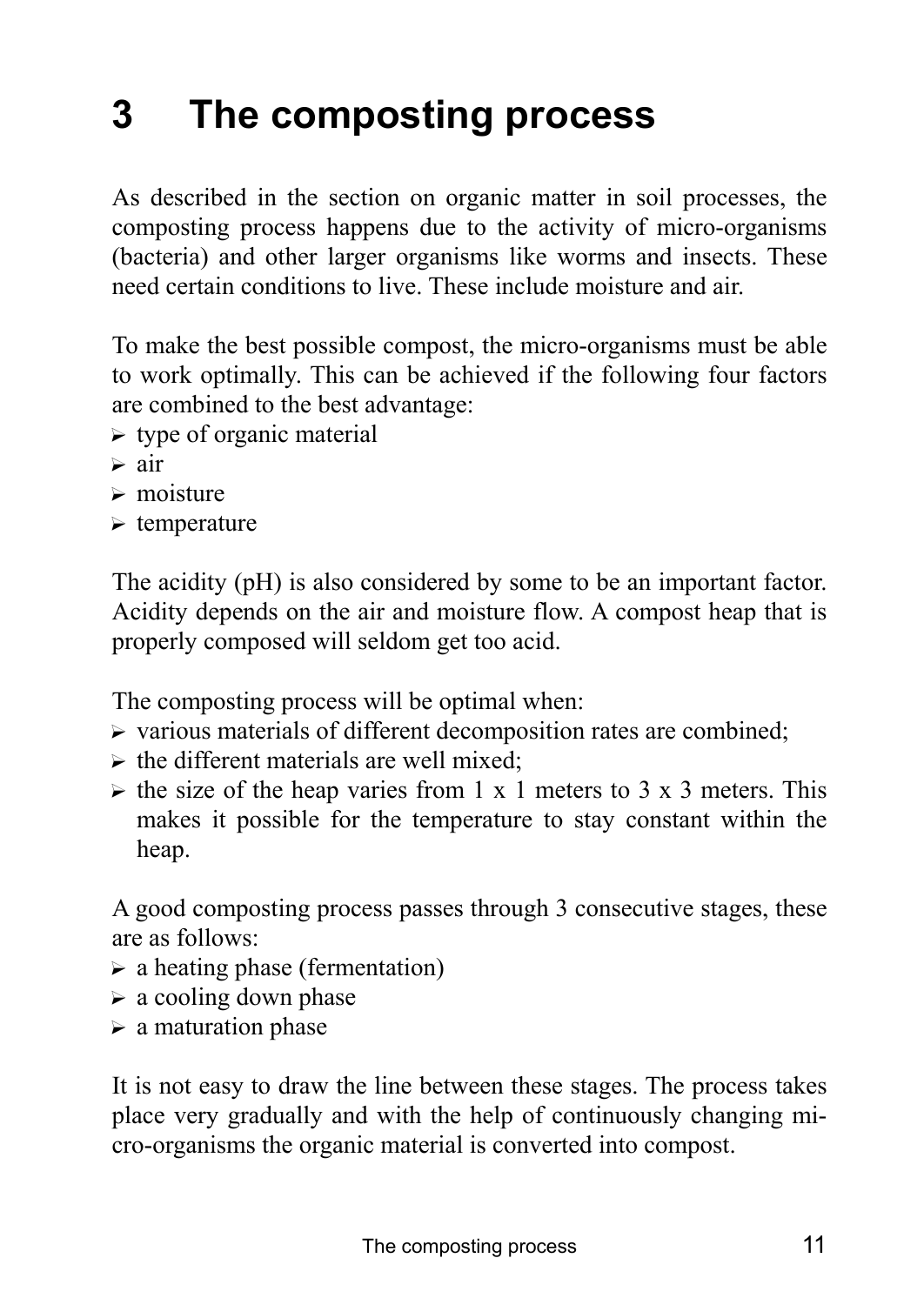# **3 The composting process**

As described in the section on organic matter in soil processes, the composting process happens due to the activity of micro-organisms (bacteria) and other larger organisms like worms and insects. These need certain conditions to live. These include moisture and air.

To make the best possible compost, the micro-organisms must be able to work optimally. This can be achieved if the following four factors are combined to the best advantage:

- $\triangleright$  type of organic material
- $\triangleright$  air
- $\triangleright$  moisture
- $\triangleright$  temperature

The acidity (pH) is also considered by some to be an important factor. Acidity depends on the air and moisture flow. A compost heap that is properly composed will seldom get too acid.

The composting process will be optimal when:

- $\triangleright$  various materials of different decomposition rates are combined;
- $\triangleright$  the different materials are well mixed:
- $\triangleright$  the size of the heap varies from 1 x 1 meters to 3 x 3 meters. This makes it possible for the temperature to stay constant within the heap.

A good composting process passes through 3 consecutive stages, these are as follows:

- $\triangleright$  a heating phase (fermentation)
- $\triangleright$  a cooling down phase
- $\triangleright$  a maturation phase

It is not easy to draw the line between these stages. The process takes place very gradually and with the help of continuously changing micro-organisms the organic material is converted into compost.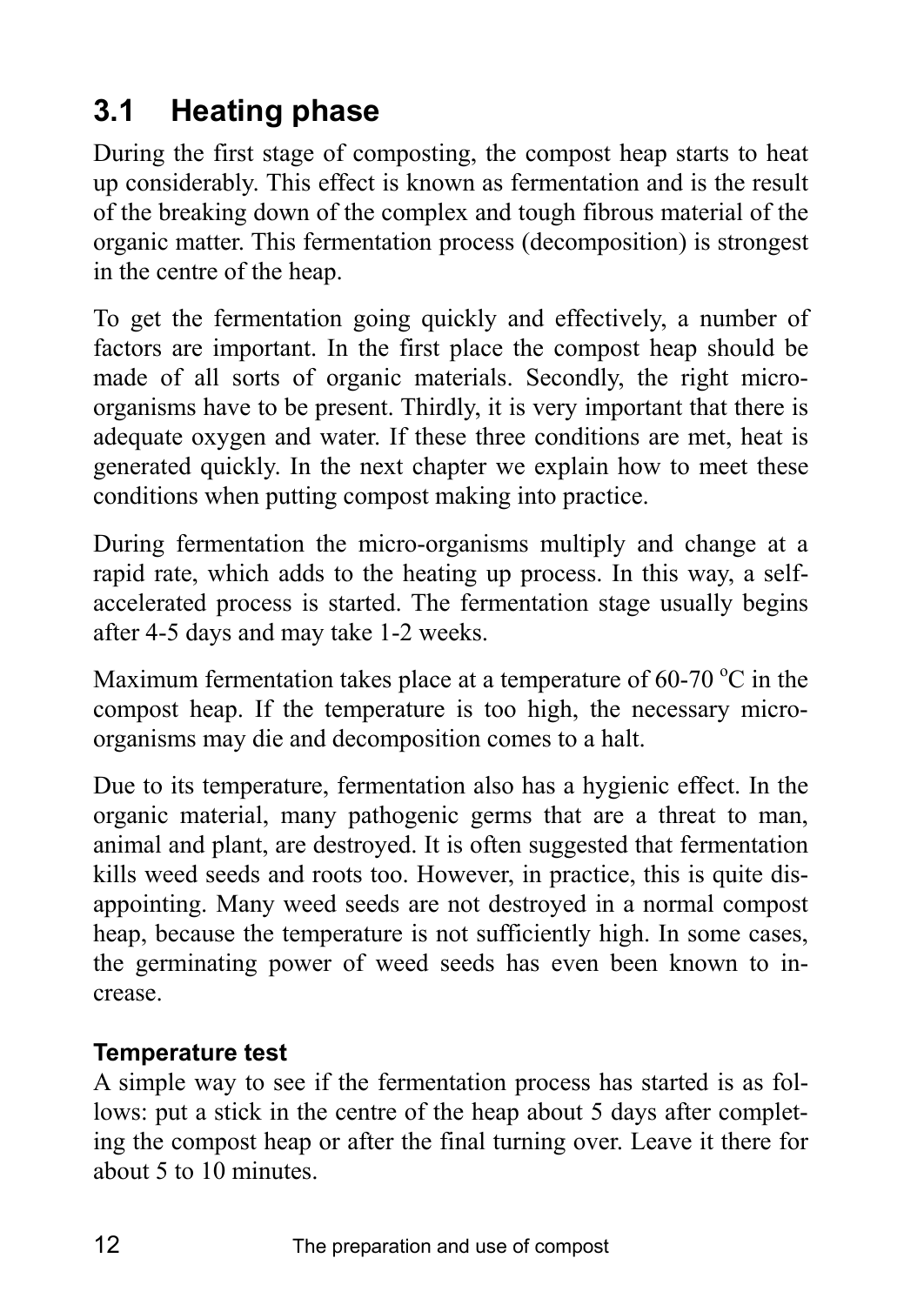# **3.1 Heating phase**

During the first stage of composting, the compost heap starts to heat up considerably. This effect is known as fermentation and is the result of the breaking down of the complex and tough fibrous material of the organic matter. This fermentation process (decomposition) is strongest in the centre of the heap.

To get the fermentation going quickly and effectively, a number of factors are important. In the first place the compost heap should be made of all sorts of organic materials. Secondly, the right microorganisms have to be present. Thirdly, it is very important that there is adequate oxygen and water. If these three conditions are met, heat is generated quickly. In the next chapter we explain how to meet these conditions when putting compost making into practice.

During fermentation the micro-organisms multiply and change at a rapid rate, which adds to the heating up process. In this way, a selfaccelerated process is started. The fermentation stage usually begins after 4-5 days and may take 1-2 weeks.

Maximum fermentation takes place at a temperature of 60-70  $\mathrm{^{\circ}C}$  in the compost heap. If the temperature is too high, the necessary microorganisms may die and decomposition comes to a halt.

Due to its temperature, fermentation also has a hygienic effect. In the organic material, many pathogenic germs that are a threat to man, animal and plant, are destroyed. It is often suggested that fermentation kills weed seeds and roots too. However, in practice, this is quite disappointing. Many weed seeds are not destroyed in a normal compost heap, because the temperature is not sufficiently high. In some cases, the germinating power of weed seeds has even been known to increase.

## **Temperature test**

A simple way to see if the fermentation process has started is as follows: put a stick in the centre of the heap about 5 days after completing the compost heap or after the final turning over. Leave it there for about 5 to 10 minutes.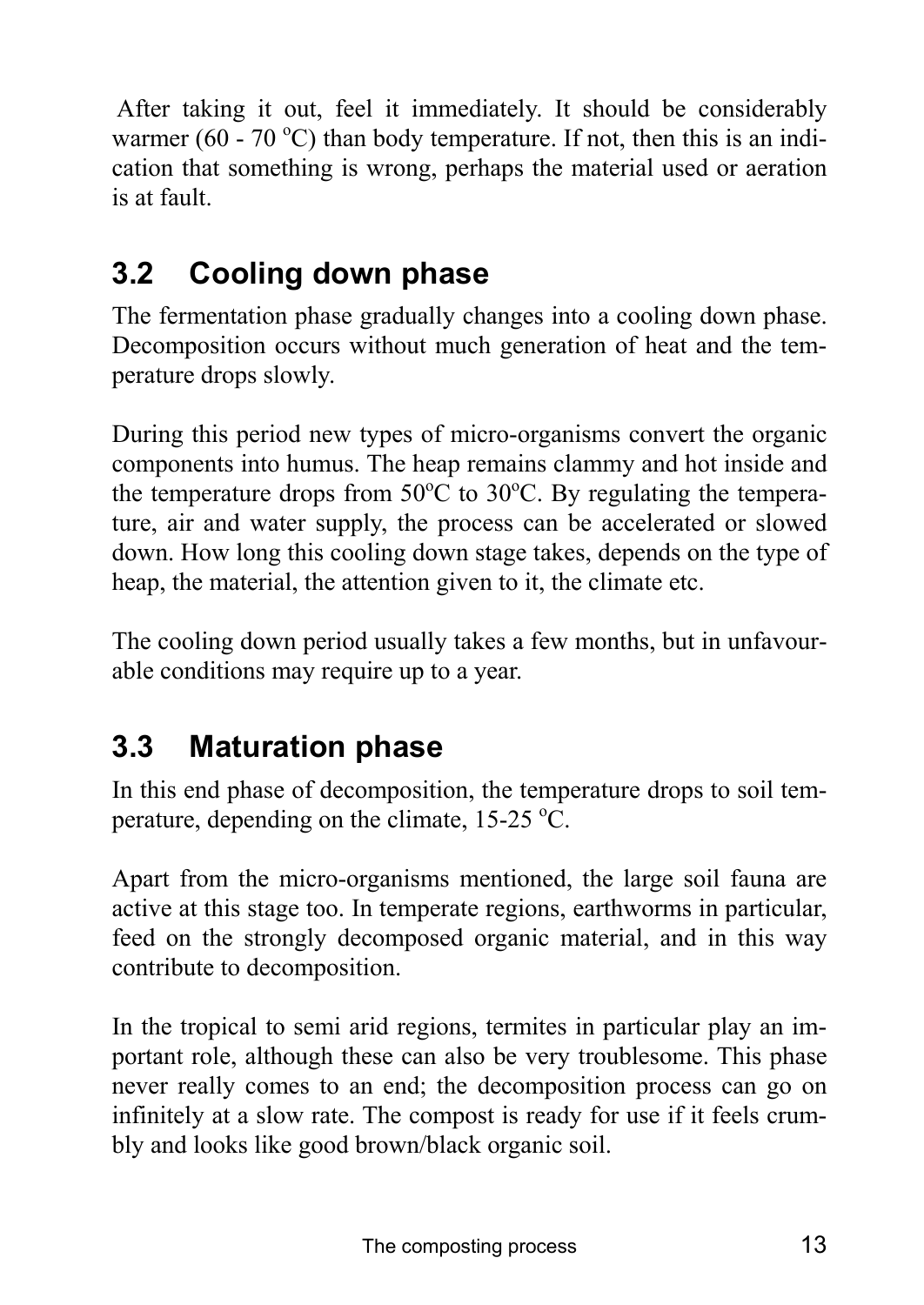After taking it out, feel it immediately. It should be considerably warmer (60 - 70 °C) than body temperature. If not, then this is an indication that something is wrong, perhaps the material used or aeration is at fault.

# **3.2 Cooling down phase**

The fermentation phase gradually changes into a cooling down phase. Decomposition occurs without much generation of heat and the temperature drops slowly.

During this period new types of micro-organisms convert the organic components into humus. The heap remains clammy and hot inside and the temperature drops from  $50^{\circ}$ C to  $30^{\circ}$ C. By regulating the temperature, air and water supply, the process can be accelerated or slowed down. How long this cooling down stage takes, depends on the type of heap, the material, the attention given to it, the climate etc.

The cooling down period usually takes a few months, but in unfavourable conditions may require up to a year.

# **3.3 Maturation phase**

In this end phase of decomposition, the temperature drops to soil temperature, depending on the climate,  $15-25$  °C.

Apart from the micro-organisms mentioned, the large soil fauna are active at this stage too. In temperate regions, earthworms in particular, feed on the strongly decomposed organic material, and in this way contribute to decomposition.

In the tropical to semi arid regions, termites in particular play an important role, although these can also be very troublesome. This phase never really comes to an end; the decomposition process can go on infinitely at a slow rate. The compost is ready for use if it feels crumbly and looks like good brown/black organic soil.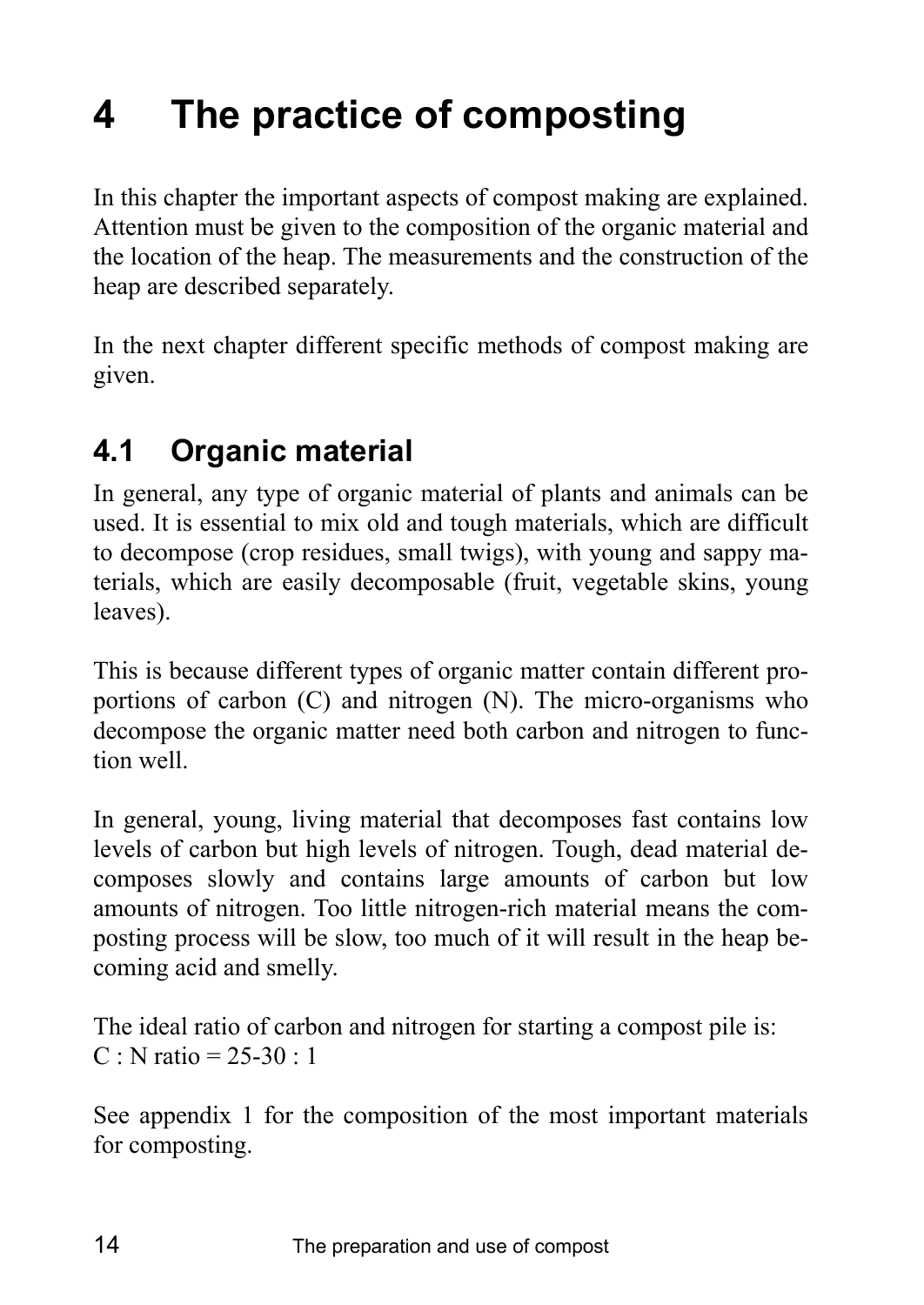# **4 The practice of composting**

In this chapter the important aspects of compost making are explained. Attention must be given to the composition of the organic material and the location of the heap. The measurements and the construction of the heap are described separately.

In the next chapter different specific methods of compost making are given.

# **4.1 Organic material**

In general, any type of organic material of plants and animals can be used. It is essential to mix old and tough materials, which are difficult to decompose (crop residues, small twigs), with young and sappy materials, which are easily decomposable (fruit, vegetable skins, young leaves).

This is because different types of organic matter contain different proportions of carbon (C) and nitrogen (N). The micro-organisms who decompose the organic matter need both carbon and nitrogen to function well.

In general, young, living material that decomposes fast contains low levels of carbon but high levels of nitrogen. Tough, dead material decomposes slowly and contains large amounts of carbon but low amounts of nitrogen. Too little nitrogen-rich material means the composting process will be slow, too much of it will result in the heap becoming acid and smelly.

The ideal ratio of carbon and nitrogen for starting a compost pile is:  $C : N$  ratio = 25-30 : 1

See appendix 1 for the composition of the most important materials for composting.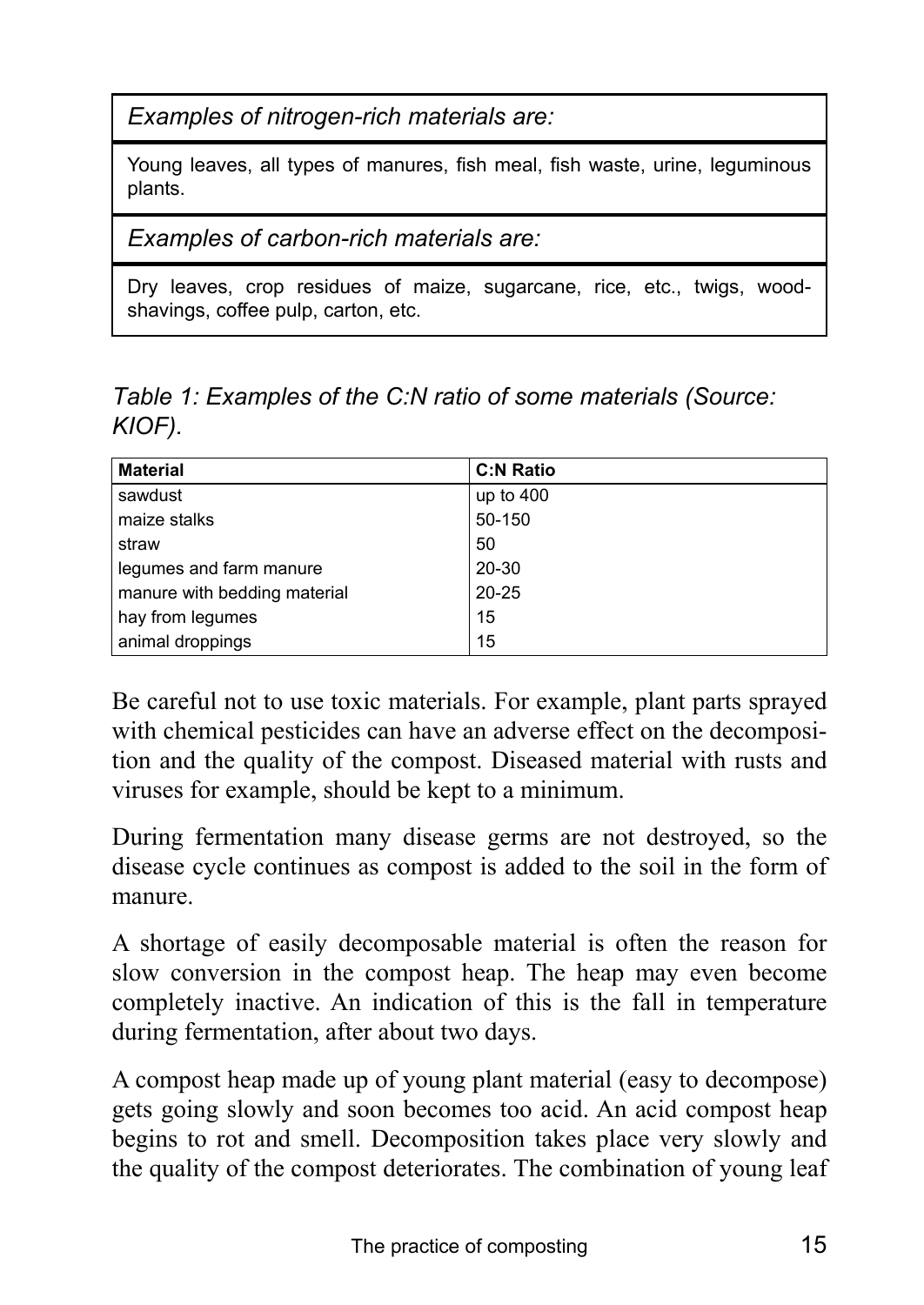*Examples of nitrogen-rich materials are:* 

Young leaves, all types of manures, fish meal, fish waste, urine, leguminous plants.

*Examples of carbon-rich materials are:* 

Dry leaves, crop residues of maize, sugarcane, rice, etc., twigs, woodshavings, coffee pulp, carton, etc.

*Table 1: Examples of the C:N ratio of some materials (Source: KIOF).* 

| <b>Material</b>              | <b>C:N Ratio</b> |
|------------------------------|------------------|
| sawdust                      | up to $400$      |
| maize stalks                 | 50-150           |
| straw                        | 50               |
| legumes and farm manure      | 20-30            |
| manure with bedding material | $20 - 25$        |
| hay from legumes             | 15               |
| animal droppings             | 15               |

Be careful not to use toxic materials. For example, plant parts sprayed with chemical pesticides can have an adverse effect on the decomposition and the quality of the compost. Diseased material with rusts and viruses for example, should be kept to a minimum.

During fermentation many disease germs are not destroyed, so the disease cycle continues as compost is added to the soil in the form of manure.

A shortage of easily decomposable material is often the reason for slow conversion in the compost heap. The heap may even become completely inactive. An indication of this is the fall in temperature during fermentation, after about two days.

A compost heap made up of young plant material (easy to decompose) gets going slowly and soon becomes too acid. An acid compost heap begins to rot and smell. Decomposition takes place very slowly and the quality of the compost deteriorates. The combination of young leaf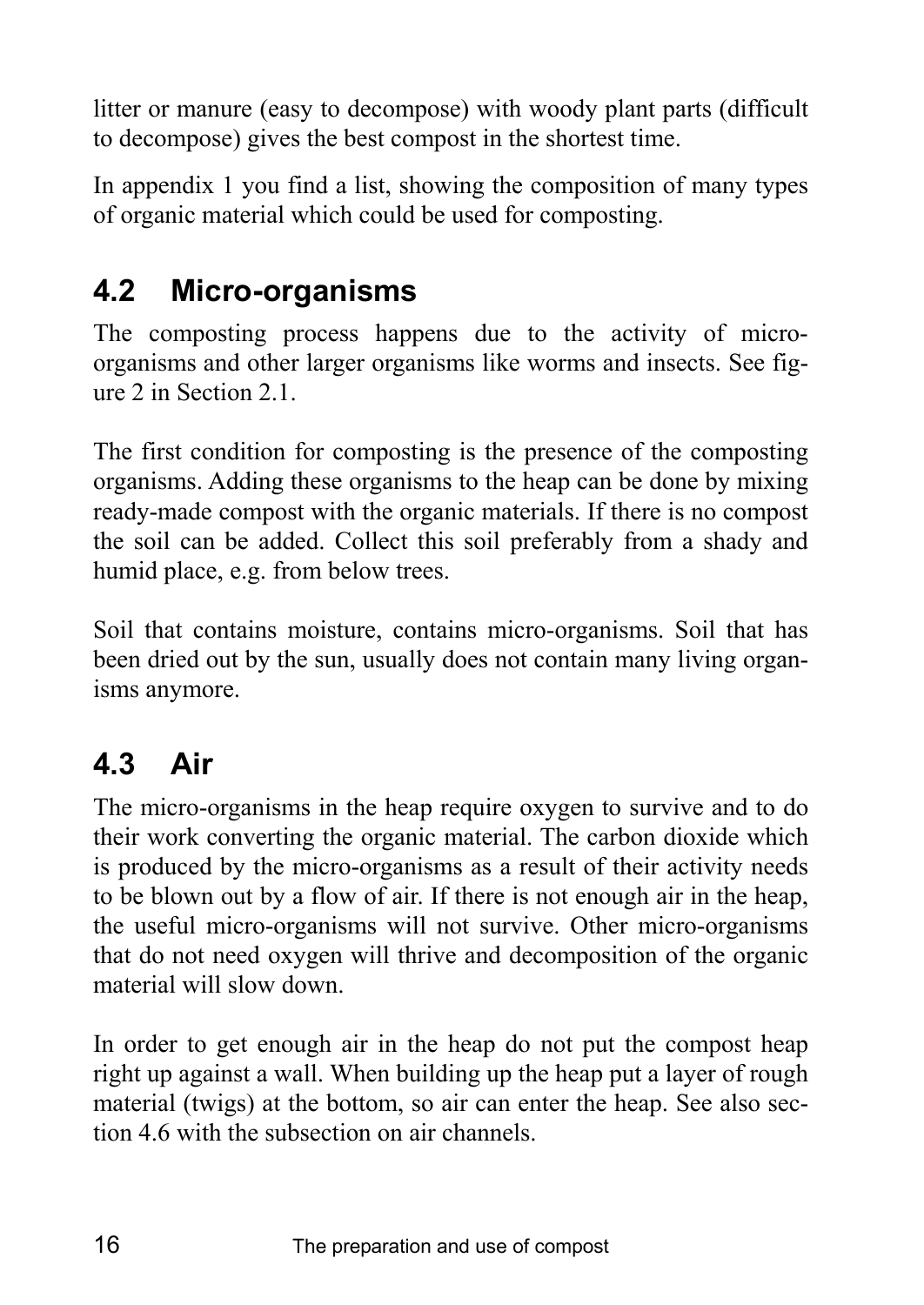litter or manure (easy to decompose) with woody plant parts (difficult to decompose) gives the best compost in the shortest time.

In appendix 1 you find a list, showing the composition of many types of organic material which could be used for composting.

# **4.2 Micro-organisms**

The composting process happens due to the activity of microorganisms and other larger organisms like worms and insects. See figure 2 in Section 2.1.

The first condition for composting is the presence of the composting organisms. Adding these organisms to the heap can be done by mixing ready-made compost with the organic materials. If there is no compost the soil can be added. Collect this soil preferably from a shady and humid place, e.g. from below trees.

Soil that contains moisture, contains micro-organisms. Soil that has been dried out by the sun, usually does not contain many living organisms anymore.

# **4.3 Air**

The micro-organisms in the heap require oxygen to survive and to do their work converting the organic material. The carbon dioxide which is produced by the micro-organisms as a result of their activity needs to be blown out by a flow of air. If there is not enough air in the heap, the useful micro-organisms will not survive. Other micro-organisms that do not need oxygen will thrive and decomposition of the organic material will slow down.

In order to get enough air in the heap do not put the compost heap right up against a wall. When building up the heap put a layer of rough material (twigs) at the bottom, so air can enter the heap. See also section 4.6 with the subsection on air channels.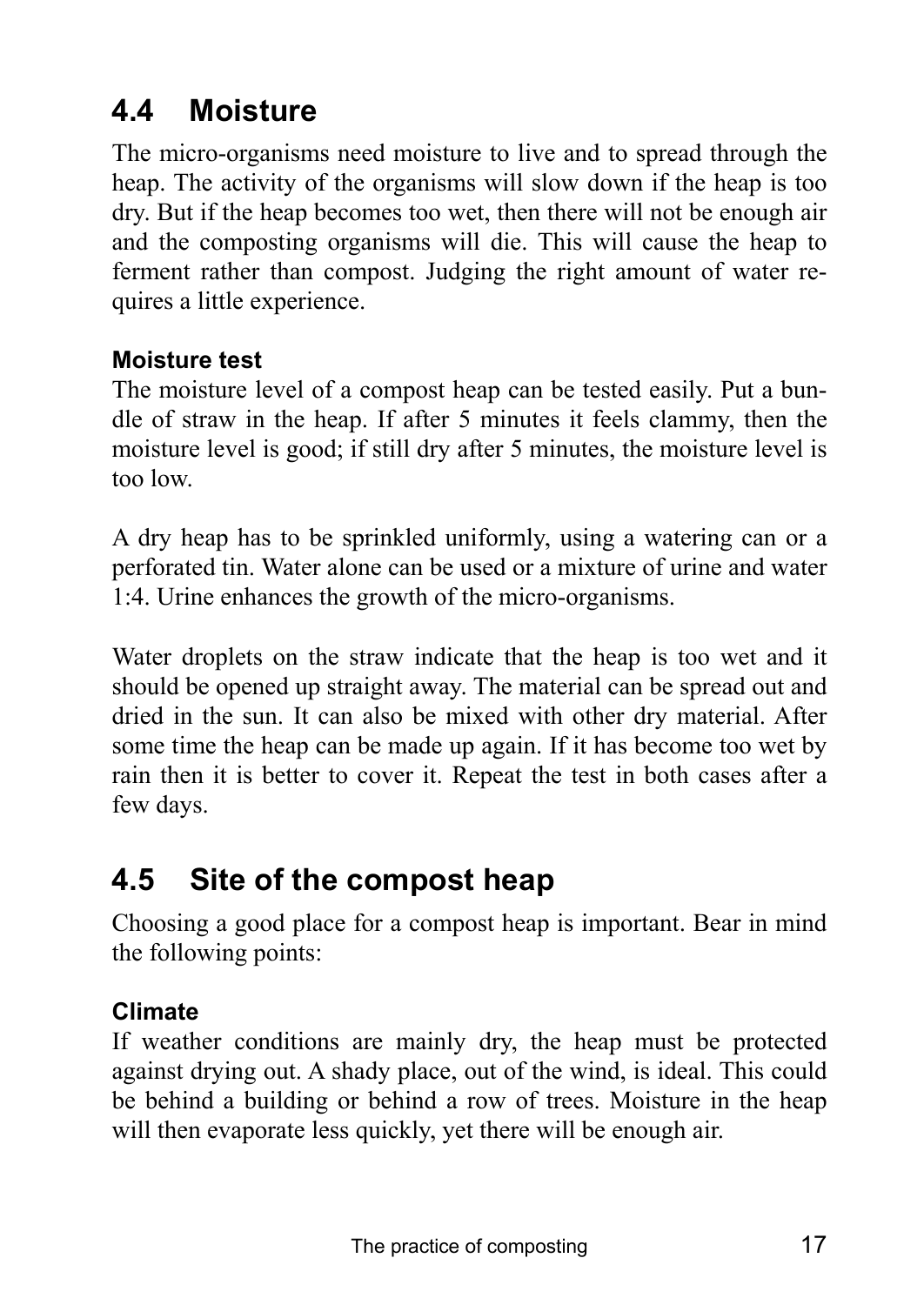# **4.4 Moisture**

The micro-organisms need moisture to live and to spread through the heap. The activity of the organisms will slow down if the heap is too dry. But if the heap becomes too wet, then there will not be enough air and the composting organisms will die. This will cause the heap to ferment rather than compost. Judging the right amount of water requires a little experience.

### **Moisture test**

The moisture level of a compost heap can be tested easily. Put a bundle of straw in the heap. If after 5 minutes it feels clammy, then the moisture level is good; if still dry after 5 minutes, the moisture level is too low.

A dry heap has to be sprinkled uniformly, using a watering can or a perforated tin. Water alone can be used or a mixture of urine and water 1:4. Urine enhances the growth of the micro-organisms.

Water droplets on the straw indicate that the heap is too wet and it should be opened up straight away. The material can be spread out and dried in the sun. It can also be mixed with other dry material. After some time the heap can be made up again. If it has become too wet by rain then it is better to cover it. Repeat the test in both cases after a few days.

# **4.5 Site of the compost heap**

Choosing a good place for a compost heap is important. Bear in mind the following points:

### **Climate**

If weather conditions are mainly dry, the heap must be protected against drying out. A shady place, out of the wind, is ideal. This could be behind a building or behind a row of trees. Moisture in the heap will then evaporate less quickly, yet there will be enough air.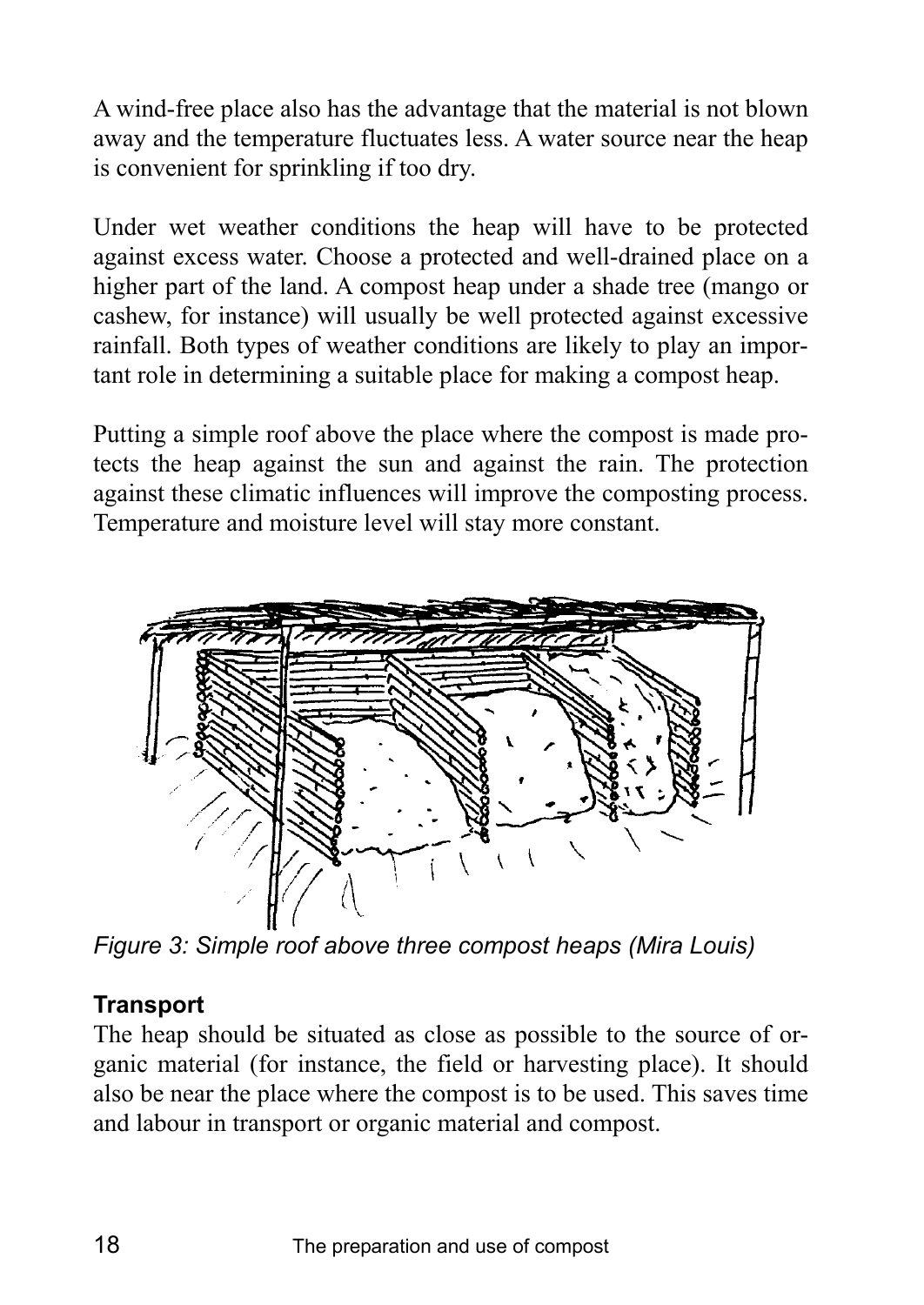A wind-free place also has the advantage that the material is not blown away and the temperature fluctuates less. A water source near the heap is convenient for sprinkling if too dry.

Under wet weather conditions the heap will have to be protected against excess water. Choose a protected and well-drained place on a higher part of the land. A compost heap under a shade tree (mango or cashew, for instance) will usually be well protected against excessive rainfall. Both types of weather conditions are likely to play an important role in determining a suitable place for making a compost heap.

Putting a simple roof above the place where the compost is made protects the heap against the sun and against the rain. The protection against these climatic influences will improve the composting process. Temperature and moisture level will stay more constant.



*Figure 3: Simple roof above three compost heaps (Mira Louis)* 

### **Transport**

The heap should be situated as close as possible to the source of organic material (for instance, the field or harvesting place). It should also be near the place where the compost is to be used. This saves time and labour in transport or organic material and compost.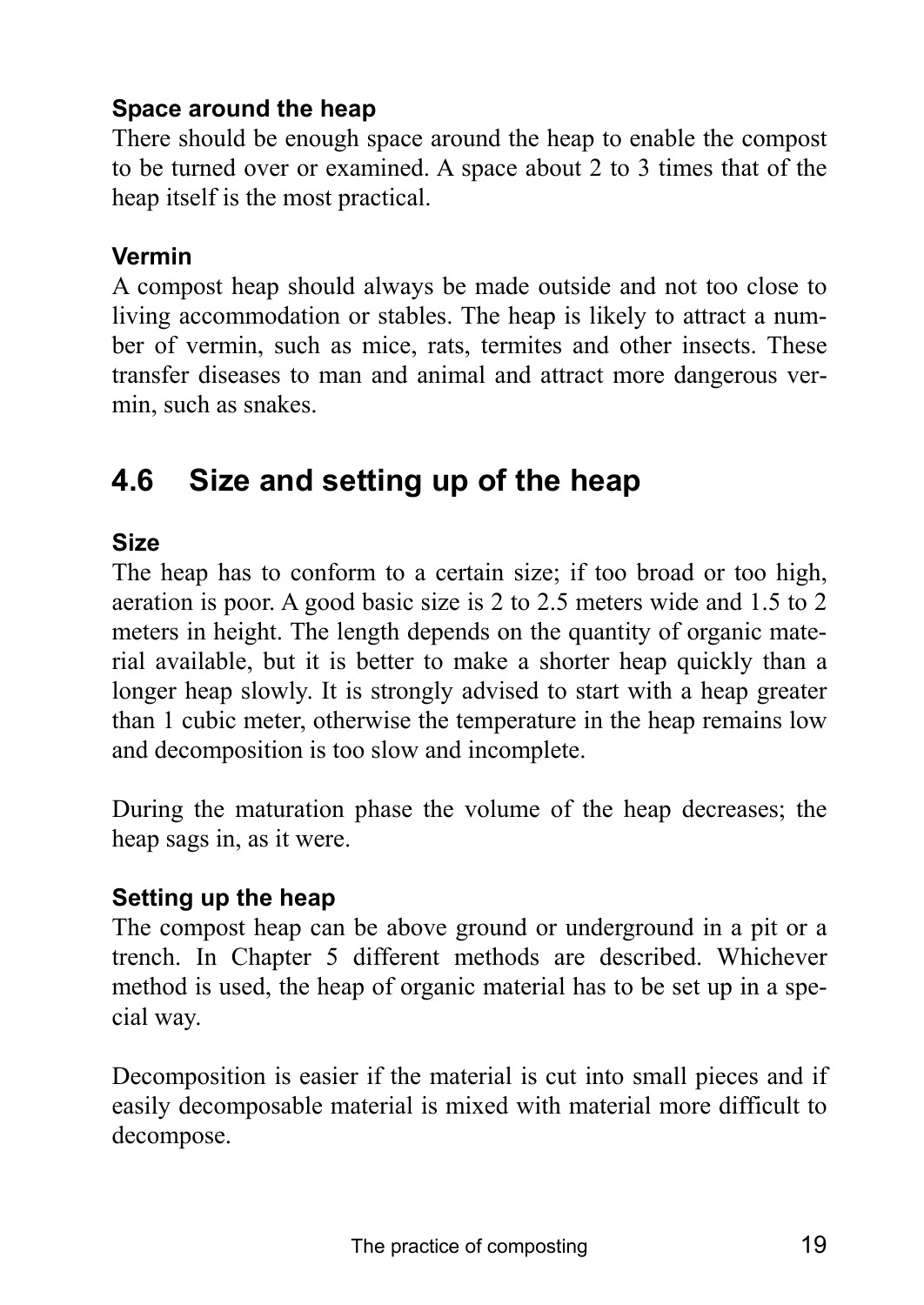## **Space around the heap**

There should be enough space around the heap to enable the compost to be turned over or examined. A space about 2 to 3 times that of the heap itself is the most practical.

## **Vermin**

A compost heap should always be made outside and not too close to living accommodation or stables. The heap is likely to attract a number of vermin, such as mice, rats, termites and other insects. These transfer diseases to man and animal and attract more dangerous vermin, such as snakes.

# **4.6 Size and setting up of the heap**

## **Size**

The heap has to conform to a certain size; if too broad or too high, aeration is poor. A good basic size is 2 to 2.5 meters wide and 1.5 to 2 meters in height. The length depends on the quantity of organic material available, but it is better to make a shorter heap quickly than a longer heap slowly. It is strongly advised to start with a heap greater than 1 cubic meter, otherwise the temperature in the heap remains low and decomposition is too slow and incomplete.

During the maturation phase the volume of the heap decreases; the heap sags in, as it were.

### **Setting up the heap**

The compost heap can be above ground or underground in a pit or a trench. In Chapter 5 different methods are described. Whichever method is used, the heap of organic material has to be set up in a special way.

Decomposition is easier if the material is cut into small pieces and if easily decomposable material is mixed with material more difficult to decompose.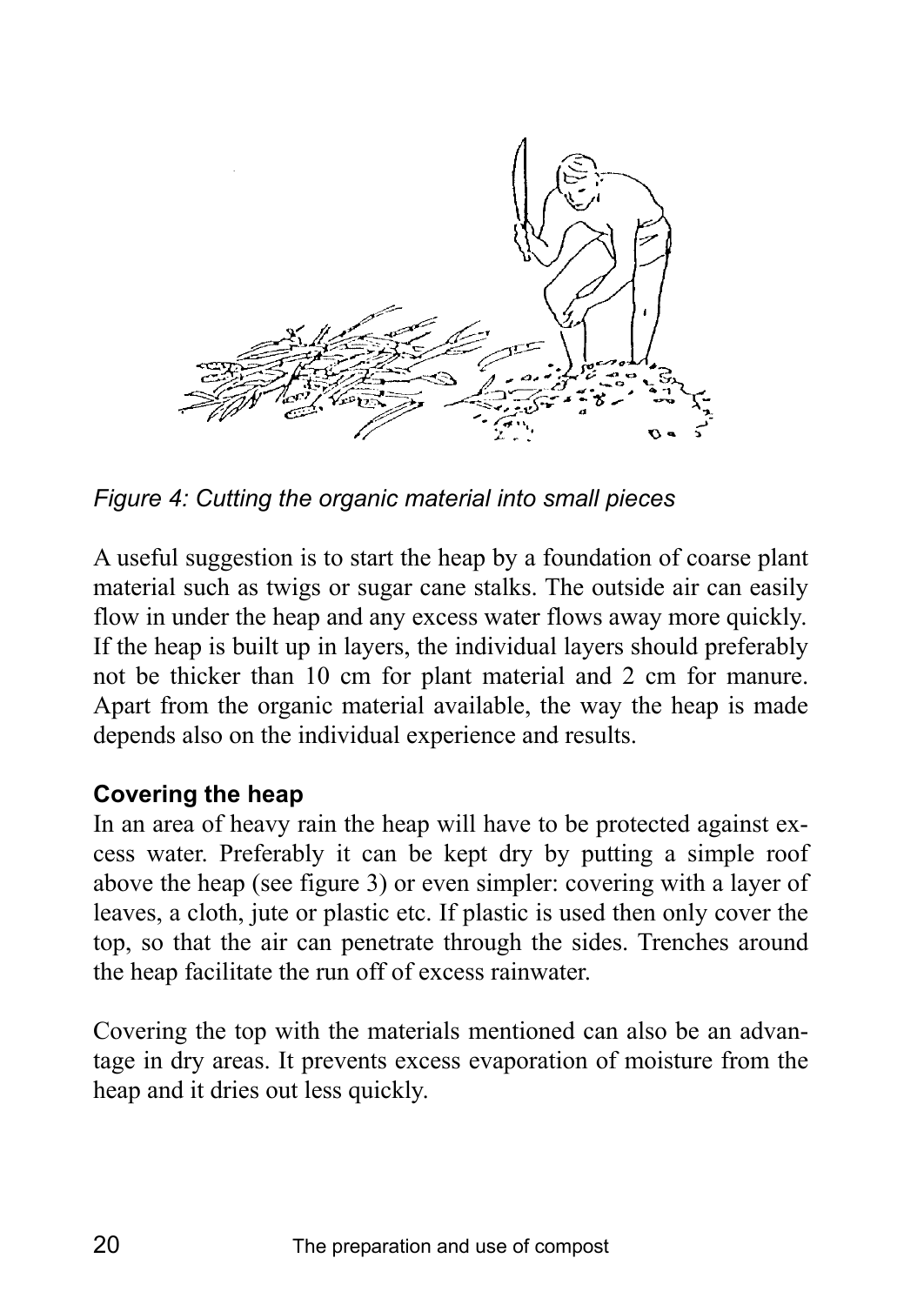

*Figure 4: Cutting the organic material into small pieces* 

A useful suggestion is to start the heap by a foundation of coarse plant material such as twigs or sugar cane stalks. The outside air can easily flow in under the heap and any excess water flows away more quickly. If the heap is built up in layers, the individual layers should preferably not be thicker than 10 cm for plant material and 2 cm for manure. Apart from the organic material available, the way the heap is made depends also on the individual experience and results.

### **Covering the heap**

In an area of heavy rain the heap will have to be protected against excess water. Preferably it can be kept dry by putting a simple roof above the heap (see figure 3) or even simpler: covering with a layer of leaves, a cloth, jute or plastic etc. If plastic is used then only cover the top, so that the air can penetrate through the sides. Trenches around the heap facilitate the run off of excess rainwater.

Covering the top with the materials mentioned can also be an advantage in dry areas. It prevents excess evaporation of moisture from the heap and it dries out less quickly.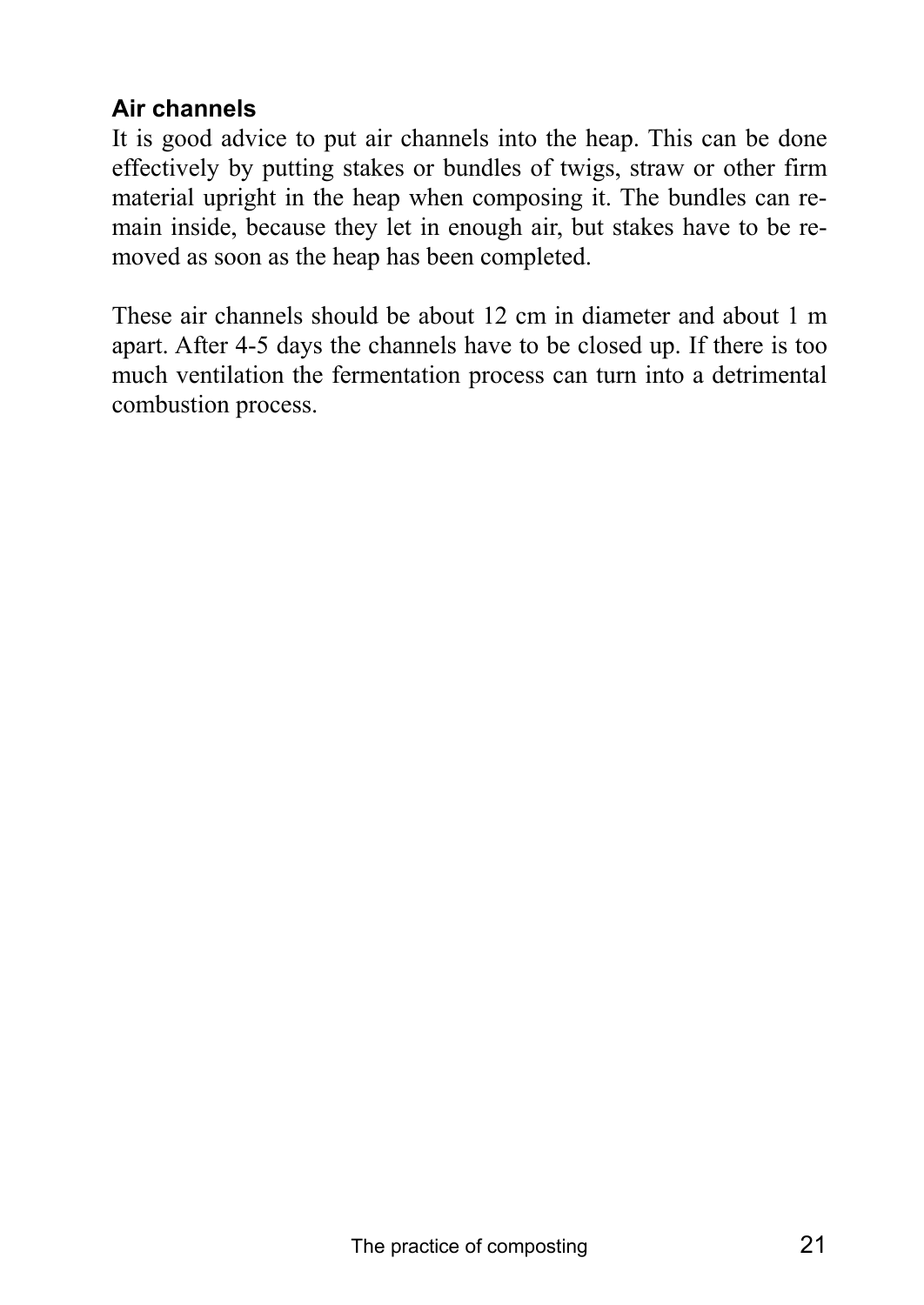## **Air channels**

It is good advice to put air channels into the heap. This can be done effectively by putting stakes or bundles of twigs, straw or other firm material upright in the heap when composing it. The bundles can remain inside, because they let in enough air, but stakes have to be removed as soon as the heap has been completed.

These air channels should be about 12 cm in diameter and about 1 m apart. After 4-5 days the channels have to be closed up. If there is too much ventilation the fermentation process can turn into a detrimental combustion process.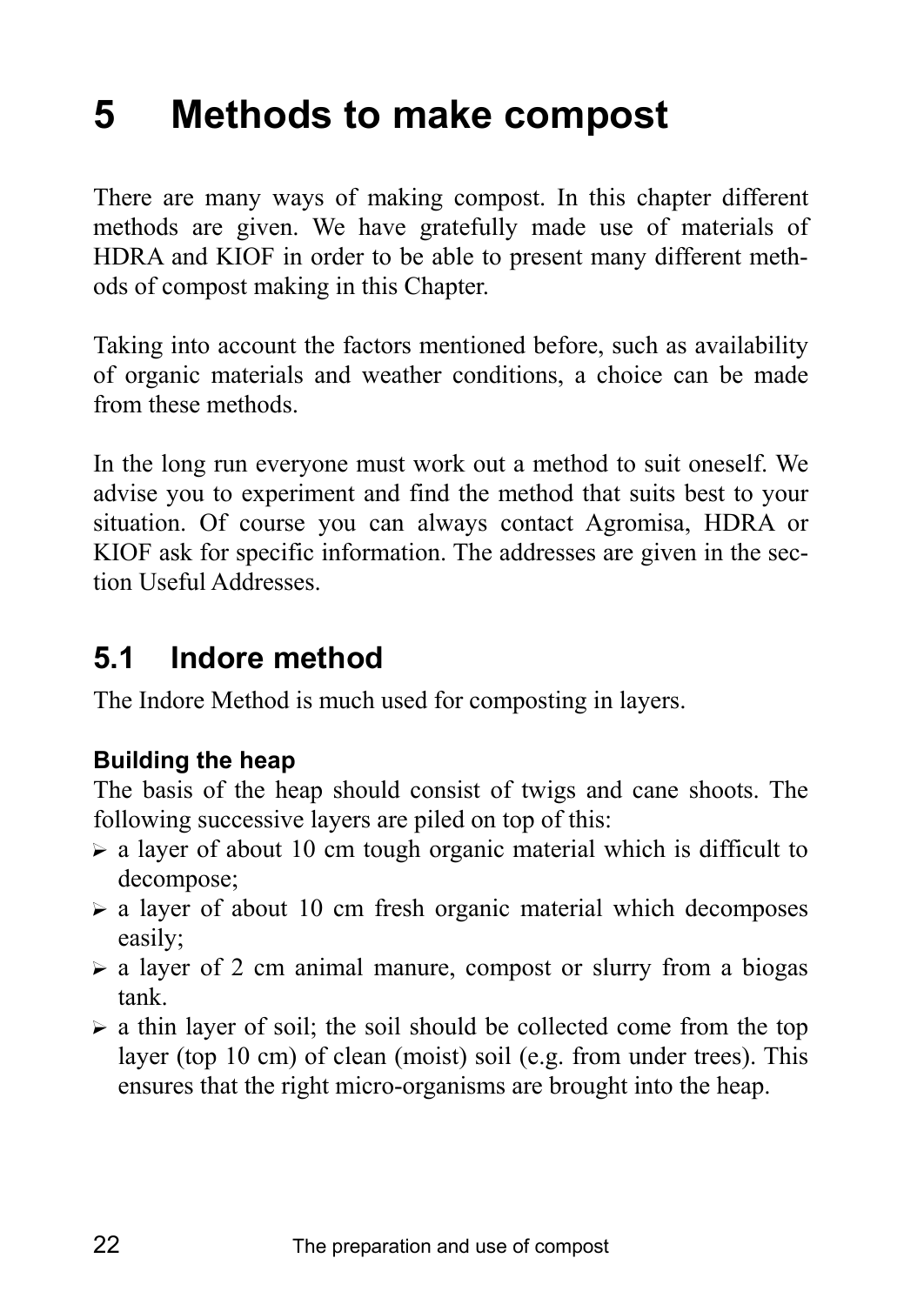# **5 Methods to make compost**

There are many ways of making compost. In this chapter different methods are given. We have gratefully made use of materials of HDRA and KIOF in order to be able to present many different methods of compost making in this Chapter.

Taking into account the factors mentioned before, such as availability of organic materials and weather conditions, a choice can be made from these methods.

In the long run everyone must work out a method to suit oneself. We advise you to experiment and find the method that suits best to your situation. Of course you can always contact Agromisa, HDRA or KIOF ask for specific information. The addresses are given in the section Useful Addresses.

# **5.1 Indore method**

The Indore Method is much used for composting in layers.

# **Building the heap**

The basis of the heap should consist of twigs and cane shoots. The following successive layers are piled on top of this:

- $\triangleright$  a layer of about 10 cm tough organic material which is difficult to decompose;
- $\triangleright$  a layer of about 10 cm fresh organic material which decomposes easily;
- $\triangleright$  a layer of 2 cm animal manure, compost or slurry from a biogas tank.
- $\triangleright$  a thin layer of soil; the soil should be collected come from the top layer (top 10 cm) of clean (moist) soil (e.g. from under trees). This ensures that the right micro-organisms are brought into the heap.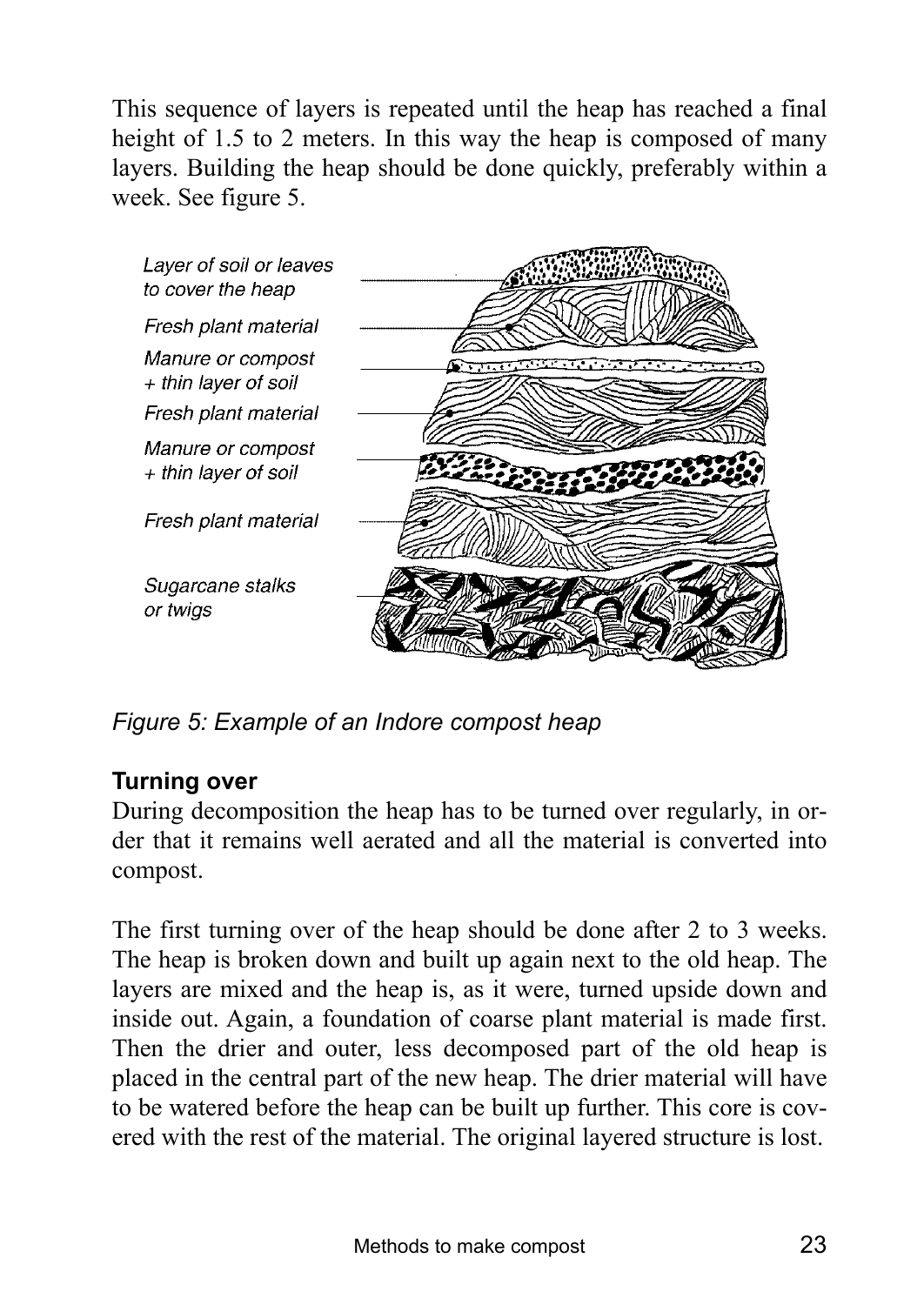This sequence of layers is repeated until the heap has reached a final height of 1.5 to 2 meters. In this way the heap is composed of many layers. Building the heap should be done quickly, preferably within a week. See figure 5.



*Figure 5: Example of an Indore compost heap* 

### **Turning over**

During decomposition the heap has to be turned over regularly, in order that it remains well aerated and all the material is converted into compost.

The first turning over of the heap should be done after 2 to 3 weeks. The heap is broken down and built up again next to the old heap. The layers are mixed and the heap is, as it were, turned upside down and inside out. Again, a foundation of coarse plant material is made first. Then the drier and outer, less decomposed part of the old heap is placed in the central part of the new heap. The drier material will have to be watered before the heap can be built up further. This core is covered with the rest of the material. The original layered structure is lost.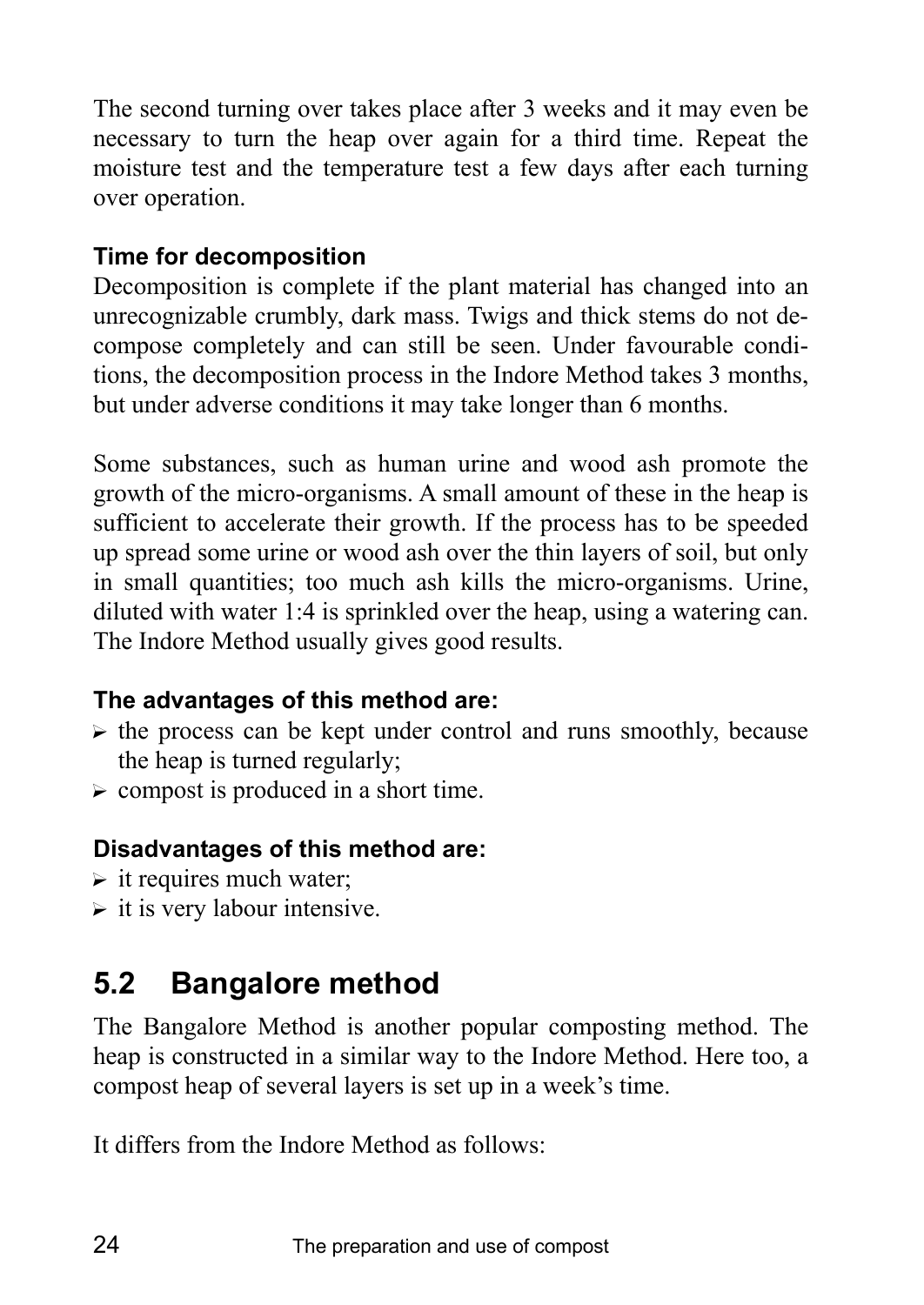The second turning over takes place after 3 weeks and it may even be necessary to turn the heap over again for a third time. Repeat the moisture test and the temperature test a few days after each turning over operation.

## **Time for decomposition**

Decomposition is complete if the plant material has changed into an unrecognizable crumbly, dark mass. Twigs and thick stems do not decompose completely and can still be seen. Under favourable conditions, the decomposition process in the Indore Method takes 3 months, but under adverse conditions it may take longer than 6 months.

Some substances, such as human urine and wood ash promote the growth of the micro-organisms. A small amount of these in the heap is sufficient to accelerate their growth. If the process has to be speeded up spread some urine or wood ash over the thin layers of soil, but only in small quantities; too much ash kills the micro-organisms. Urine, diluted with water 1:4 is sprinkled over the heap, using a watering can. The Indore Method usually gives good results.

# **The advantages of this method are:**

- $\triangleright$  the process can be kept under control and runs smoothly, because the heap is turned regularly;
- $\triangleright$  compost is produced in a short time.

# **Disadvantages of this method are:**

- $\triangleright$  it requires much water;
- $\triangleright$  it is very labour intensive.

# **5.2 Bangalore method**

The Bangalore Method is another popular composting method. The heap is constructed in a similar way to the Indore Method. Here too, a compost heap of several layers is set up in a week's time.

It differs from the Indore Method as follows: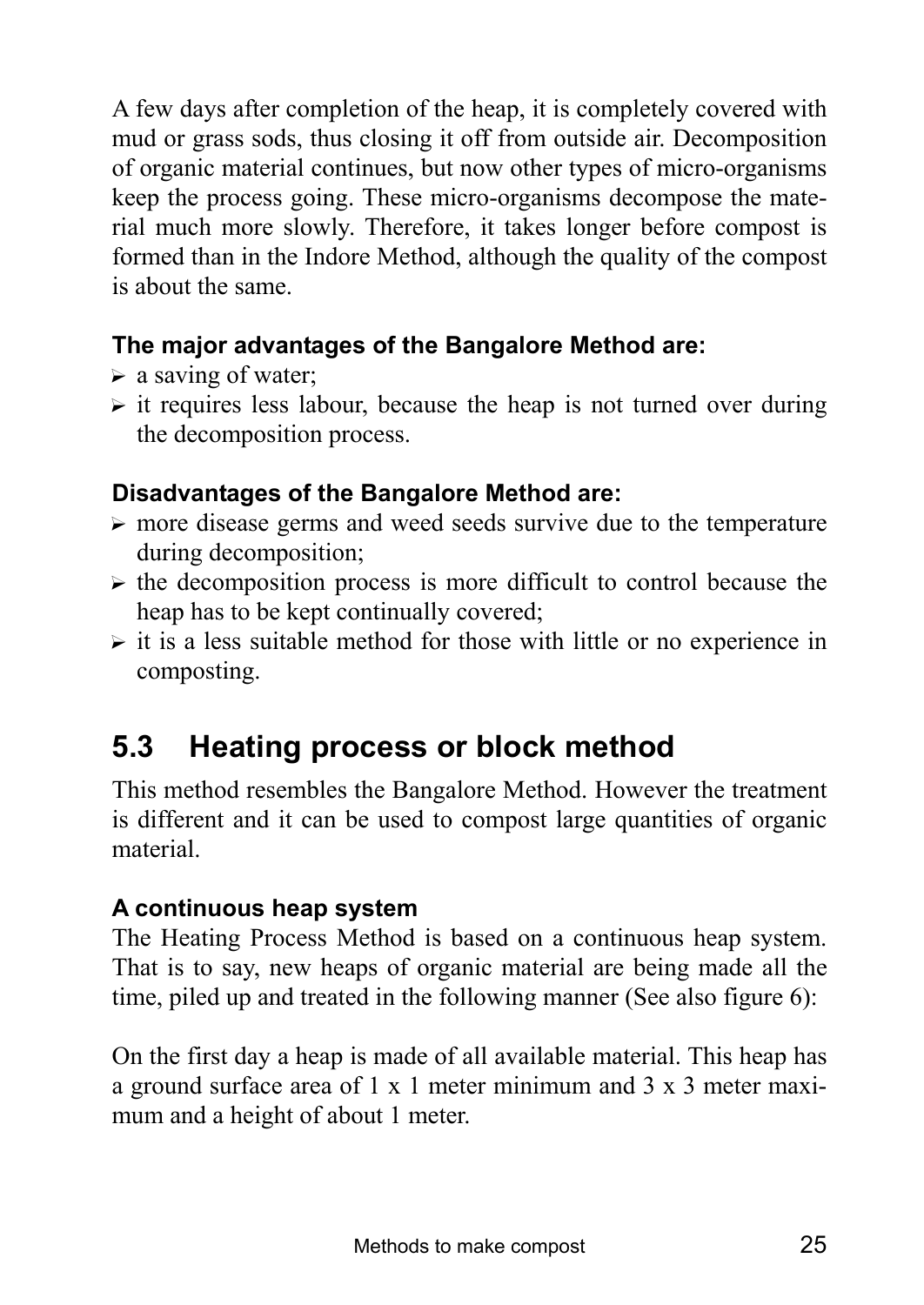A few days after completion of the heap, it is completely covered with mud or grass sods, thus closing it off from outside air. Decomposition of organic material continues, but now other types of micro-organisms keep the process going. These micro-organisms decompose the material much more slowly. Therefore, it takes longer before compost is formed than in the Indore Method, although the quality of the compost is about the same.

## **The major advantages of the Bangalore Method are:**

- $\triangleright$  a saving of water;
- $\triangleright$  it requires less labour, because the heap is not turned over during the decomposition process.

# **Disadvantages of the Bangalore Method are:**

- $\triangleright$  more disease germs and weed seeds survive due to the temperature during decomposition;
- $\triangleright$  the decomposition process is more difficult to control because the heap has to be kept continually covered;
- $\triangleright$  it is a less suitable method for those with little or no experience in composting.

# **5.3 Heating process or block method**

This method resembles the Bangalore Method. However the treatment is different and it can be used to compost large quantities of organic material.

# **A continuous heap system**

The Heating Process Method is based on a continuous heap system. That is to say, new heaps of organic material are being made all the time, piled up and treated in the following manner (See also figure 6):

On the first day a heap is made of all available material. This heap has a ground surface area of 1 x 1 meter minimum and 3 x 3 meter maximum and a height of about 1 meter.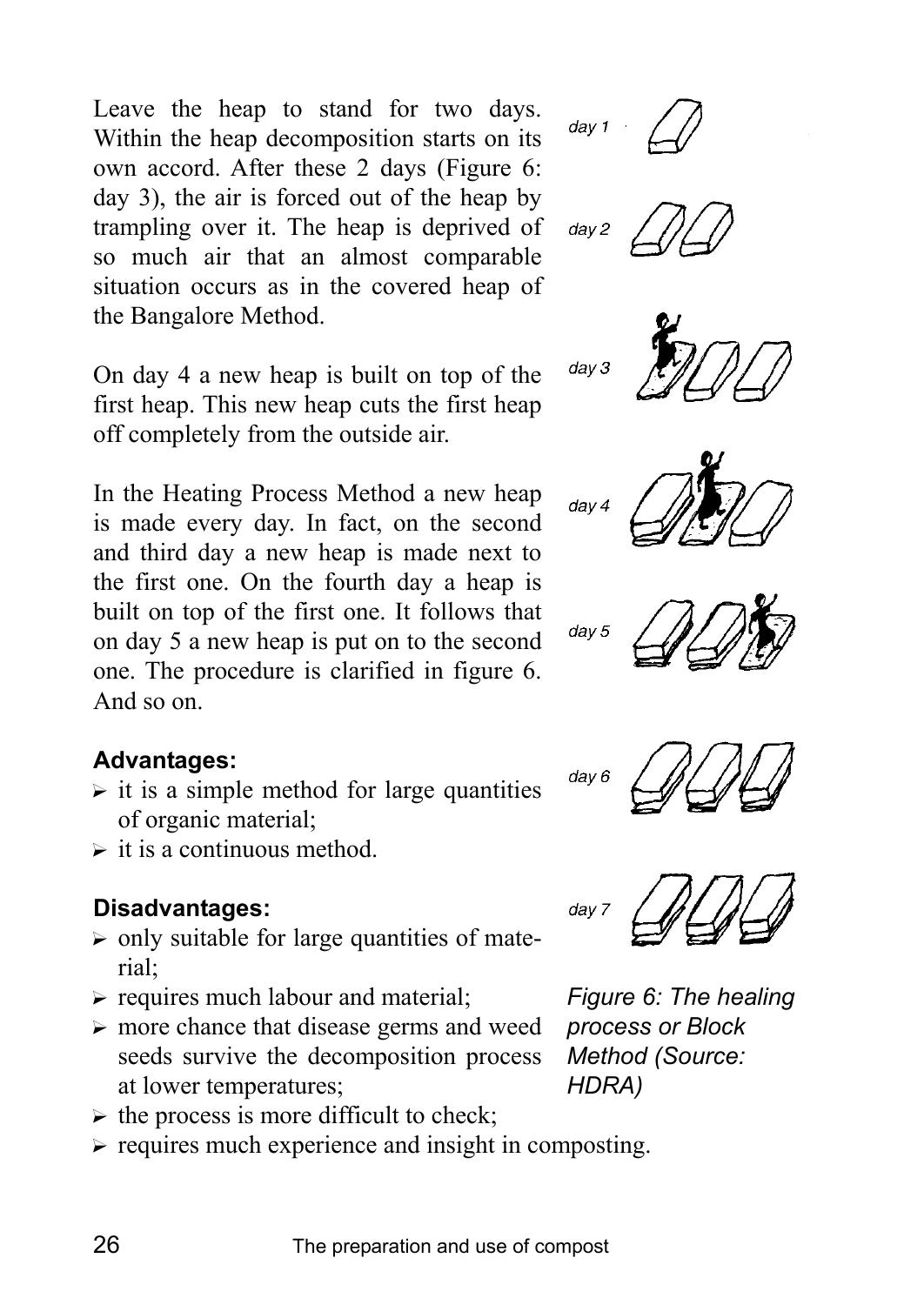Leave the heap to stand for two days. Within the heap decomposition starts on its own accord. After these 2 days (Figure 6: day 3), the air is forced out of the heap by trampling over it. The heap is deprived of so much air that an almost comparable situation occurs as in the covered heap of the Bangalore Method.

On day 4 a new heap is built on top of the first heap. This new heap cuts the first heap off completely from the outside air.

In the Heating Process Method a new heap is made every day. In fact, on the second and third day a new heap is made next to the first one. On the fourth day a heap is built on top of the first one. It follows that on day 5 a new heap is put on to the second one. The procedure is clarified in figure 6. And so on.

### **Advantages:**

- $\triangleright$  it is a simple method for large quantities of organic material;
- $\triangleright$  it is a continuous method.

## **Disadvantages:**

- $\triangleright$  only suitable for large quantities of material;
- $\triangleright$  requires much labour and material;
- $\triangleright$  more chance that disease germs and weed seeds survive the decomposition process at lower temperatures;
- $\triangleright$  the process is more difficult to check;
- $\triangleright$  requires much experience and insight in composting.















*Figure 6: The healing process or Block Method (Source: HDRA)*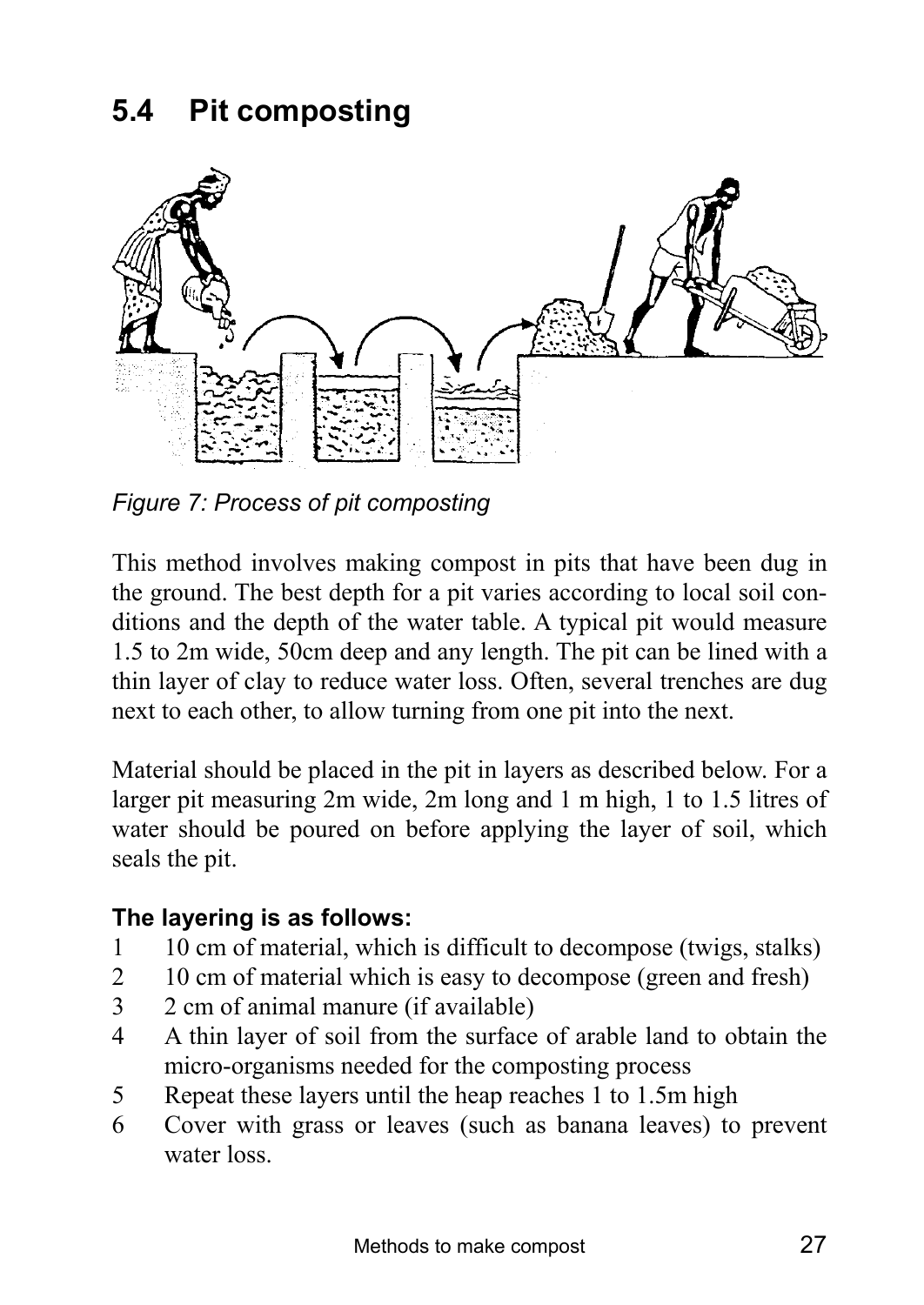# **5.4 Pit composting**



*Figure 7: Process of pit composting* 

This method involves making compost in pits that have been dug in the ground. The best depth for a pit varies according to local soil conditions and the depth of the water table. A typical pit would measure 1.5 to 2m wide, 50cm deep and any length. The pit can be lined with a thin layer of clay to reduce water loss. Often, several trenches are dug next to each other, to allow turning from one pit into the next.

Material should be placed in the pit in layers as described below. For a larger pit measuring 2m wide, 2m long and 1 m high, 1 to 1.5 litres of water should be poured on before applying the layer of soil, which seals the pit.

### **The layering is as follows:**

- 1 10 cm of material, which is difficult to decompose (twigs, stalks)
- 2 10 cm of material which is easy to decompose (green and fresh)
- 3 2 cm of animal manure (if available)
- 4 A thin layer of soil from the surface of arable land to obtain the micro-organisms needed for the composting process
- 5 Repeat these layers until the heap reaches 1 to 1.5m high
- 6 Cover with grass or leaves (such as banana leaves) to prevent water loss.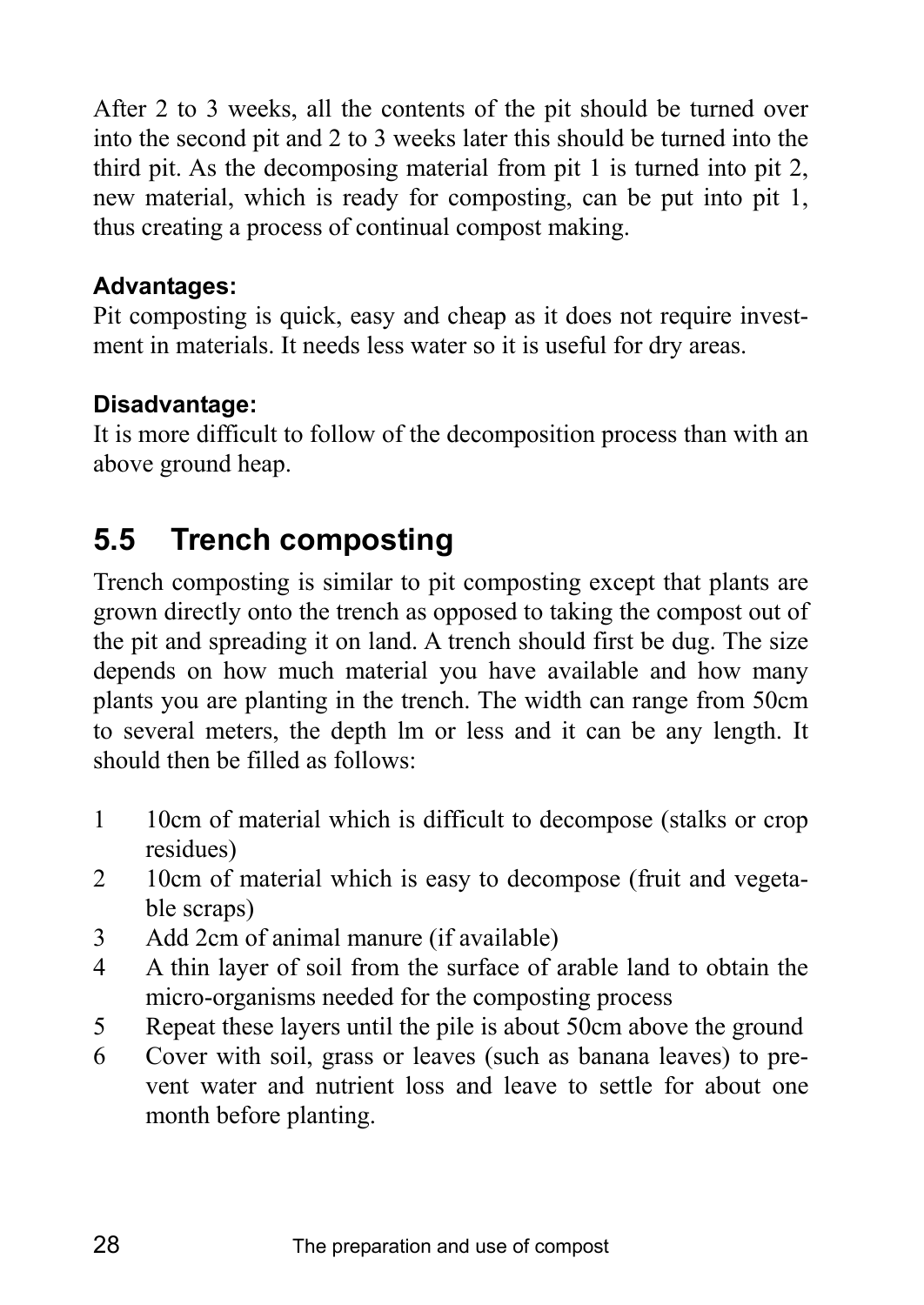After 2 to 3 weeks, all the contents of the pit should be turned over into the second pit and 2 to 3 weeks later this should be turned into the third pit. As the decomposing material from pit 1 is turned into pit 2, new material, which is ready for composting, can be put into pit 1, thus creating a process of continual compost making.

### **Advantages:**

Pit composting is quick, easy and cheap as it does not require investment in materials. It needs less water so it is useful for dry areas.

## **Disadvantage:**

It is more difficult to follow of the decomposition process than with an above ground heap.

# **5.5 Trench composting**

Trench composting is similar to pit composting except that plants are grown directly onto the trench as opposed to taking the compost out of the pit and spreading it on land. A trench should first be dug. The size depends on how much material you have available and how many plants you are planting in the trench. The width can range from 50cm to several meters, the depth lm or less and it can be any length. It should then be filled as follows:

- 1 10cm of material which is difficult to decompose (stalks or crop residues)
- 2 10cm of material which is easy to decompose (fruit and vegetable scraps)
- 3 Add 2cm of animal manure (if available)
- 4 A thin layer of soil from the surface of arable land to obtain the micro-organisms needed for the composting process
- 5 Repeat these layers until the pile is about 50cm above the ground
- 6 Cover with soil, grass or leaves (such as banana leaves) to prevent water and nutrient loss and leave to settle for about one month before planting.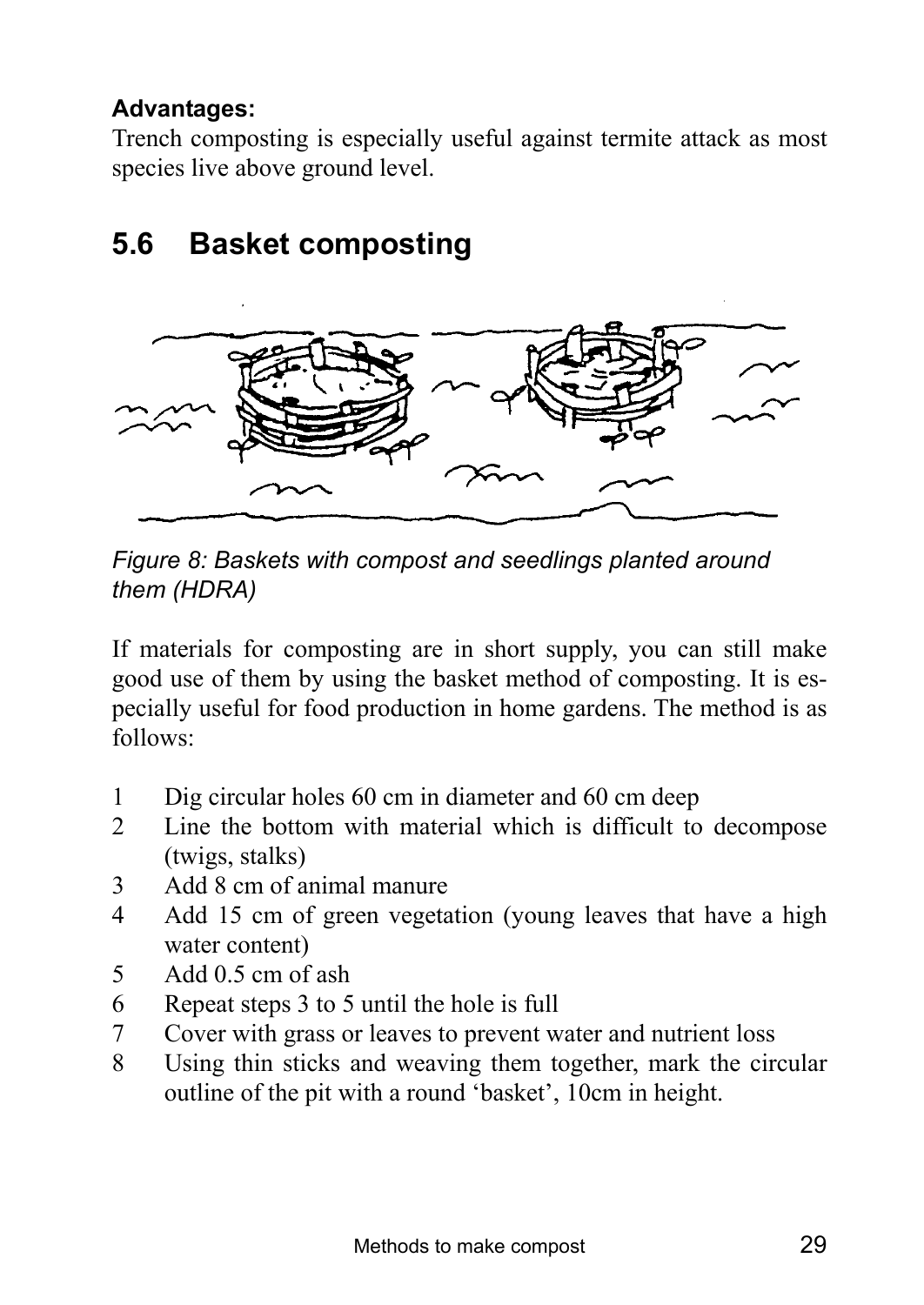## **Advantages:**

Trench composting is especially useful against termite attack as most species live above ground level.

# **5.6 Basket composting**



*Figure 8: Baskets with compost and seedlings planted around them (HDRA)* 

If materials for composting are in short supply, you can still make good use of them by using the basket method of composting. It is especially useful for food production in home gardens. The method is as follows:

- 1 Dig circular holes 60 cm in diameter and 60 cm deep
- 2 Line the bottom with material which is difficult to decompose (twigs, stalks)
- 3 Add 8 cm of animal manure
- 4 Add 15 cm of green vegetation (young leaves that have a high water content)
- 5 Add 0.5 cm of ash
- 6 Repeat steps 3 to 5 until the hole is full
- 7 Cover with grass or leaves to prevent water and nutrient loss
- 8 Using thin sticks and weaving them together, mark the circular outline of the pit with a round 'basket', 10cm in height.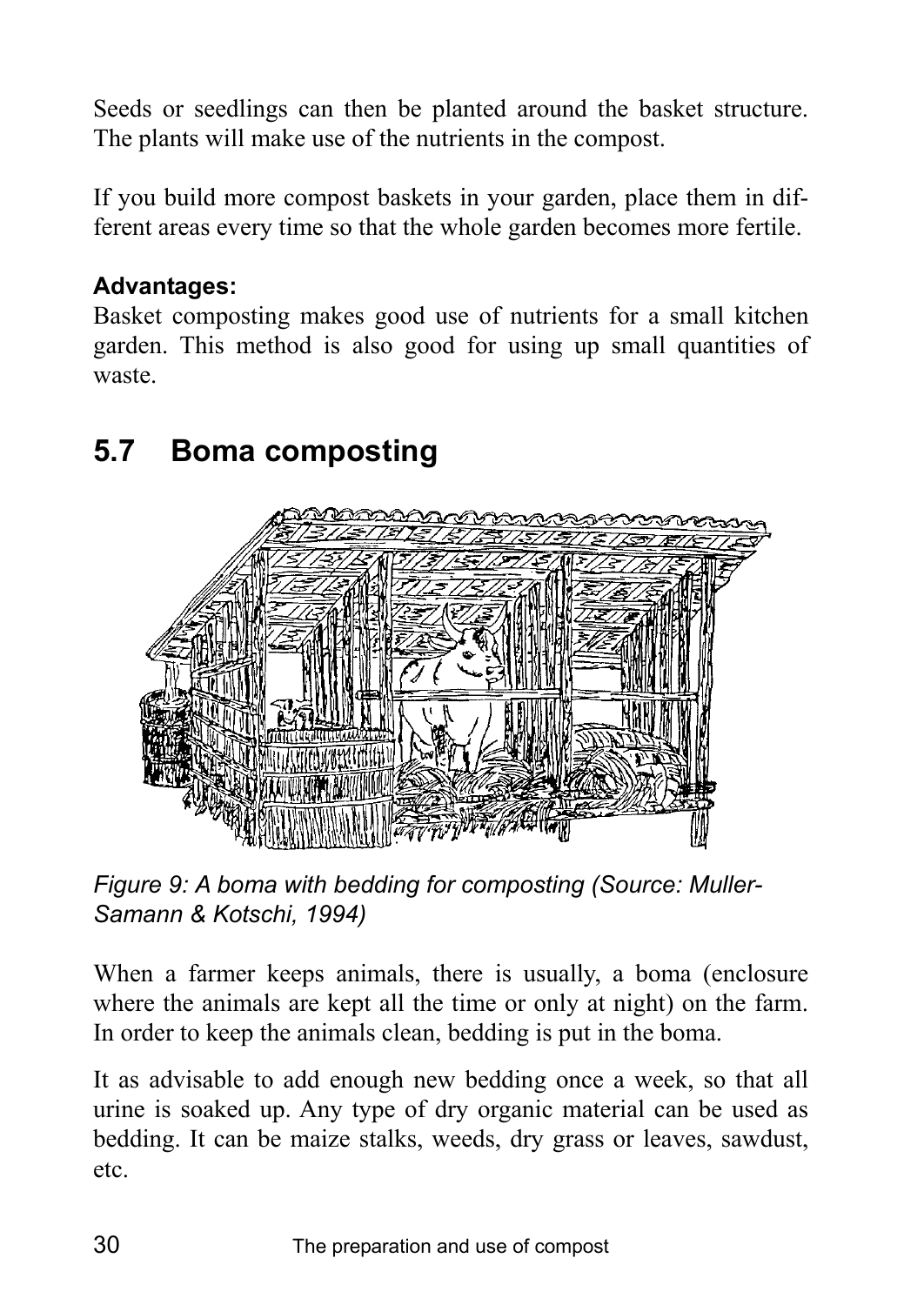Seeds or seedlings can then be planted around the basket structure. The plants will make use of the nutrients in the compost.

If you build more compost baskets in your garden, place them in different areas every time so that the whole garden becomes more fertile.

#### **Advantages:**

Basket composting makes good use of nutrients for a small kitchen garden. This method is also good for using up small quantities of waste.

# **5.7 Boma composting**



*Figure 9: A boma with bedding for composting (Source: Muller-Samann & Kotschi, 1994)* 

When a farmer keeps animals, there is usually, a boma (enclosure where the animals are kept all the time or only at night) on the farm. In order to keep the animals clean, bedding is put in the boma.

It as advisable to add enough new bedding once a week, so that all urine is soaked up. Any type of dry organic material can be used as bedding. It can be maize stalks, weeds, dry grass or leaves, sawdust, etc.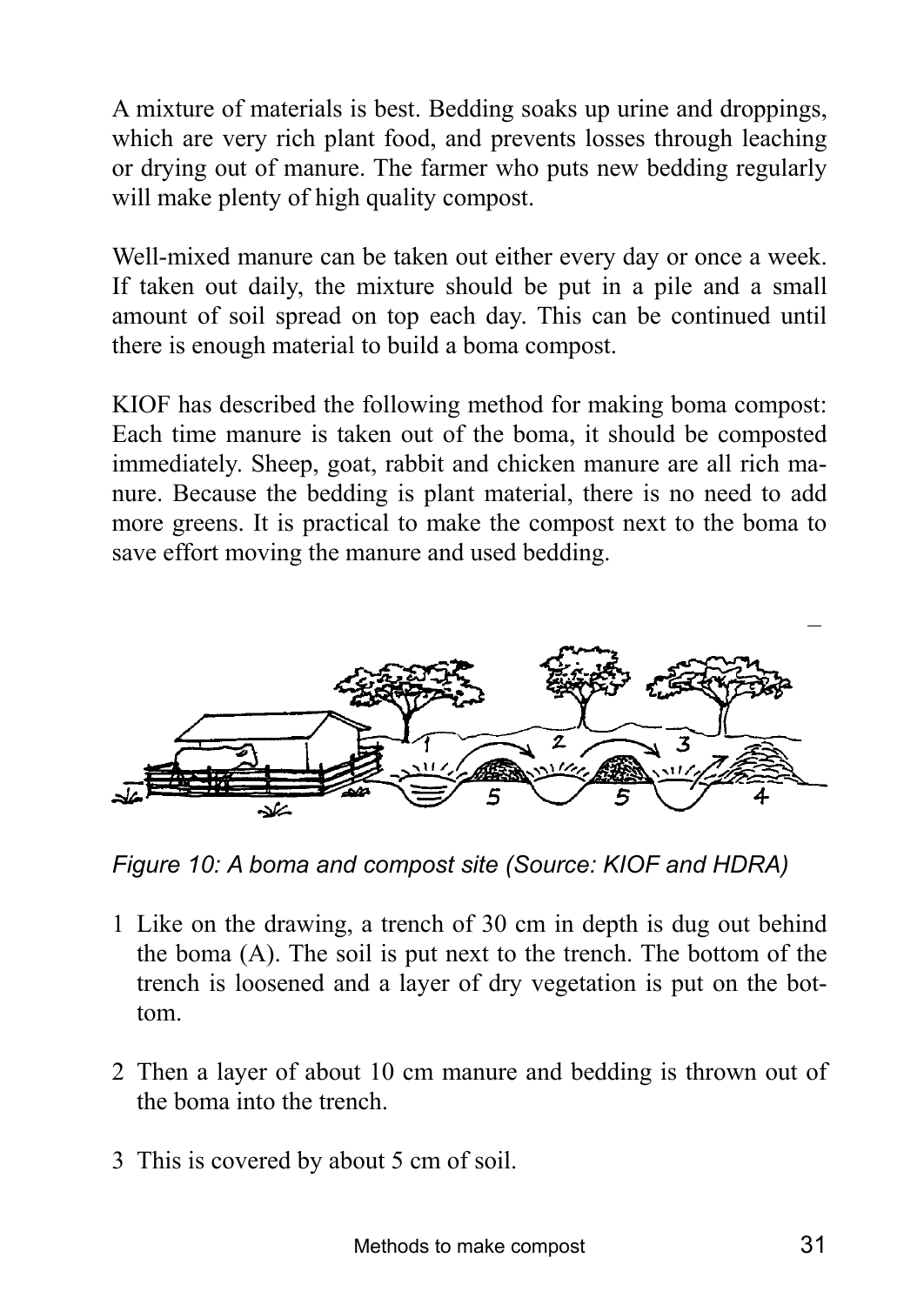A mixture of materials is best. Bedding soaks up urine and droppings, which are very rich plant food, and prevents losses through leaching or drying out of manure. The farmer who puts new bedding regularly will make plenty of high quality compost.

Well-mixed manure can be taken out either every day or once a week. If taken out daily, the mixture should be put in a pile and a small amount of soil spread on top each day. This can be continued until there is enough material to build a boma compost.

KIOF has described the following method for making boma compost: Each time manure is taken out of the boma, it should be composted immediately. Sheep, goat, rabbit and chicken manure are all rich manure. Because the bedding is plant material, there is no need to add more greens. It is practical to make the compost next to the boma to save effort moving the manure and used bedding.



*Figure 10: A boma and compost site (Source: KIOF and HDRA)* 

- 1 Like on the drawing, a trench of 30 cm in depth is dug out behind the boma (A). The soil is put next to the trench. The bottom of the trench is loosened and a layer of dry vegetation is put on the bottom.
- 2 Then a layer of about 10 cm manure and bedding is thrown out of the boma into the trench.
- 3 This is covered by about 5 cm of soil.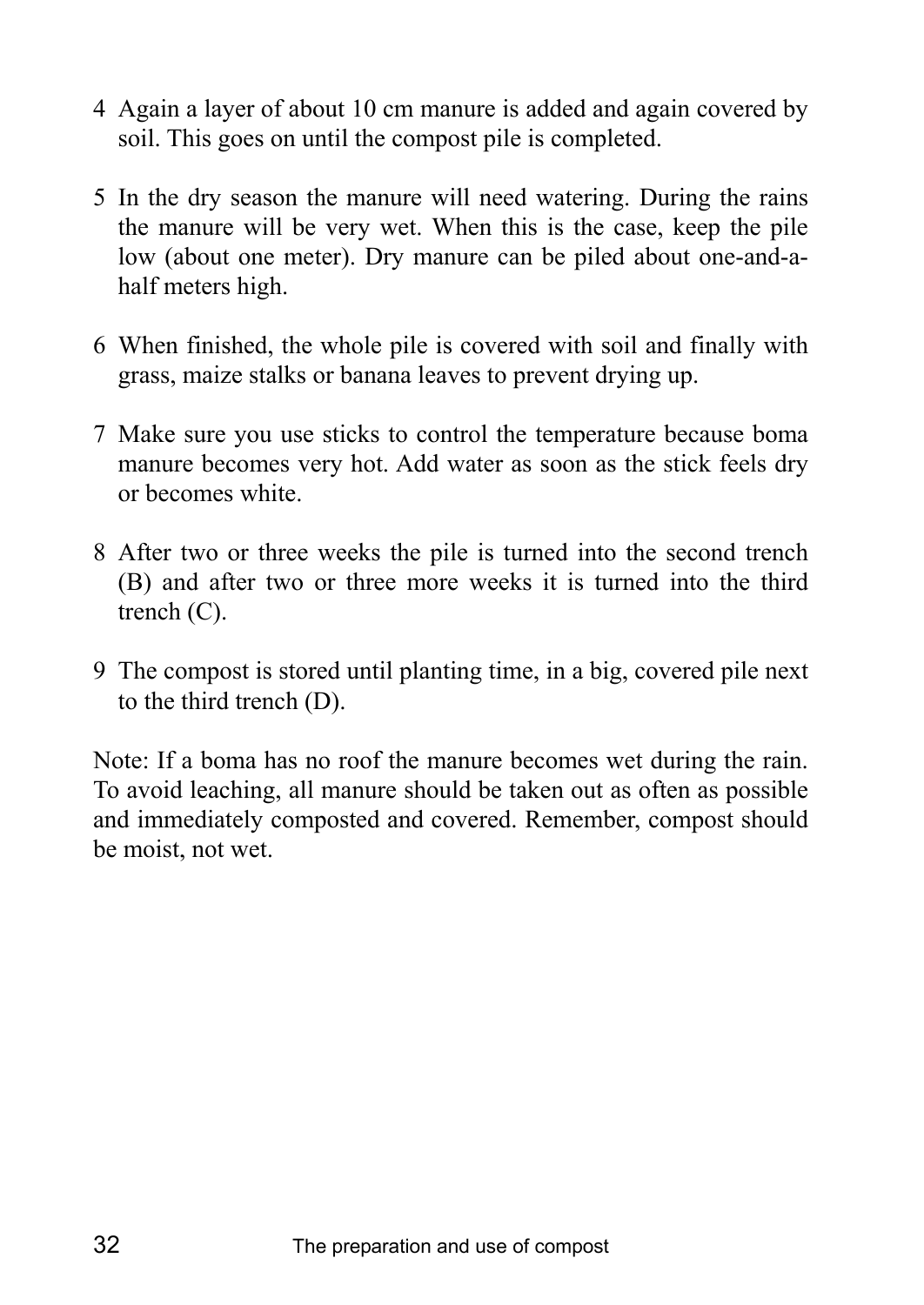- 4 Again a layer of about 10 cm manure is added and again covered by soil. This goes on until the compost pile is completed.
- 5 In the dry season the manure will need watering. During the rains the manure will be very wet. When this is the case, keep the pile low (about one meter). Dry manure can be piled about one-and-ahalf meters high.
- 6 When finished, the whole pile is covered with soil and finally with grass, maize stalks or banana leaves to prevent drying up.
- 7 Make sure you use sticks to control the temperature because boma manure becomes very hot. Add water as soon as the stick feels dry or becomes white.
- 8 After two or three weeks the pile is turned into the second trench (B) and after two or three more weeks it is turned into the third trench (C).
- 9 The compost is stored until planting time, in a big, covered pile next to the third trench (D).

Note: If a boma has no roof the manure becomes wet during the rain. To avoid leaching, all manure should be taken out as often as possible and immediately composted and covered. Remember, compost should be moist, not wet.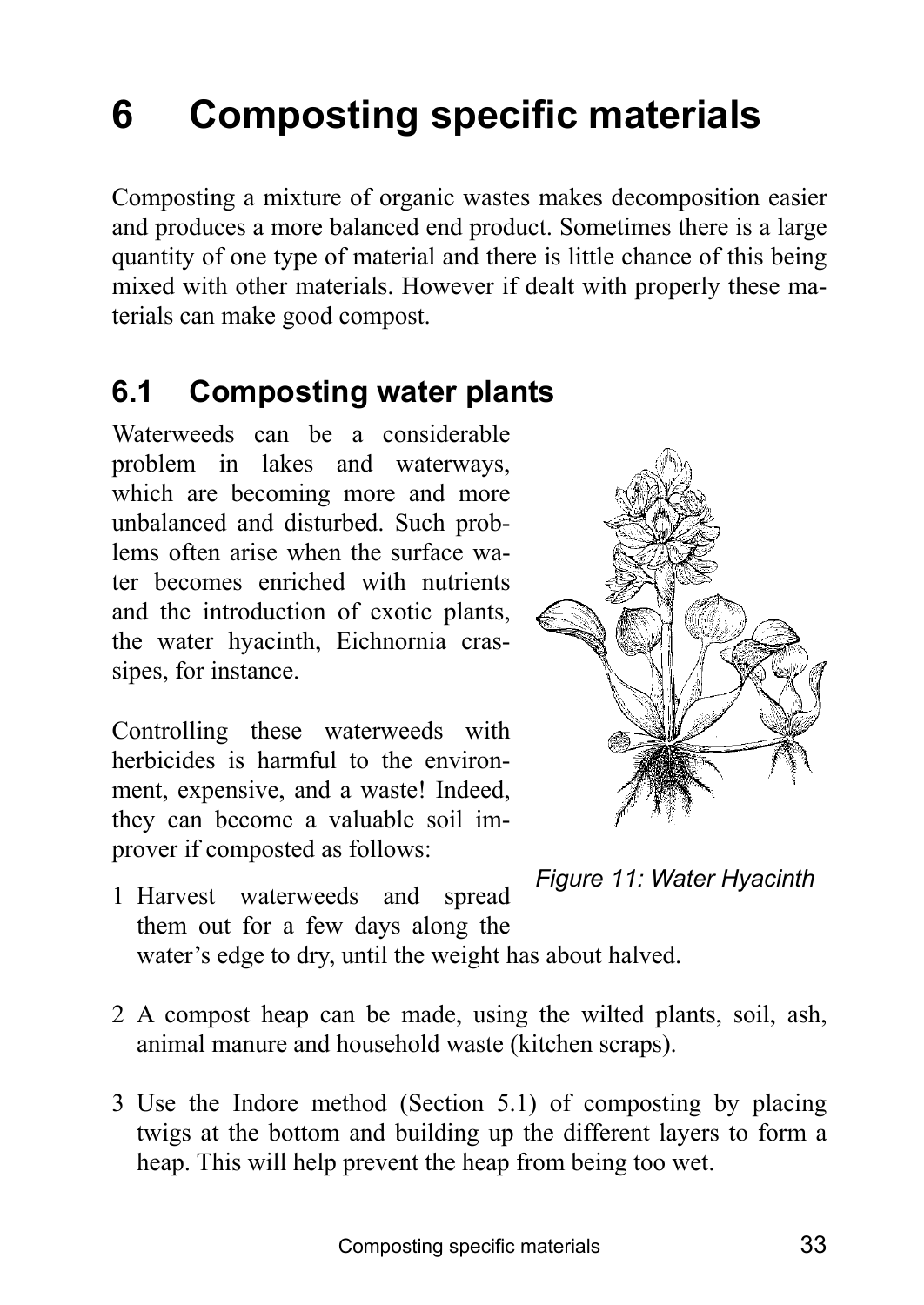# **6 Composting specific materials**

Composting a mixture of organic wastes makes decomposition easier and produces a more balanced end product. Sometimes there is a large quantity of one type of material and there is little chance of this being mixed with other materials. However if dealt with properly these materials can make good compost.

# **6.1 Composting water plants**

Waterweeds can be a considerable problem in lakes and waterways, which are becoming more and more unbalanced and disturbed. Such problems often arise when the surface water becomes enriched with nutrients and the introduction of exotic plants, the water hyacinth, Eichnornia crassipes, for instance.

Controlling these waterweeds with herbicides is harmful to the environment, expensive, and a waste! Indeed, they can become a valuable soil improver if composted as follows:





- 1 Harvest waterweeds and spread them out for a few days along the water's edge to dry, until the weight has about halved.
- 2 A compost heap can be made, using the wilted plants, soil, ash, animal manure and household waste (kitchen scraps).
- 3 Use the Indore method (Section 5.1) of composting by placing twigs at the bottom and building up the different layers to form a heap. This will help prevent the heap from being too wet.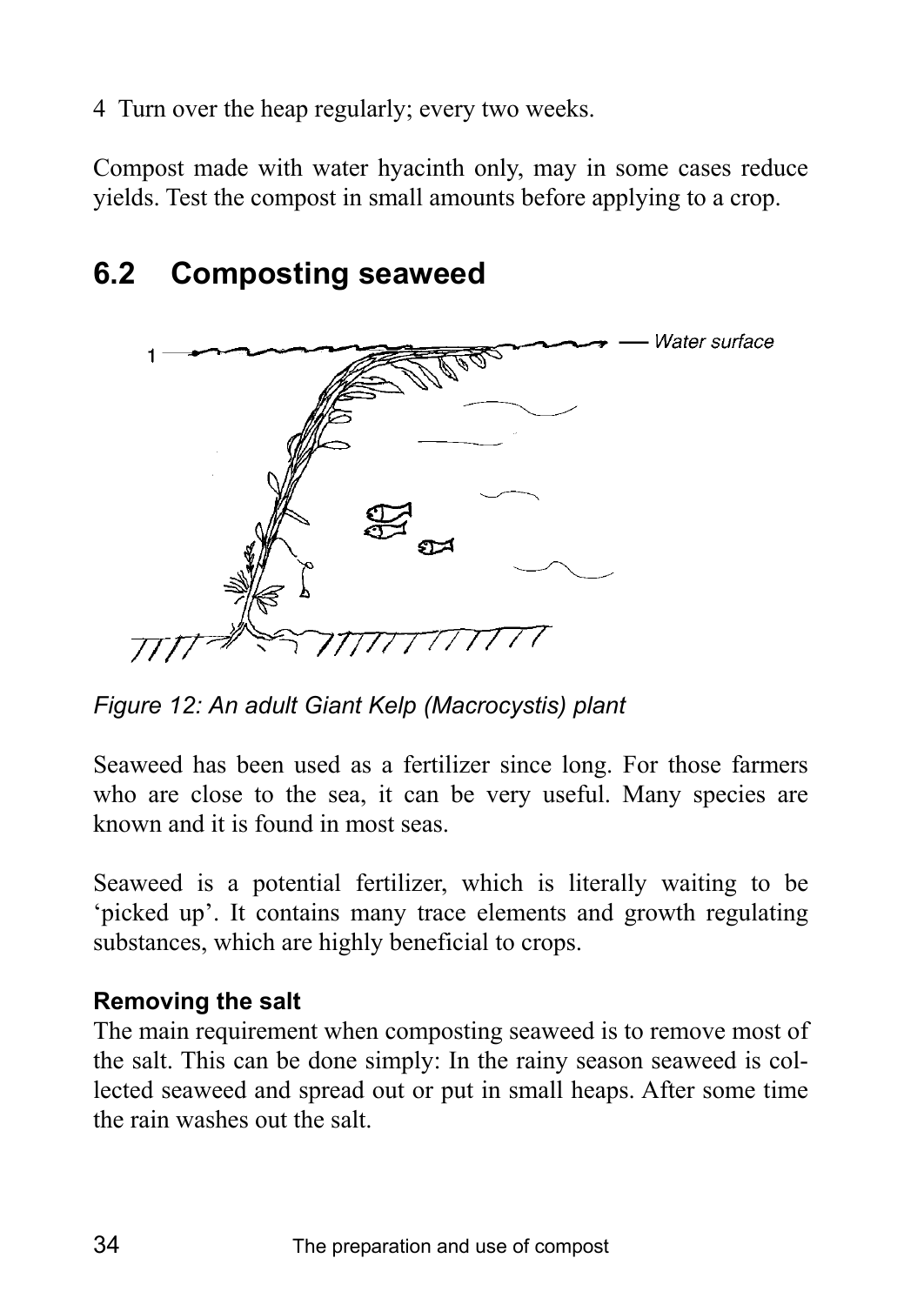4 Turn over the heap regularly; every two weeks.

Compost made with water hyacinth only, may in some cases reduce yields. Test the compost in small amounts before applying to a crop.

# **6.2 Composting seaweed**



*Figure 12: An adult Giant Kelp (Macrocystis) plant* 

Seaweed has been used as a fertilizer since long. For those farmers who are close to the sea, it can be very useful. Many species are known and it is found in most seas.

Seaweed is a potential fertilizer, which is literally waiting to be 'picked up'. It contains many trace elements and growth regulating substances, which are highly beneficial to crops.

## **Removing the salt**

The main requirement when composting seaweed is to remove most of the salt. This can be done simply: In the rainy season seaweed is collected seaweed and spread out or put in small heaps. After some time the rain washes out the salt.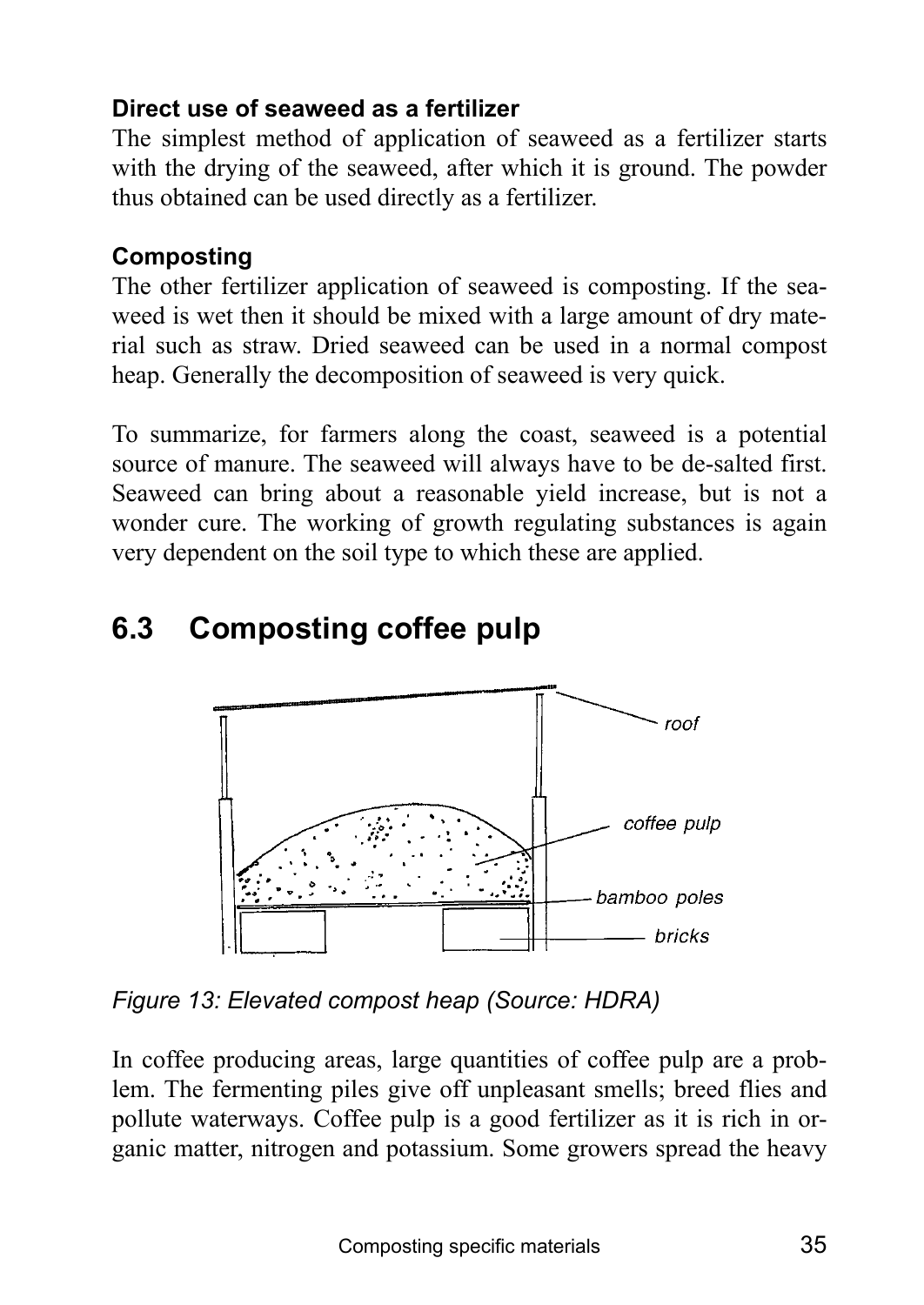## **Direct use of seaweed as a fertilizer**

The simplest method of application of seaweed as a fertilizer starts with the drying of the seaweed, after which it is ground. The powder thus obtained can be used directly as a fertilizer.

## **Composting**

The other fertilizer application of seaweed is composting. If the seaweed is wet then it should be mixed with a large amount of dry material such as straw. Dried seaweed can be used in a normal compost heap. Generally the decomposition of seaweed is very quick.

To summarize, for farmers along the coast, seaweed is a potential source of manure. The seaweed will always have to be de-salted first. Seaweed can bring about a reasonable yield increase, but is not a wonder cure. The working of growth regulating substances is again very dependent on the soil type to which these are applied.

# **6.3 Composting coffee pulp**



*Figure 13: Elevated compost heap (Source: HDRA)* 

In coffee producing areas, large quantities of coffee pulp are a problem. The fermenting piles give off unpleasant smells; breed flies and pollute waterways. Coffee pulp is a good fertilizer as it is rich in organic matter, nitrogen and potassium. Some growers spread the heavy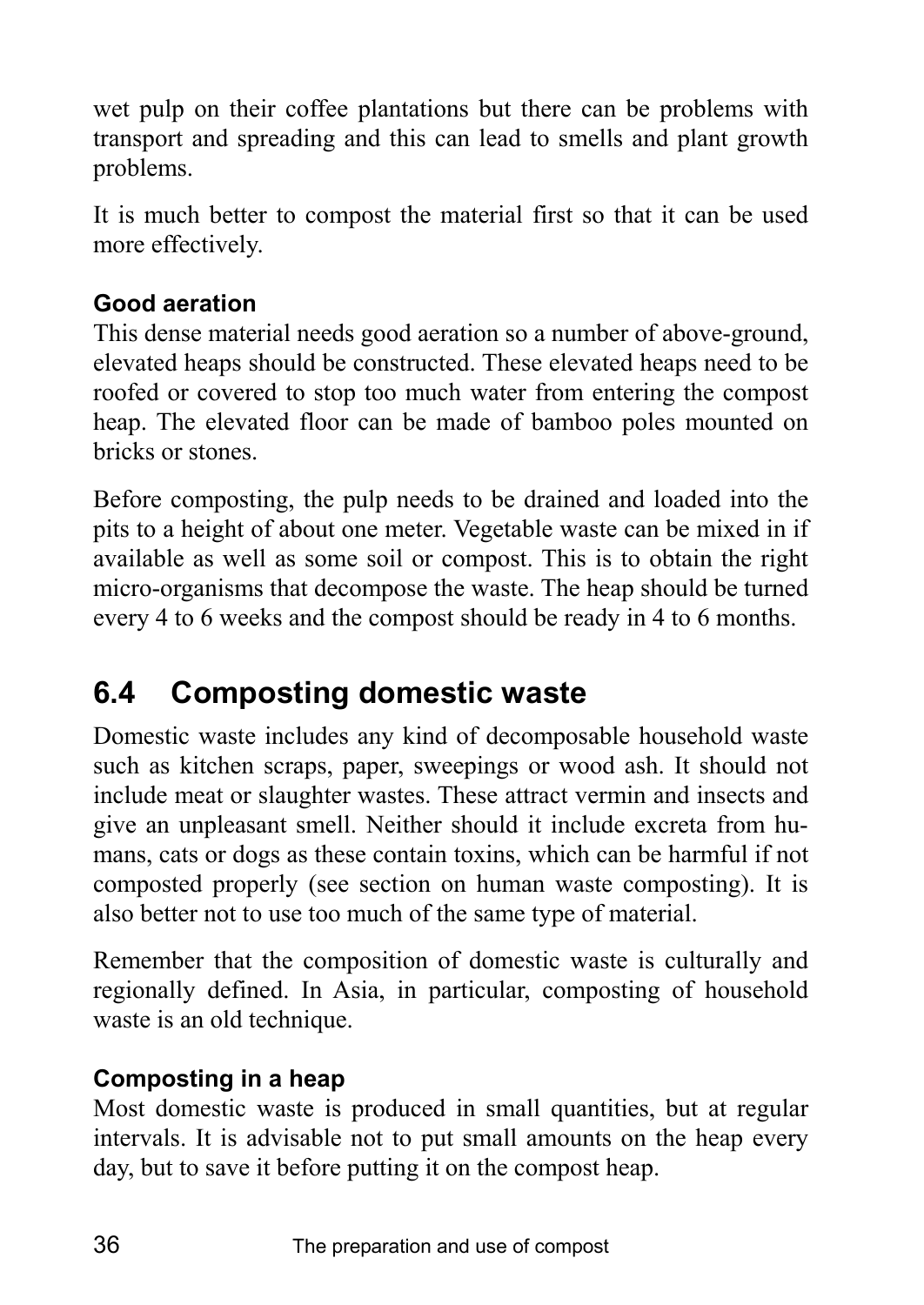wet pulp on their coffee plantations but there can be problems with transport and spreading and this can lead to smells and plant growth problems.

It is much better to compost the material first so that it can be used more effectively.

## **Good aeration**

This dense material needs good aeration so a number of above-ground, elevated heaps should be constructed. These elevated heaps need to be roofed or covered to stop too much water from entering the compost heap. The elevated floor can be made of bamboo poles mounted on bricks or stones.

Before composting, the pulp needs to be drained and loaded into the pits to a height of about one meter. Vegetable waste can be mixed in if available as well as some soil or compost. This is to obtain the right micro-organisms that decompose the waste. The heap should be turned every 4 to 6 weeks and the compost should be ready in 4 to 6 months.

# **6.4 Composting domestic waste**

Domestic waste includes any kind of decomposable household waste such as kitchen scraps, paper, sweepings or wood ash. It should not include meat or slaughter wastes. These attract vermin and insects and give an unpleasant smell. Neither should it include excreta from humans, cats or dogs as these contain toxins, which can be harmful if not composted properly (see section on human waste composting). It is also better not to use too much of the same type of material.

Remember that the composition of domestic waste is culturally and regionally defined. In Asia, in particular, composting of household waste is an old technique.

# **Composting in a heap**

Most domestic waste is produced in small quantities, but at regular intervals. It is advisable not to put small amounts on the heap every day, but to save it before putting it on the compost heap.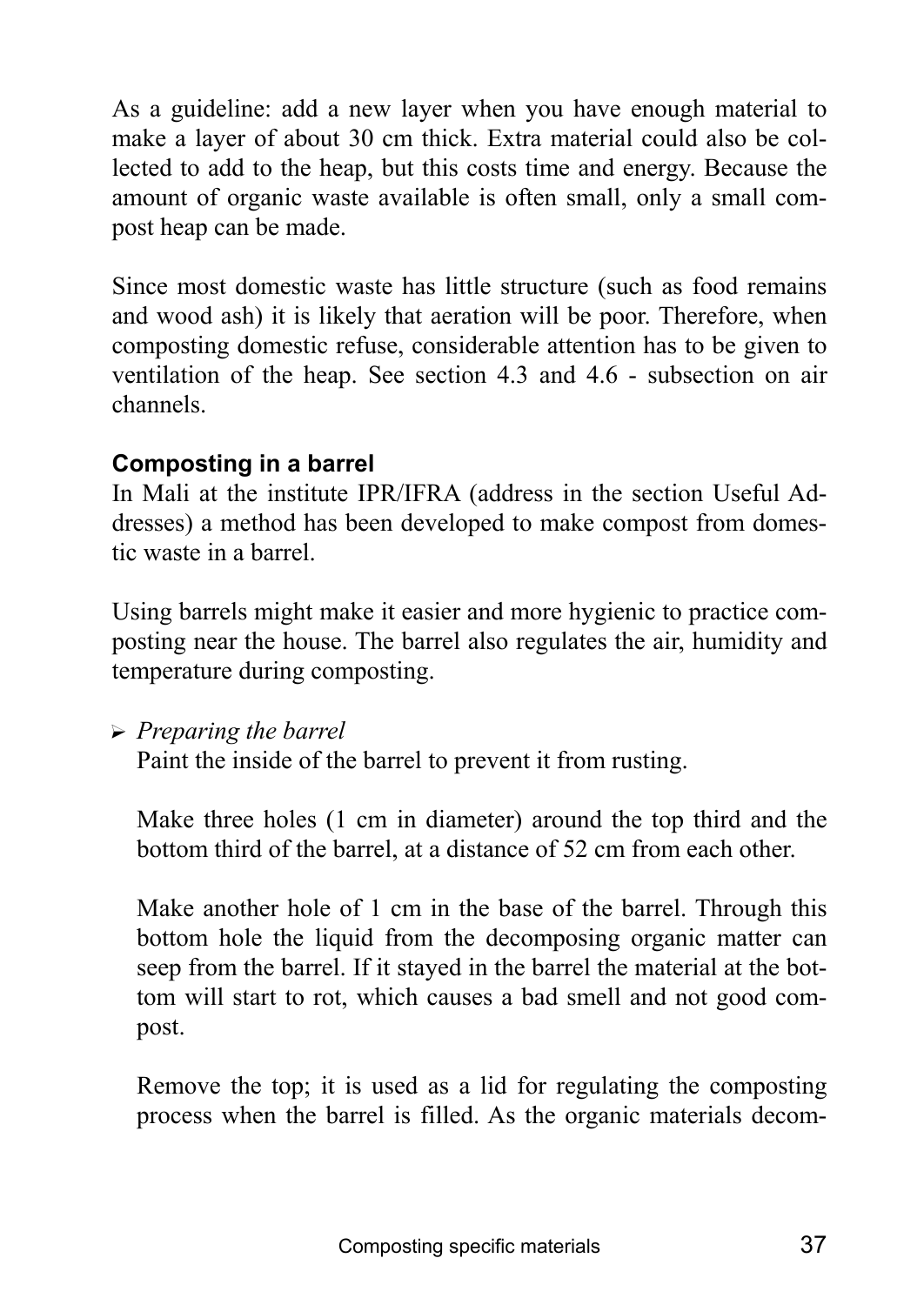As a guideline: add a new layer when you have enough material to make a layer of about 30 cm thick. Extra material could also be collected to add to the heap, but this costs time and energy. Because the amount of organic waste available is often small, only a small compost heap can be made.

Since most domestic waste has little structure (such as food remains and wood ash) it is likely that aeration will be poor. Therefore, when composting domestic refuse, considerable attention has to be given to ventilation of the heap. See section 4.3 and 4.6 - subsection on air channels.

## **Composting in a barrel**

In Mali at the institute IPR/IFRA (address in the section Useful Addresses) a method has been developed to make compost from domestic waste in a barrel.

Using barrels might make it easier and more hygienic to practice composting near the house. The barrel also regulates the air, humidity and temperature during composting.

? *Preparing the barrel*

Paint the inside of the barrel to prevent it from rusting.

Make three holes (1 cm in diameter) around the top third and the bottom third of the barrel, at a distance of 52 cm from each other.

Make another hole of 1 cm in the base of the barrel. Through this bottom hole the liquid from the decomposing organic matter can seep from the barrel. If it stayed in the barrel the material at the bottom will start to rot, which causes a bad smell and not good compost.

Remove the top; it is used as a lid for regulating the composting process when the barrel is filled. As the organic materials decom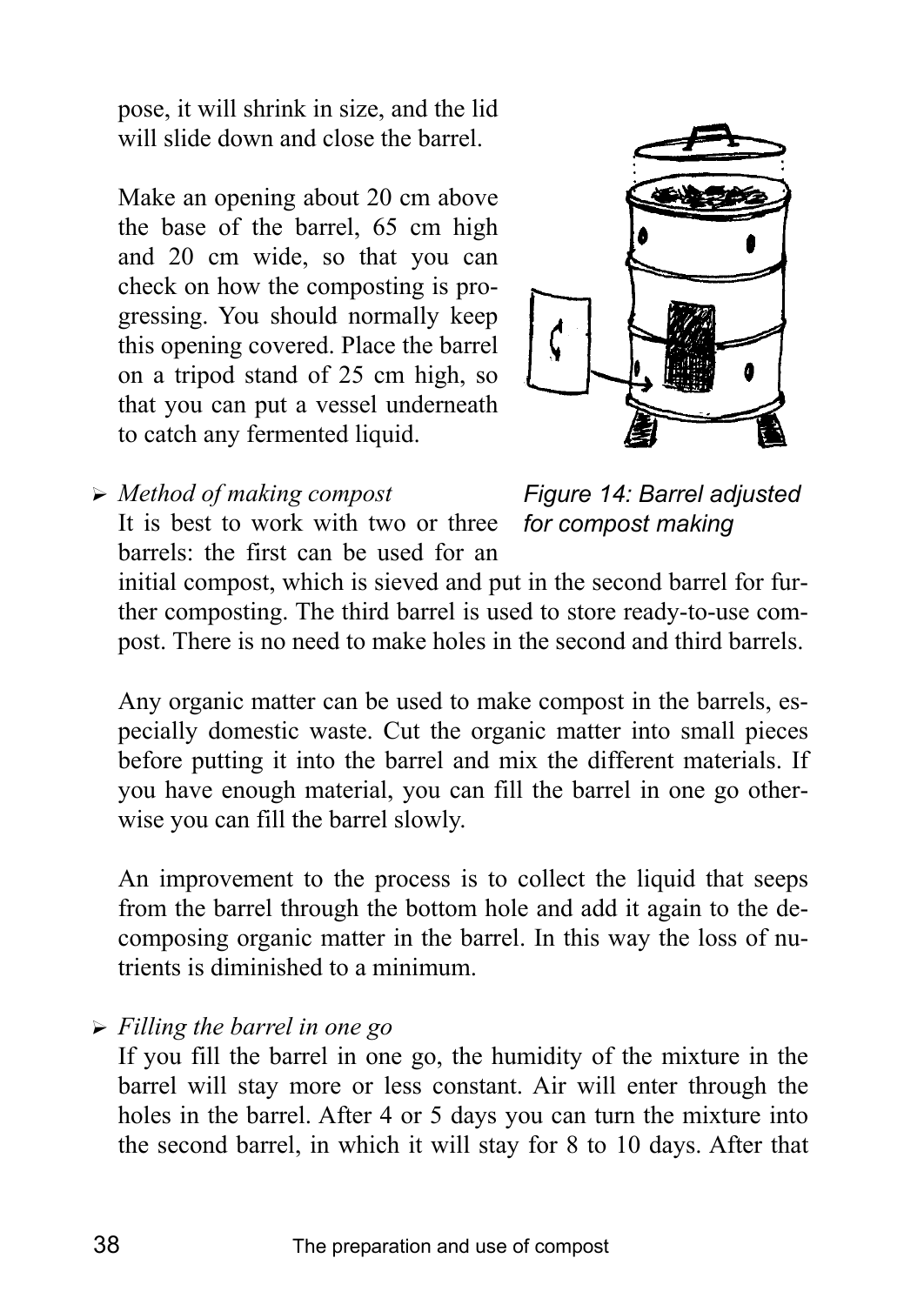pose, it will shrink in size, and the lid will slide down and close the barrel

Make an opening about 20 cm above the base of the barrel, 65 cm high and 20 cm wide, so that you can check on how the composting is progressing. You should normally keep this opening covered. Place the barrel on a tripod stand of 25 cm high, so that you can put a vessel underneath to catch any fermented liquid.



? *Method of making compost* It is best to work with two or three barrels: the first can be used for an

*Figure 14: Barrel adjusted for compost making* 

initial compost, which is sieved and put in the second barrel for further composting. The third barrel is used to store ready-to-use compost. There is no need to make holes in the second and third barrels.

Any organic matter can be used to make compost in the barrels, especially domestic waste. Cut the organic matter into small pieces before putting it into the barrel and mix the different materials. If you have enough material, you can fill the barrel in one go otherwise you can fill the barrel slowly.

An improvement to the process is to collect the liquid that seeps from the barrel through the bottom hole and add it again to the decomposing organic matter in the barrel. In this way the loss of nutrients is diminished to a minimum.

? *Filling the barrel in one go*

If you fill the barrel in one go, the humidity of the mixture in the barrel will stay more or less constant. Air will enter through the holes in the barrel. After 4 or 5 days you can turn the mixture into the second barrel, in which it will stay for 8 to 10 days. After that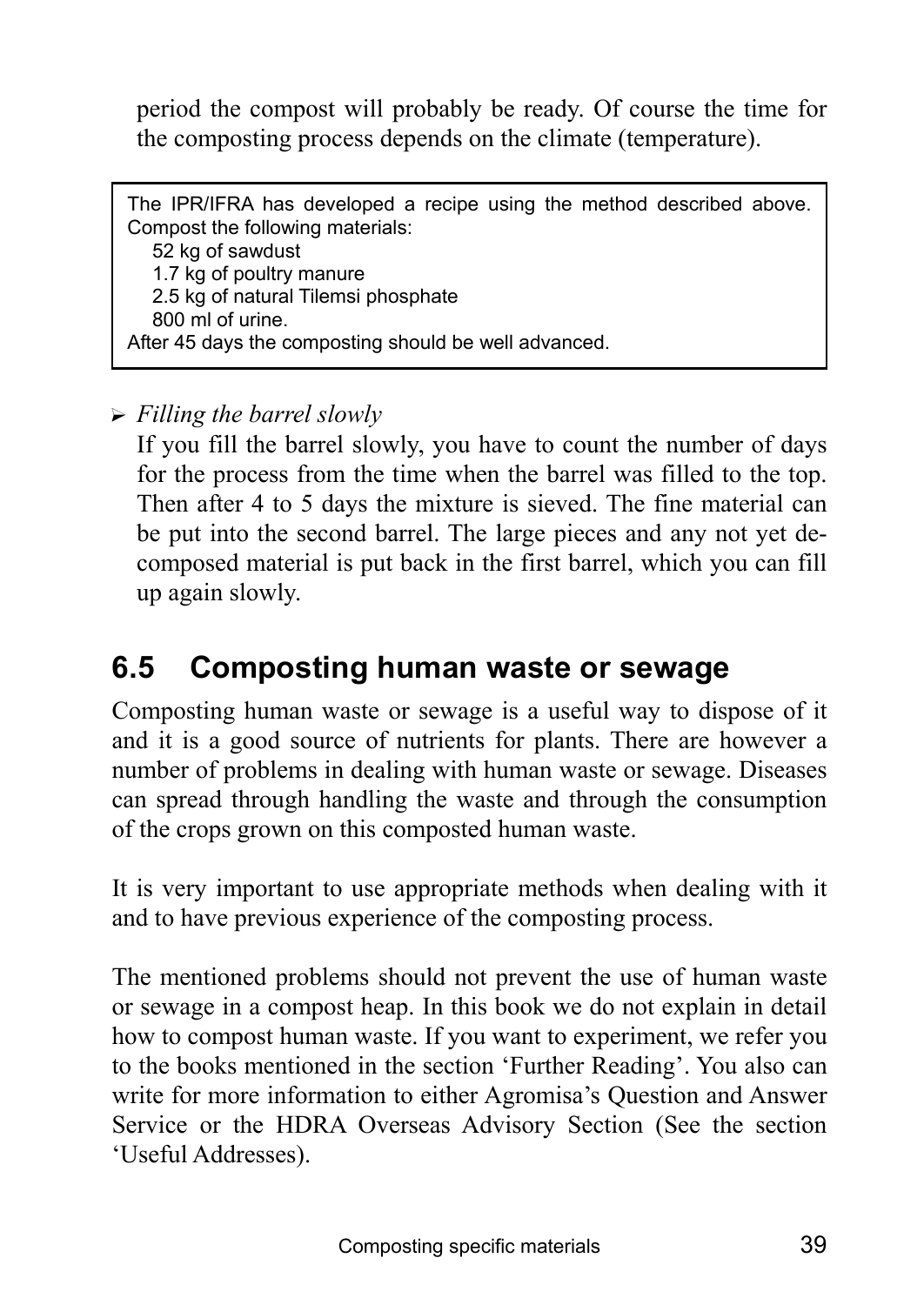period the compost will probably be ready. Of course the time for the composting process depends on the climate (temperature).

The IPR/IFRA has developed a recipe using the method described above. Compost the following materials: 52 kg of sawdust 1.7 kg of poultry manure 2.5 kg of natural Tilemsi phosphate 800 ml of urine. After 45 days the composting should be well advanced.

? *Filling the barrel slowly*

If you fill the barrel slowly, you have to count the number of days for the process from the time when the barrel was filled to the top. Then after 4 to 5 days the mixture is sieved. The fine material can be put into the second barrel. The large pieces and any not yet decomposed material is put back in the first barrel, which you can fill up again slowly.

# **6.5 Composting human waste or sewage**

Composting human waste or sewage is a useful way to dispose of it and it is a good source of nutrients for plants. There are however a number of problems in dealing with human waste or sewage. Diseases can spread through handling the waste and through the consumption of the crops grown on this composted human waste.

It is very important to use appropriate methods when dealing with it and to have previous experience of the composting process.

The mentioned problems should not prevent the use of human waste or sewage in a compost heap. In this book we do not explain in detail how to compost human waste. If you want to experiment, we refer you to the books mentioned in the section 'Further Reading'. You also can write for more information to either Agromisa's Question and Answer Service or the HDRA Overseas Advisory Section (See the section ëUseful Addresses).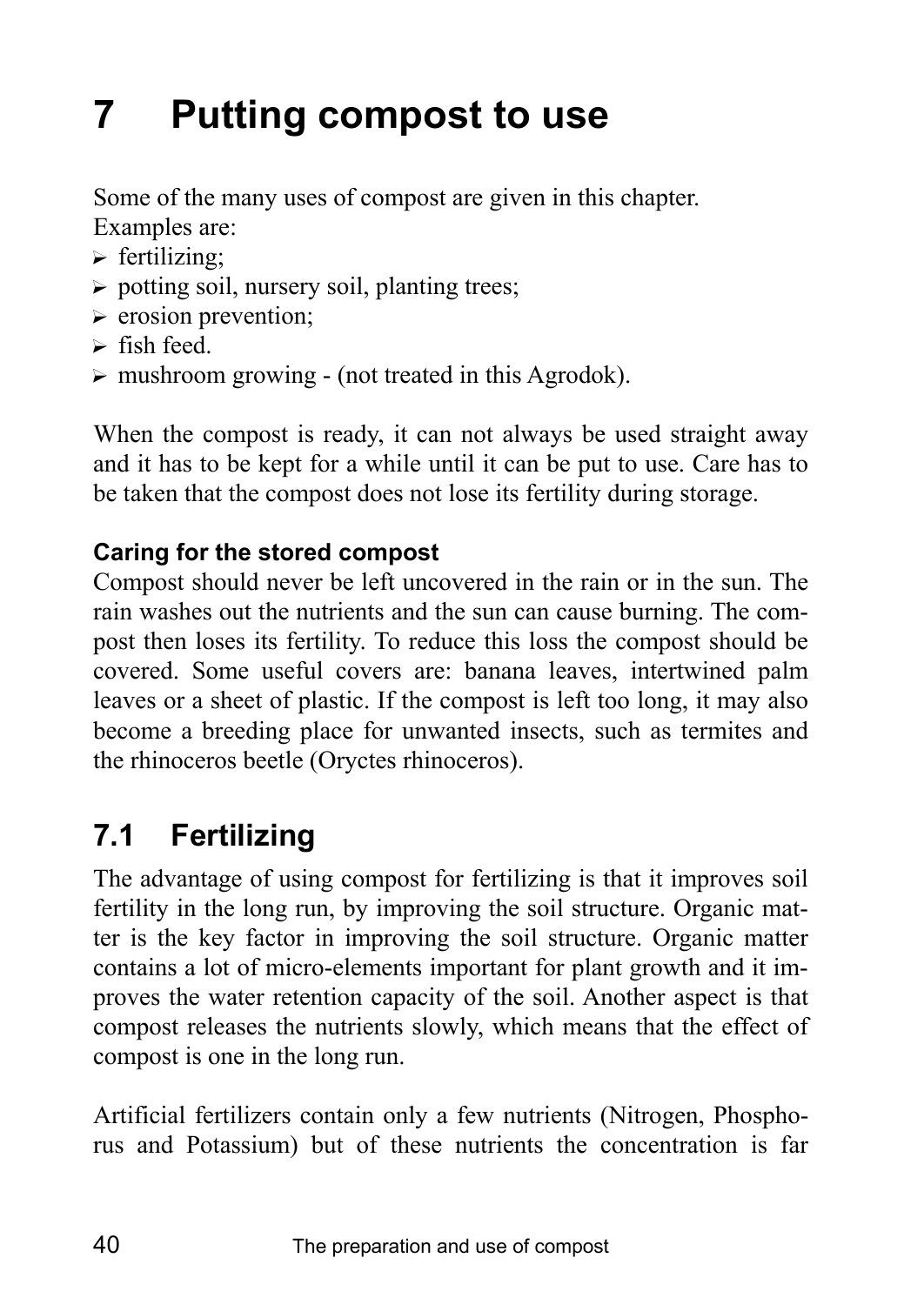# **7 Putting compost to use**

Some of the many uses of compost are given in this chapter. Examples are:

- $\triangleright$  fertilizing;
- $\triangleright$  potting soil, nursery soil, planting trees;
- $\triangleright$  erosion prevention;
- $\triangleright$  fish feed.
- $\triangleright$  mushroom growing (not treated in this Agrodok).

When the compost is ready, it can not always be used straight away and it has to be kept for a while until it can be put to use. Care has to be taken that the compost does not lose its fertility during storage.

# **Caring for the stored compost**

Compost should never be left uncovered in the rain or in the sun. The rain washes out the nutrients and the sun can cause burning. The compost then loses its fertility. To reduce this loss the compost should be covered. Some useful covers are: banana leaves, intertwined palm leaves or a sheet of plastic. If the compost is left too long, it may also become a breeding place for unwanted insects, such as termites and the rhinoceros beetle (Oryctes rhinoceros).

# **7.1 Fertilizing**

The advantage of using compost for fertilizing is that it improves soil fertility in the long run, by improving the soil structure. Organic matter is the key factor in improving the soil structure. Organic matter contains a lot of micro-elements important for plant growth and it improves the water retention capacity of the soil. Another aspect is that compost releases the nutrients slowly, which means that the effect of compost is one in the long run.

Artificial fertilizers contain only a few nutrients (Nitrogen, Phosphorus and Potassium) but of these nutrients the concentration is far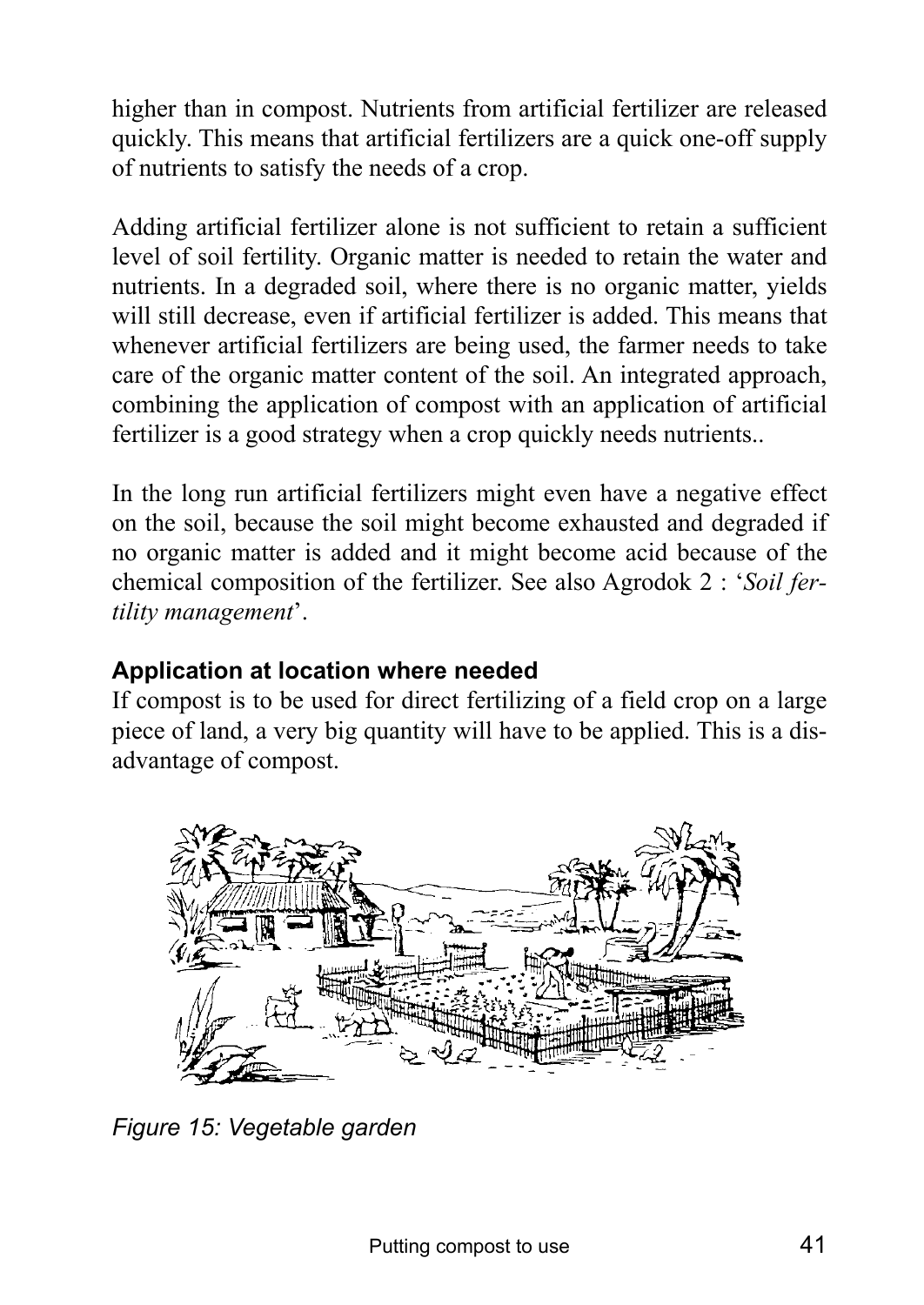higher than in compost. Nutrients from artificial fertilizer are released quickly. This means that artificial fertilizers are a quick one-off supply of nutrients to satisfy the needs of a crop.

Adding artificial fertilizer alone is not sufficient to retain a sufficient level of soil fertility. Organic matter is needed to retain the water and nutrients. In a degraded soil, where there is no organic matter, yields will still decrease, even if artificial fertilizer is added. This means that whenever artificial fertilizers are being used, the farmer needs to take care of the organic matter content of the soil. An integrated approach, combining the application of compost with an application of artificial fertilizer is a good strategy when a crop quickly needs nutrients..

In the long run artificial fertilizers might even have a negative effect on the soil, because the soil might become exhausted and degraded if no organic matter is added and it might become acid because of the chemical composition of the fertilizer. See also Agrodok 2 : ë*Soil fer*tility management<sup>'</sup>.

## **Application at location where needed**

If compost is to be used for direct fertilizing of a field crop on a large piece of land, a very big quantity will have to be applied. This is a disadvantage of compost.



*Figure 15: Vegetable garden*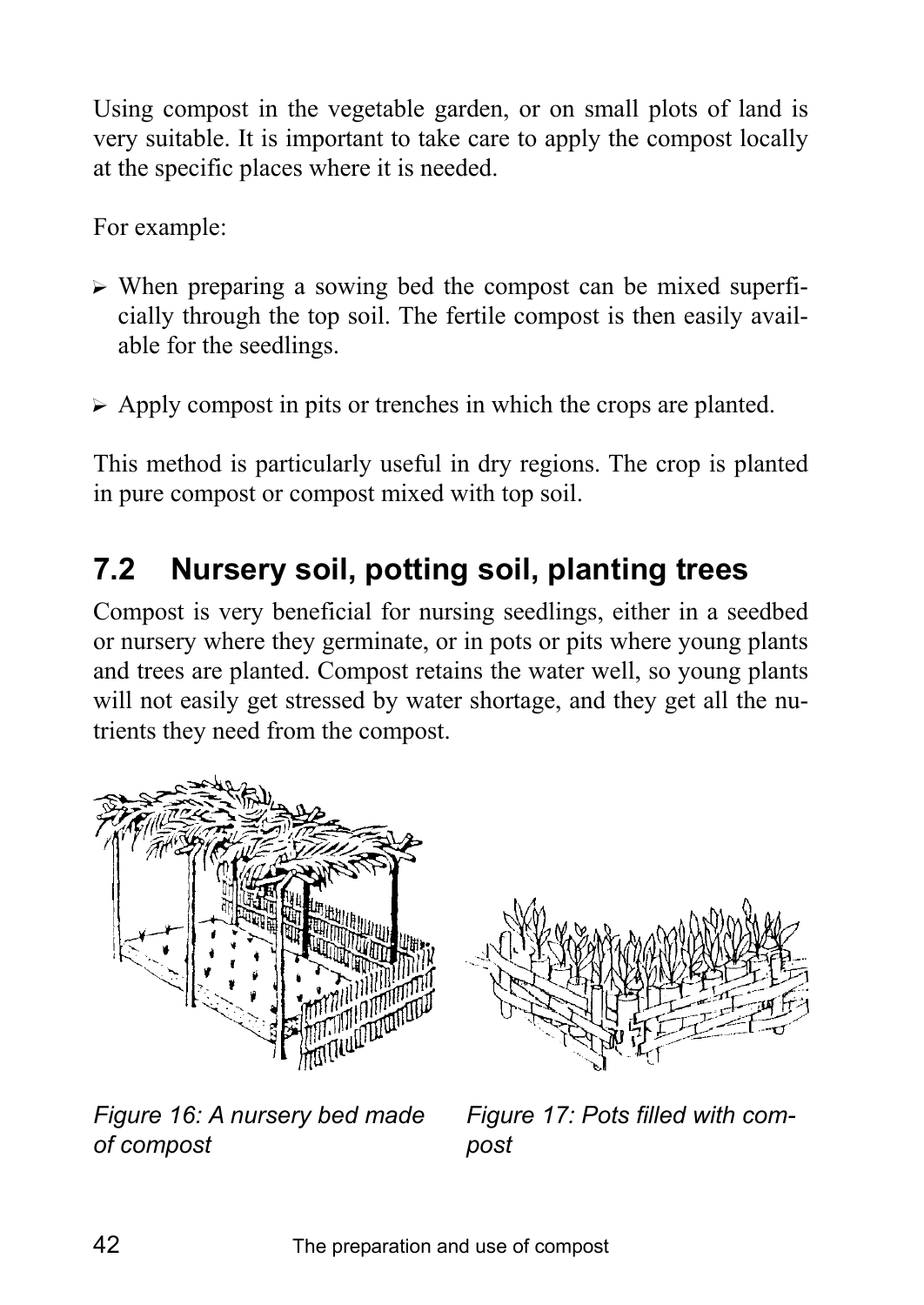Using compost in the vegetable garden, or on small plots of land is very suitable. It is important to take care to apply the compost locally at the specific places where it is needed.

For example:

- $\triangleright$  When preparing a sowing bed the compost can be mixed superficially through the top soil. The fertile compost is then easily available for the seedlings.
- $\triangleright$  Apply compost in pits or trenches in which the crops are planted.

This method is particularly useful in dry regions. The crop is planted in pure compost or compost mixed with top soil.

# **7.2 Nursery soil, potting soil, planting trees**

Compost is very beneficial for nursing seedlings, either in a seedbed or nursery where they germinate, or in pots or pits where young plants and trees are planted. Compost retains the water well, so young plants will not easily get stressed by water shortage, and they get all the nutrients they need from the compost.



*Figure 16: A nursery bed made of compost* 



*Figure 17: Pots filled with compost*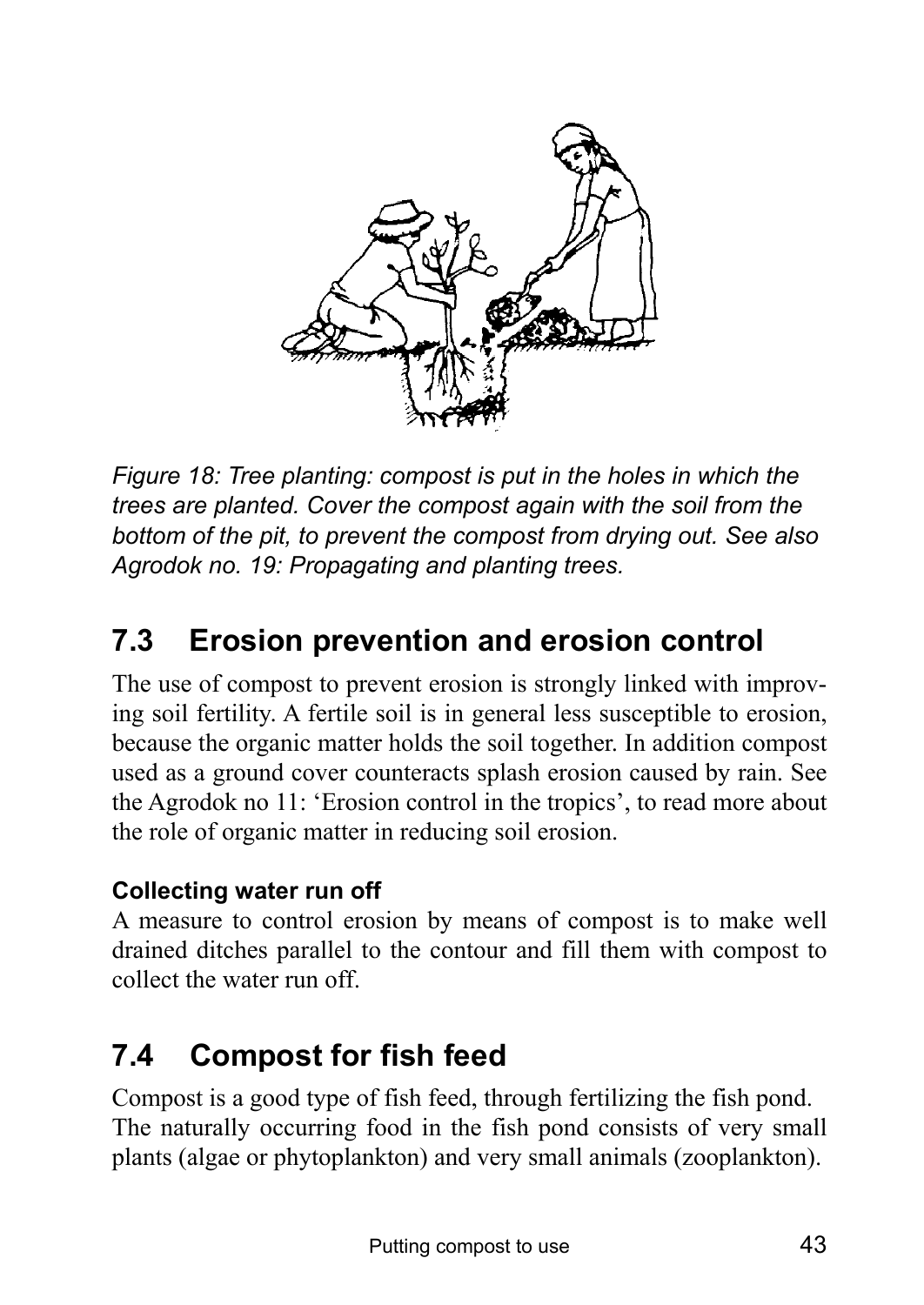

*Figure 18: Tree planting: compost is put in the holes in which the trees are planted. Cover the compost again with the soil from the bottom of the pit, to prevent the compost from drying out. See also Agrodok no. 19: Propagating and planting trees.* 

# **7.3 Erosion prevention and erosion control**

The use of compost to prevent erosion is strongly linked with improving soil fertility. A fertile soil is in general less susceptible to erosion, because the organic matter holds the soil together. In addition compost used as a ground cover counteracts splash erosion caused by rain. See the Agrodok no 11: 'Erosion control in the tropics', to read more about the role of organic matter in reducing soil erosion.

## **Collecting water run off**

A measure to control erosion by means of compost is to make well drained ditches parallel to the contour and fill them with compost to collect the water run off.

# **7.4 Compost for fish feed**

Compost is a good type of fish feed, through fertilizing the fish pond. The naturally occurring food in the fish pond consists of very small plants (algae or phytoplankton) and very small animals (zooplankton).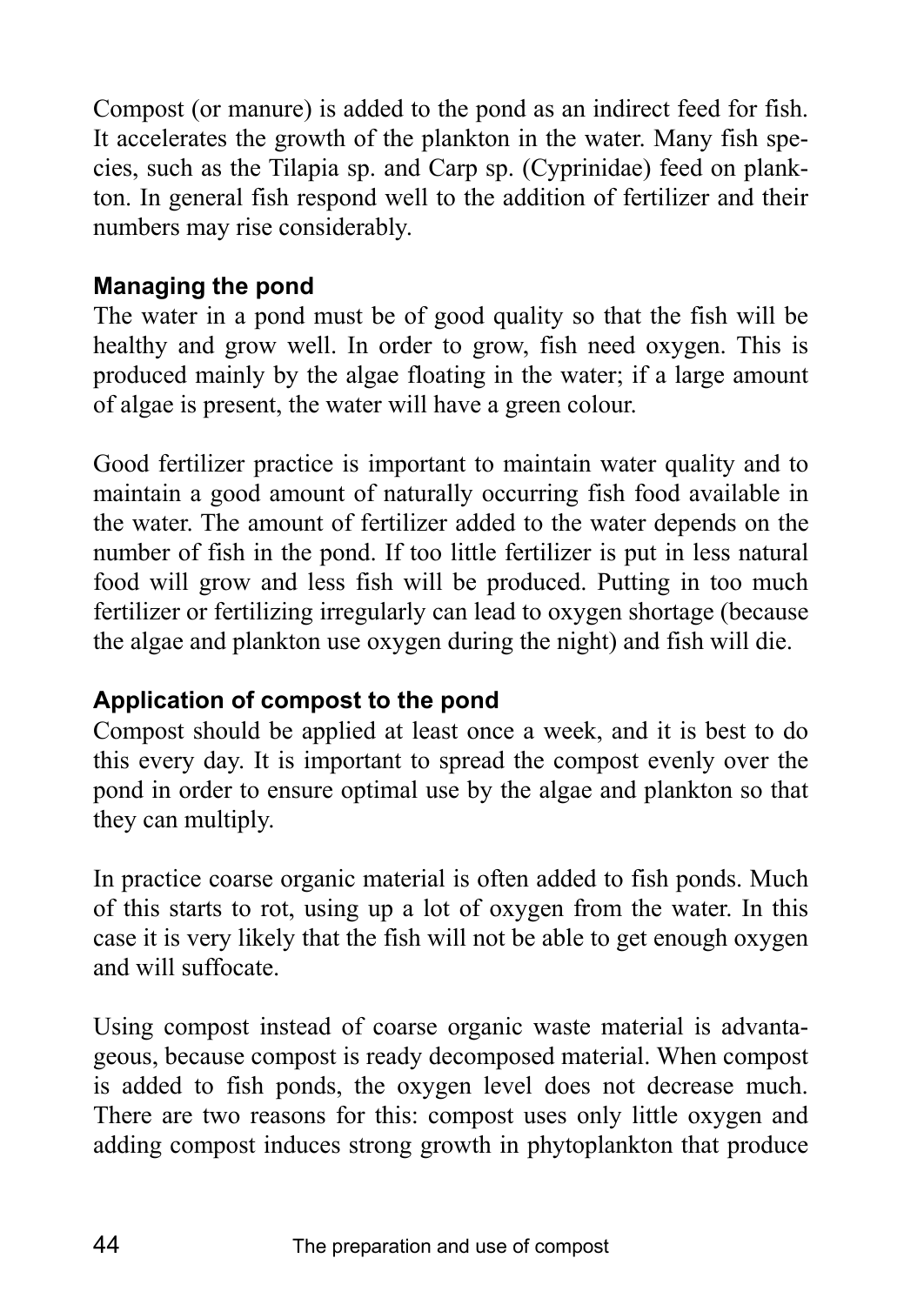Compost (or manure) is added to the pond as an indirect feed for fish. It accelerates the growth of the plankton in the water. Many fish species, such as the Tilapia sp. and Carp sp. (Cyprinidae) feed on plankton. In general fish respond well to the addition of fertilizer and their numbers may rise considerably.

### **Managing the pond**

The water in a pond must be of good quality so that the fish will be healthy and grow well. In order to grow, fish need oxygen. This is produced mainly by the algae floating in the water; if a large amount of algae is present, the water will have a green colour.

Good fertilizer practice is important to maintain water quality and to maintain a good amount of naturally occurring fish food available in the water. The amount of fertilizer added to the water depends on the number of fish in the pond. If too little fertilizer is put in less natural food will grow and less fish will be produced. Putting in too much fertilizer or fertilizing irregularly can lead to oxygen shortage (because the algae and plankton use oxygen during the night) and fish will die.

### **Application of compost to the pond**

Compost should be applied at least once a week, and it is best to do this every day. It is important to spread the compost evenly over the pond in order to ensure optimal use by the algae and plankton so that they can multiply.

In practice coarse organic material is often added to fish ponds. Much of this starts to rot, using up a lot of oxygen from the water. In this case it is very likely that the fish will not be able to get enough oxygen and will suffocate.

Using compost instead of coarse organic waste material is advantageous, because compost is ready decomposed material. When compost is added to fish ponds, the oxygen level does not decrease much. There are two reasons for this: compost uses only little oxygen and adding compost induces strong growth in phytoplankton that produce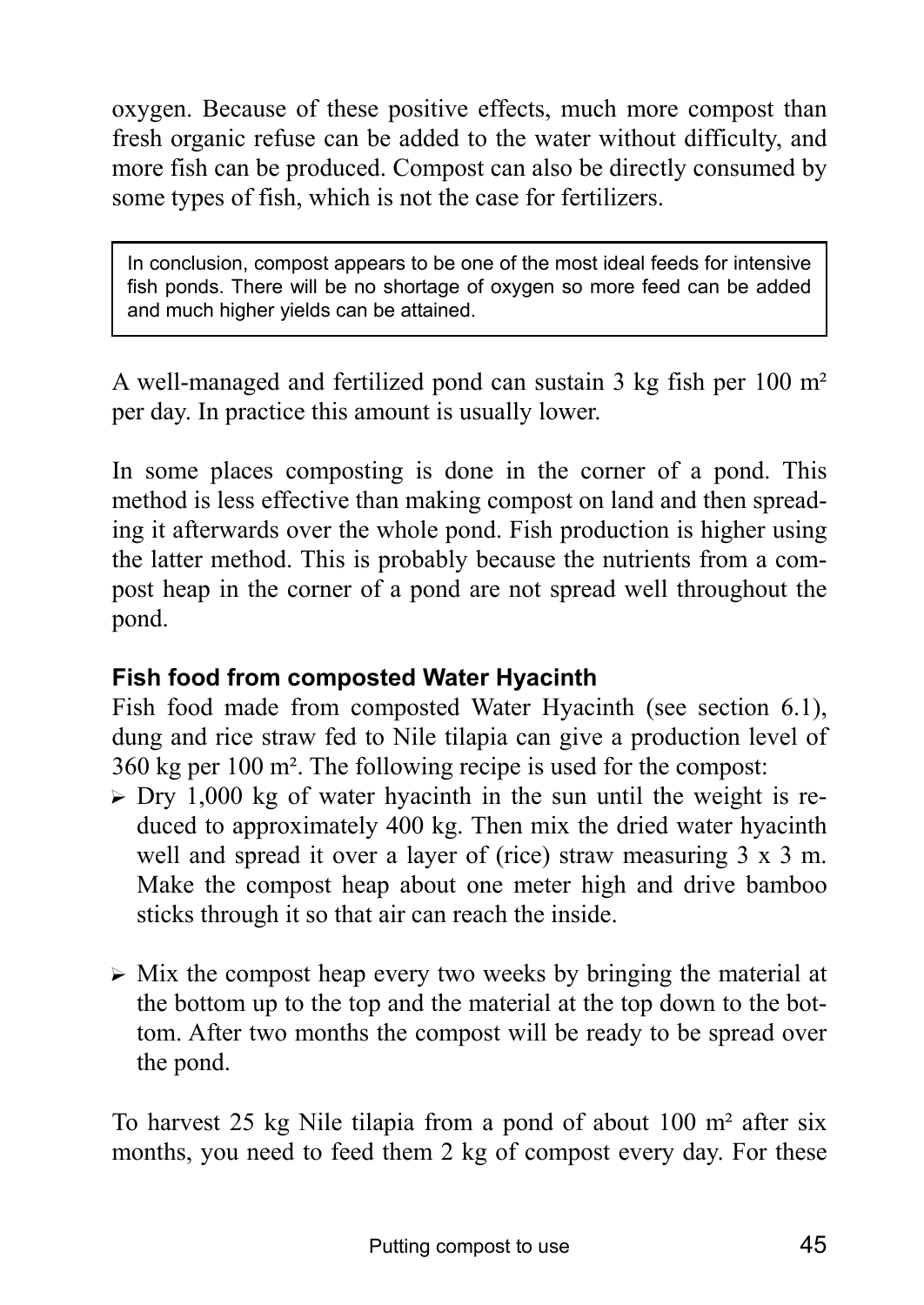oxygen. Because of these positive effects, much more compost than fresh organic refuse can be added to the water without difficulty, and more fish can be produced. Compost can also be directly consumed by some types of fish, which is not the case for fertilizers.

In conclusion, compost appears to be one of the most ideal feeds for intensive fish ponds. There will be no shortage of oxygen so more feed can be added and much higher yields can be attained.

A well-managed and fertilized pond can sustain 3 kg fish per 100 m² per day. In practice this amount is usually lower.

In some places composting is done in the corner of a pond. This method is less effective than making compost on land and then spreading it afterwards over the whole pond. Fish production is higher using the latter method. This is probably because the nutrients from a compost heap in the corner of a pond are not spread well throughout the pond.

### **Fish food from composted Water Hyacinth**

Fish food made from composted Water Hyacinth (see section 6.1), dung and rice straw fed to Nile tilapia can give a production level of 360 kg per 100 m². The following recipe is used for the compost:

- $\triangleright$  Dry 1,000 kg of water hyacinth in the sun until the weight is reduced to approximately 400 kg. Then mix the dried water hyacinth well and spread it over a layer of (rice) straw measuring  $3 \times 3$  m. Make the compost heap about one meter high and drive bamboo sticks through it so that air can reach the inside.
- $\triangleright$  Mix the compost heap every two weeks by bringing the material at the bottom up to the top and the material at the top down to the bottom. After two months the compost will be ready to be spread over the pond.

To harvest 25 kg Nile tilapia from a pond of about 100 m² after six months, you need to feed them 2 kg of compost every day. For these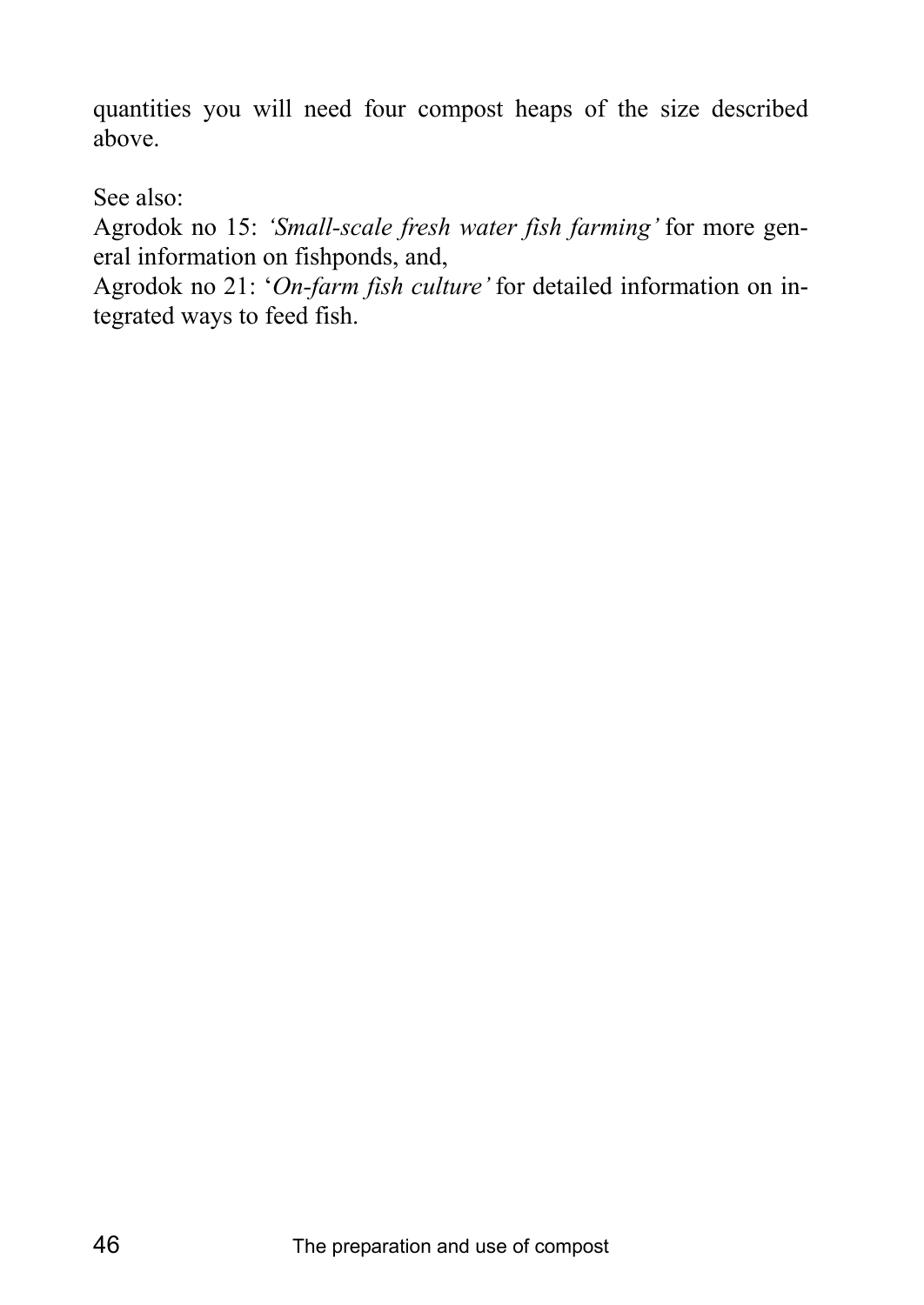quantities you will need four compost heaps of the size described above.

See also:

Agrodok no 15: *ëSmall-scale fresh water fish farmingí* for more general information on fishponds, and,

Agrodok no 21: 'On-farm fish culture' for detailed information on integrated ways to feed fish.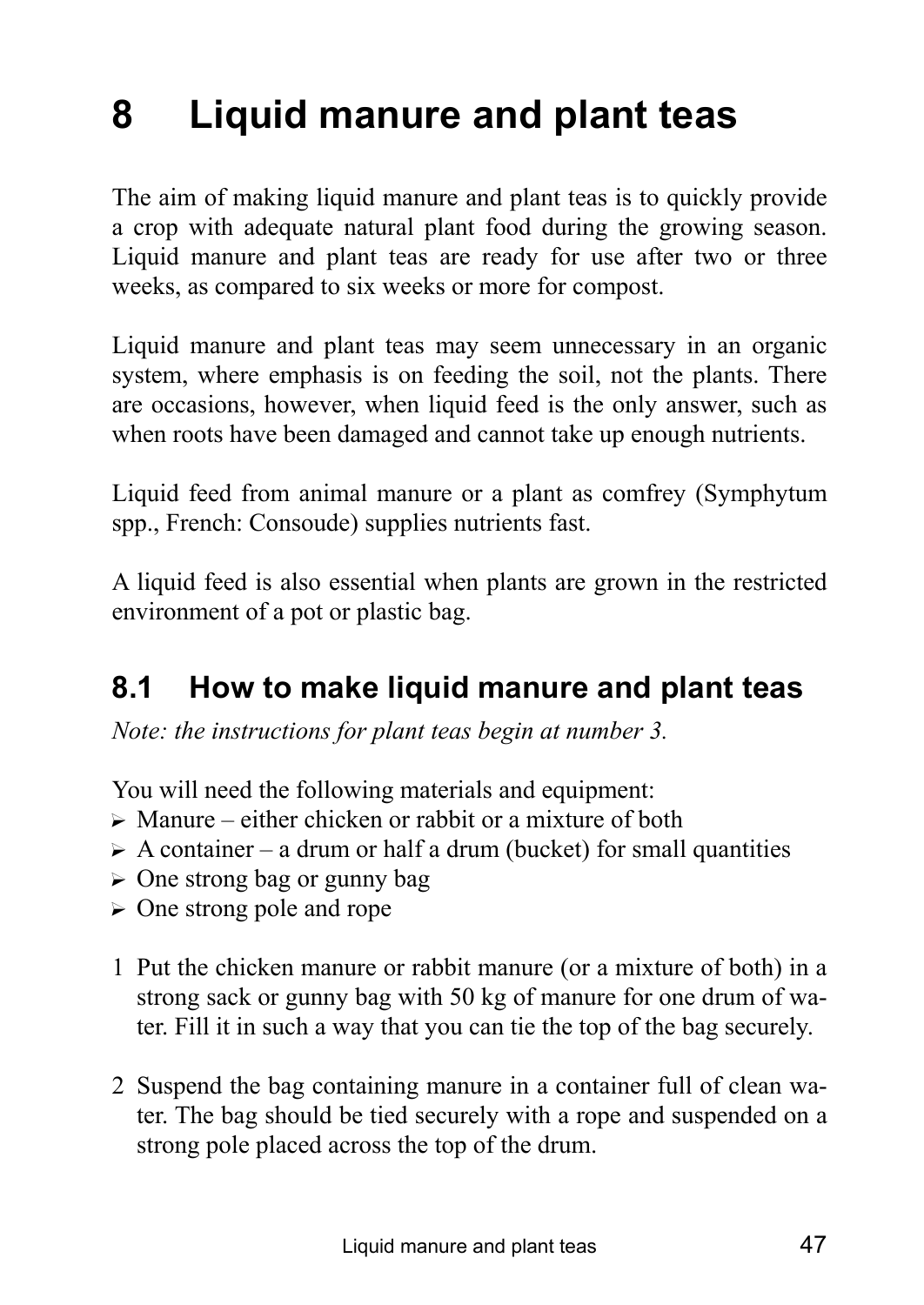# **8 Liquid manure and plant teas**

The aim of making liquid manure and plant teas is to quickly provide a crop with adequate natural plant food during the growing season. Liquid manure and plant teas are ready for use after two or three weeks, as compared to six weeks or more for compost.

Liquid manure and plant teas may seem unnecessary in an organic system, where emphasis is on feeding the soil, not the plants. There are occasions, however, when liquid feed is the only answer, such as when roots have been damaged and cannot take up enough nutrients.

Liquid feed from animal manure or a plant as comfrey (Symphytum spp., French: Consoude) supplies nutrients fast.

A liquid feed is also essential when plants are grown in the restricted environment of a pot or plastic bag.

# **8.1 How to make liquid manure and plant teas**

*Note: the instructions for plant teas begin at number 3.*

You will need the following materials and equipment:

- $\triangleright$  Manure either chicken or rabbit or a mixture of both
- $\triangleright$  A container a drum or half a drum (bucket) for small quantities
- $\triangleright$  One strong bag or gunny bag
- $\triangleright$  One strong pole and rope
- 1 Put the chicken manure or rabbit manure (or a mixture of both) in a strong sack or gunny bag with 50 kg of manure for one drum of water. Fill it in such a way that you can tie the top of the bag securely.
- 2 Suspend the bag containing manure in a container full of clean water. The bag should be tied securely with a rope and suspended on a strong pole placed across the top of the drum.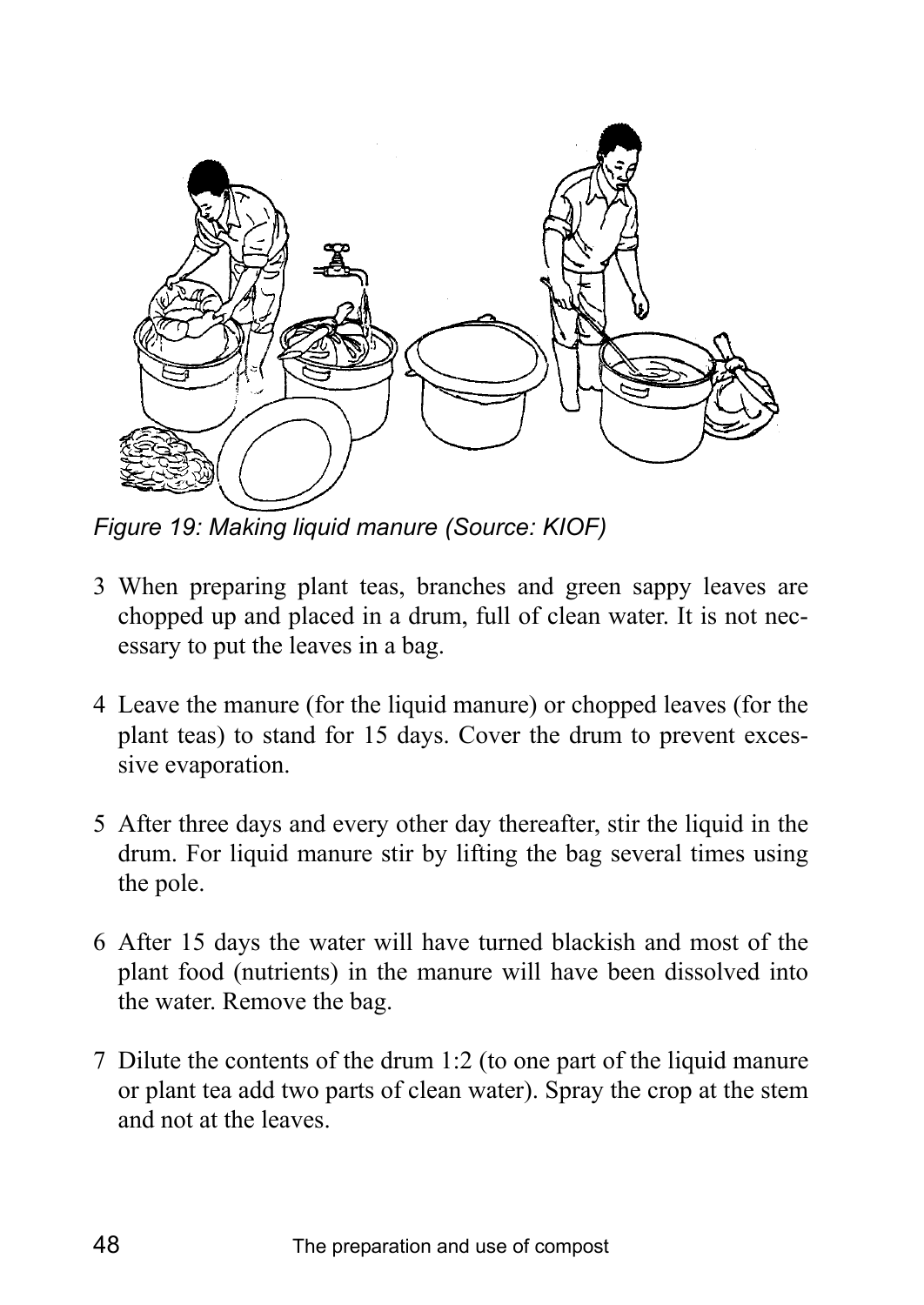

*Figure 19: Making liquid manure (Source: KIOF)* 

- 3 When preparing plant teas, branches and green sappy leaves are chopped up and placed in a drum, full of clean water. It is not necessary to put the leaves in a bag.
- 4 Leave the manure (for the liquid manure) or chopped leaves (for the plant teas) to stand for 15 days. Cover the drum to prevent excessive evaporation.
- 5 After three days and every other day thereafter, stir the liquid in the drum. For liquid manure stir by lifting the bag several times using the pole.
- 6 After 15 days the water will have turned blackish and most of the plant food (nutrients) in the manure will have been dissolved into the water. Remove the bag.
- 7 Dilute the contents of the drum 1:2 (to one part of the liquid manure or plant tea add two parts of clean water). Spray the crop at the stem and not at the leaves.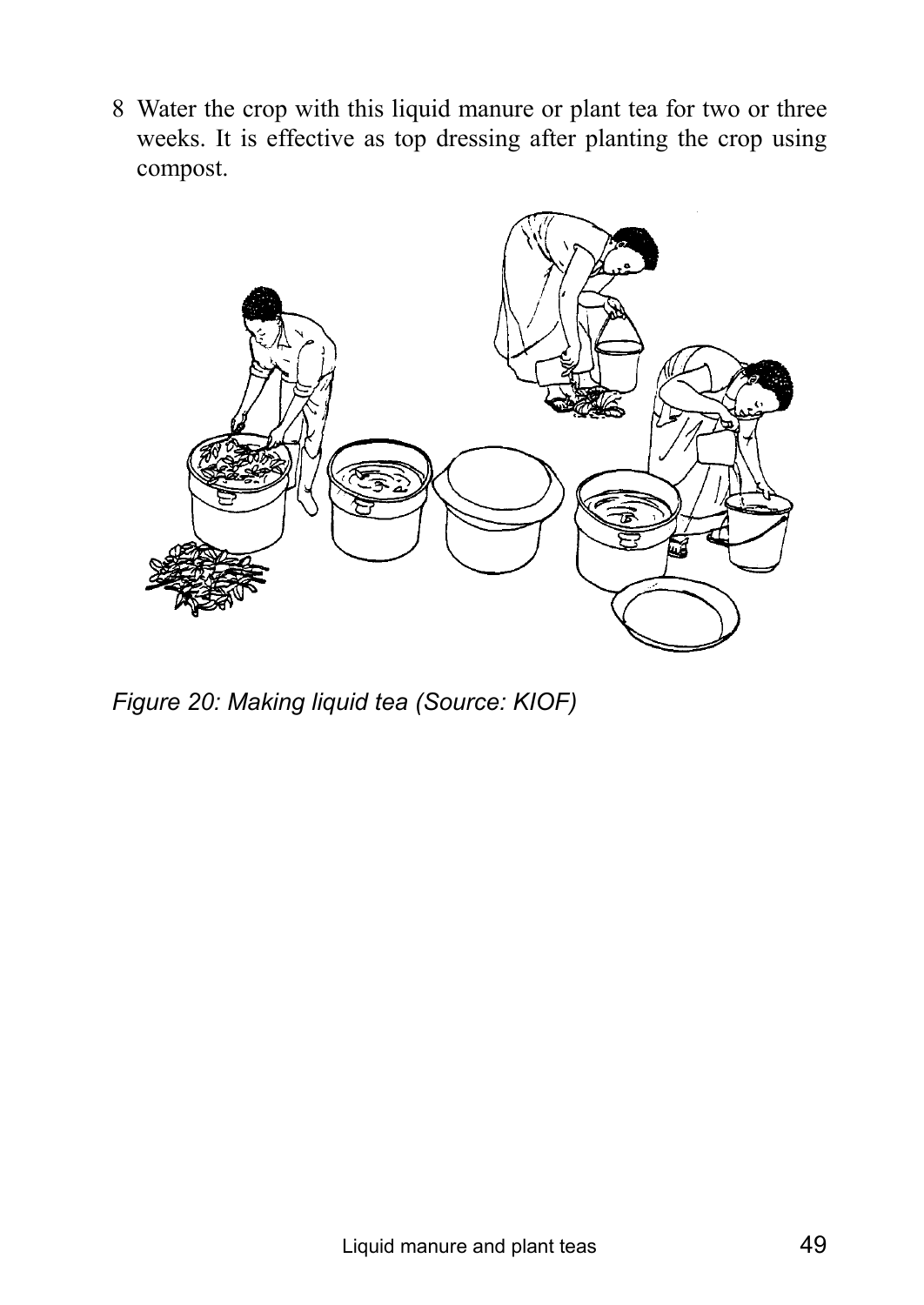8 Water the crop with this liquid manure or plant tea for two or three weeks. It is effective as top dressing after planting the crop using compost.



*Figure 20: Making liquid tea (Source: KIOF)*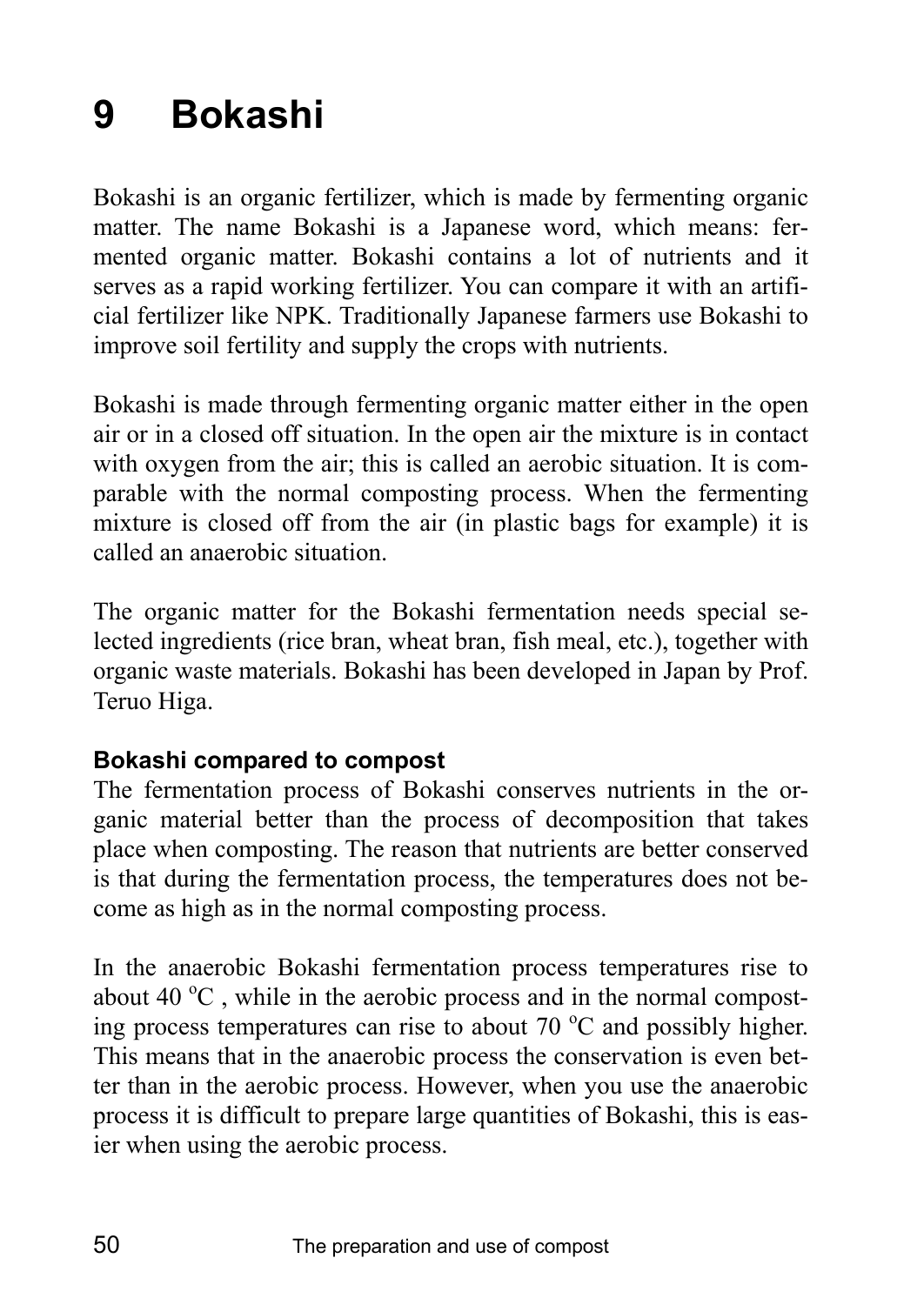# **9 Bokashi**

Bokashi is an organic fertilizer, which is made by fermenting organic matter. The name Bokashi is a Japanese word, which means: fermented organic matter. Bokashi contains a lot of nutrients and it serves as a rapid working fertilizer. You can compare it with an artificial fertilizer like NPK. Traditionally Japanese farmers use Bokashi to improve soil fertility and supply the crops with nutrients.

Bokashi is made through fermenting organic matter either in the open air or in a closed off situation. In the open air the mixture is in contact with oxygen from the air; this is called an aerobic situation. It is comparable with the normal composting process. When the fermenting mixture is closed off from the air (in plastic bags for example) it is called an anaerobic situation.

The organic matter for the Bokashi fermentation needs special selected ingredients (rice bran, wheat bran, fish meal, etc.), together with organic waste materials. Bokashi has been developed in Japan by Prof. Teruo Higa.

### **Bokashi compared to compost**

The fermentation process of Bokashi conserves nutrients in the organic material better than the process of decomposition that takes place when composting. The reason that nutrients are better conserved is that during the fermentation process, the temperatures does not become as high as in the normal composting process.

In the anaerobic Bokashi fermentation process temperatures rise to about 40  $^{\circ}$ C, while in the aerobic process and in the normal composting process temperatures can rise to about  $70^{\circ}$ C and possibly higher. This means that in the anaerobic process the conservation is even better than in the aerobic process. However, when you use the anaerobic process it is difficult to prepare large quantities of Bokashi, this is easier when using the aerobic process.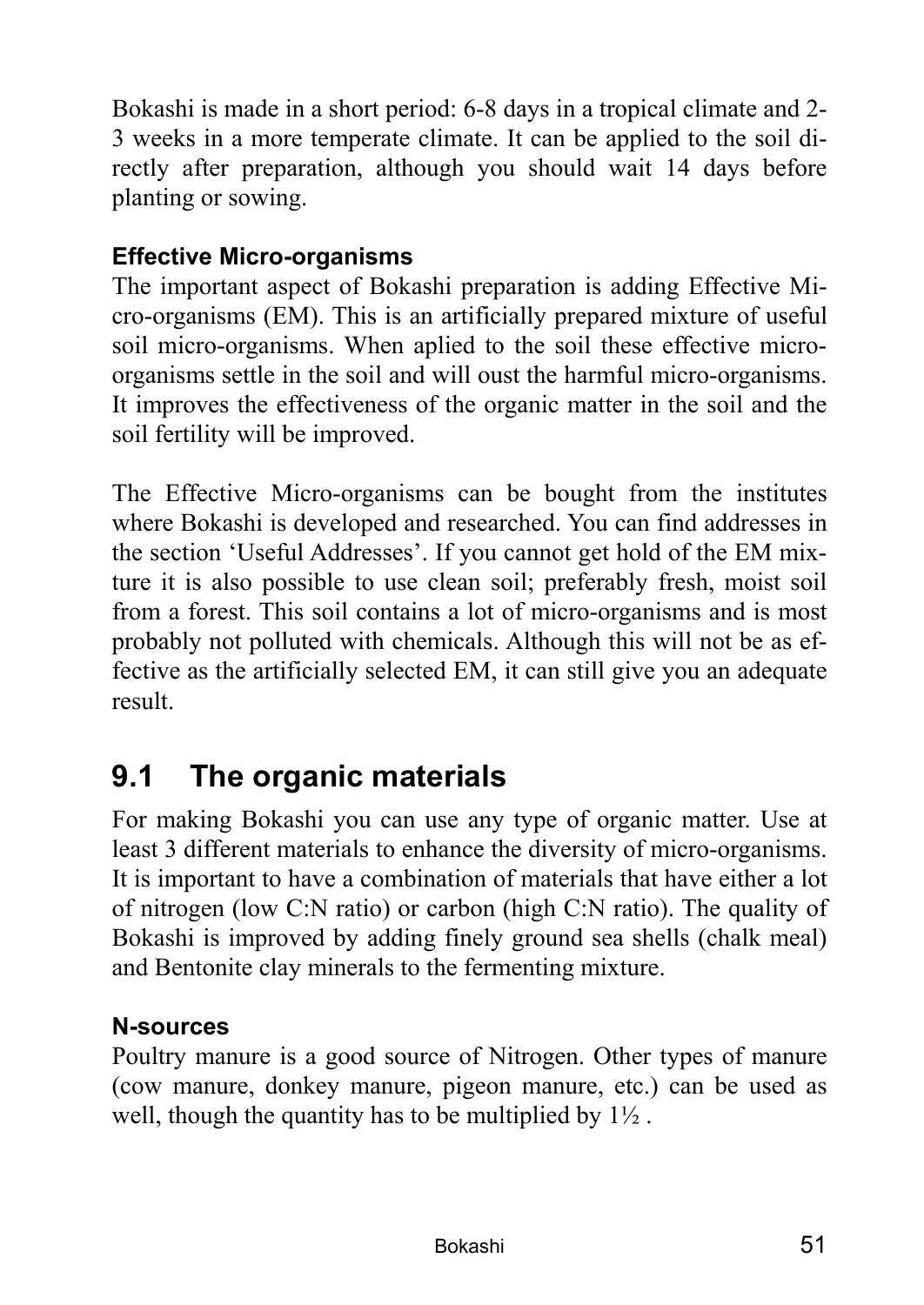Bokashi is made in a short period: 6-8 days in a tropical climate and 2- 3 weeks in a more temperate climate. It can be applied to the soil directly after preparation, although you should wait 14 days before planting or sowing.

## **Effective Micro-organisms**

The important aspect of Bokashi preparation is adding Effective Micro-organisms (EM). This is an artificially prepared mixture of useful soil micro-organisms. When aplied to the soil these effective microorganisms settle in the soil and will oust the harmful micro-organisms. It improves the effectiveness of the organic matter in the soil and the soil fertility will be improved.

The Effective Micro-organisms can be bought from the institutes where Bokashi is developed and researched. You can find addresses in the section 'Useful Addresses'. If you cannot get hold of the EM mixture it is also possible to use clean soil; preferably fresh, moist soil from a forest. This soil contains a lot of micro-organisms and is most probably not polluted with chemicals. Although this will not be as effective as the artificially selected EM, it can still give you an adequate result.

# **9.1 The organic materials**

For making Bokashi you can use any type of organic matter. Use at least 3 different materials to enhance the diversity of micro-organisms. It is important to have a combination of materials that have either a lot of nitrogen (low C:N ratio) or carbon (high C:N ratio). The quality of Bokashi is improved by adding finely ground sea shells (chalk meal) and Bentonite clay minerals to the fermenting mixture.

## **N-sources**

Poultry manure is a good source of Nitrogen. Other types of manure (cow manure, donkey manure, pigeon manure, etc.) can be used as well, though the quantity has to be multiplied by 1½ .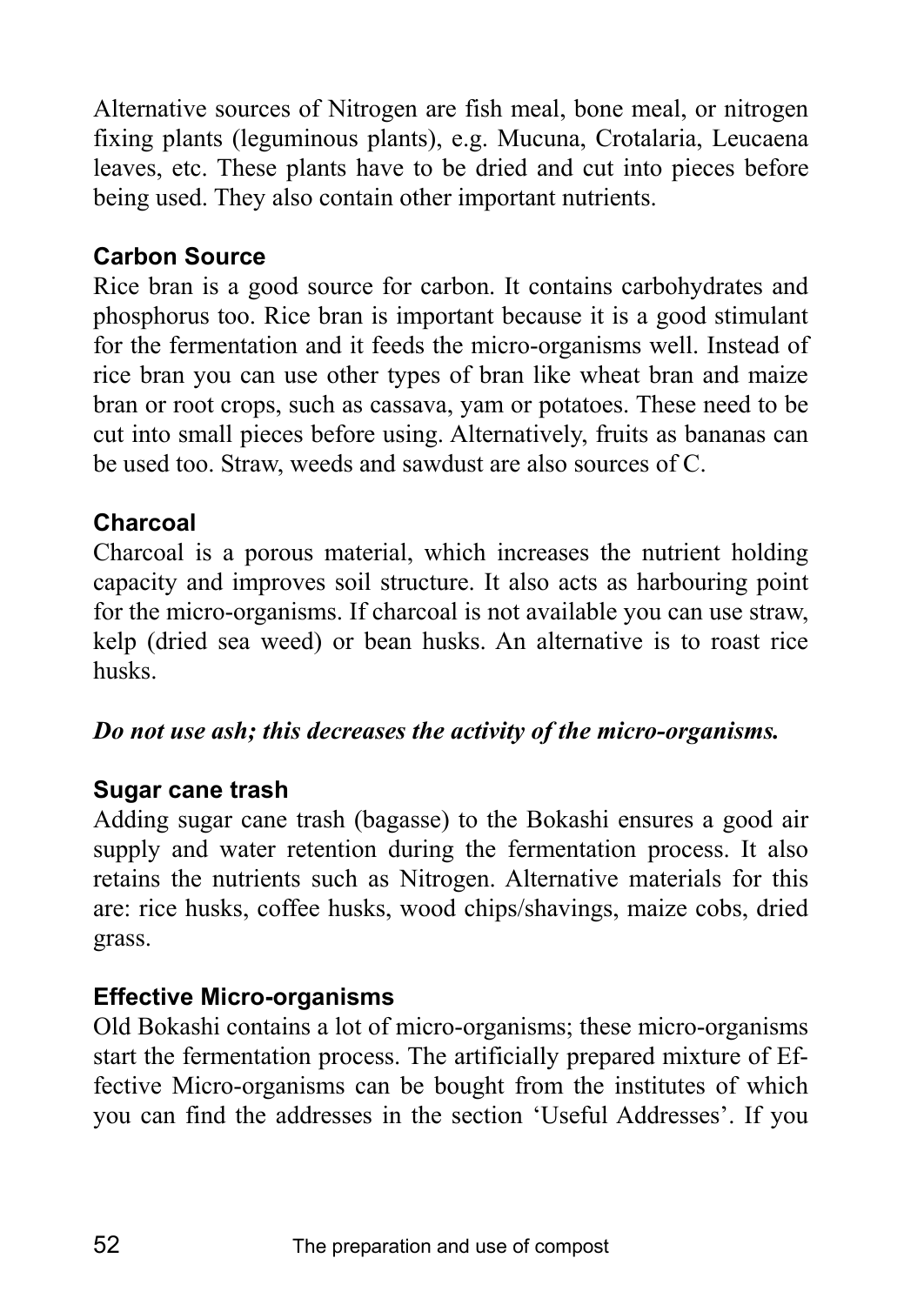Alternative sources of Nitrogen are fish meal, bone meal, or nitrogen fixing plants (leguminous plants), e.g. Mucuna, Crotalaria, Leucaena leaves, etc. These plants have to be dried and cut into pieces before being used. They also contain other important nutrients.

## **Carbon Source**

Rice bran is a good source for carbon. It contains carbohydrates and phosphorus too. Rice bran is important because it is a good stimulant for the fermentation and it feeds the micro-organisms well. Instead of rice bran you can use other types of bran like wheat bran and maize bran or root crops, such as cassava, yam or potatoes. These need to be cut into small pieces before using. Alternatively, fruits as bananas can be used too. Straw, weeds and sawdust are also sources of C.

## **Charcoal**

Charcoal is a porous material, which increases the nutrient holding capacity and improves soil structure. It also acts as harbouring point for the micro-organisms. If charcoal is not available you can use straw, kelp (dried sea weed) or bean husks. An alternative is to roast rice husks.

## *Do not use ash; this decreases the activity of the micro-organisms.*

## **Sugar cane trash**

Adding sugar cane trash (bagasse) to the Bokashi ensures a good air supply and water retention during the fermentation process. It also retains the nutrients such as Nitrogen. Alternative materials for this are: rice husks, coffee husks, wood chips/shavings, maize cobs, dried grass.

# **Effective Micro-organisms**

Old Bokashi contains a lot of micro-organisms; these micro-organisms start the fermentation process. The artificially prepared mixture of Effective Micro-organisms can be bought from the institutes of which you can find the addresses in the section 'Useful Addresses'. If you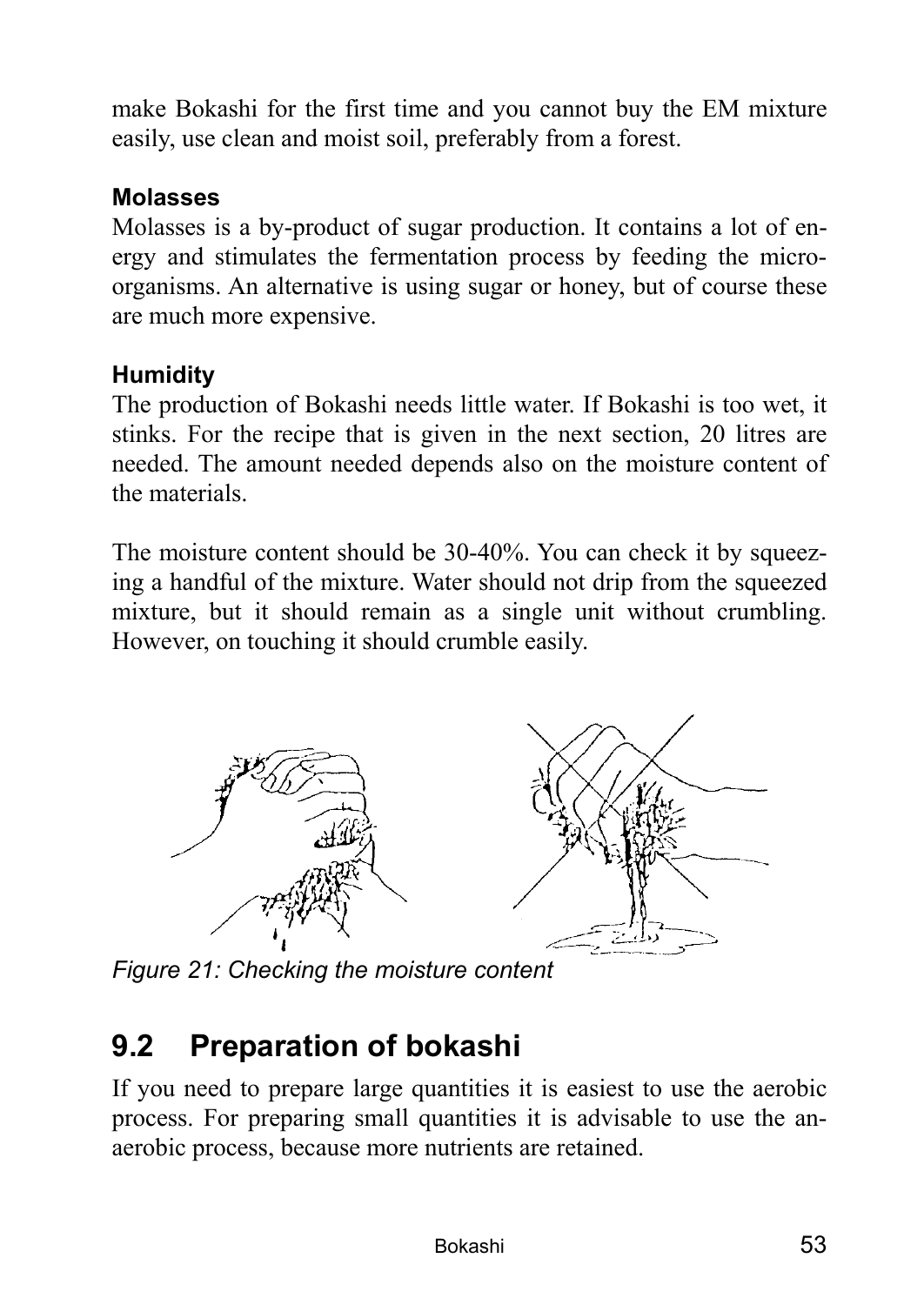make Bokashi for the first time and you cannot buy the EM mixture easily, use clean and moist soil, preferably from a forest.

### **Molasses**

Molasses is a by-product of sugar production. It contains a lot of energy and stimulates the fermentation process by feeding the microorganisms. An alternative is using sugar or honey, but of course these are much more expensive.

## **Humidity**

The production of Bokashi needs little water. If Bokashi is too wet, it stinks. For the recipe that is given in the next section, 20 litres are needed. The amount needed depends also on the moisture content of the materials.

The moisture content should be 30-40%. You can check it by squeezing a handful of the mixture. Water should not drip from the squeezed mixture, but it should remain as a single unit without crumbling. However, on touching it should crumble easily.



*Figure 21: Checking the moisture content* 

# **9.2 Preparation of bokashi**

If you need to prepare large quantities it is easiest to use the aerobic process. For preparing small quantities it is advisable to use the anaerobic process, because more nutrients are retained.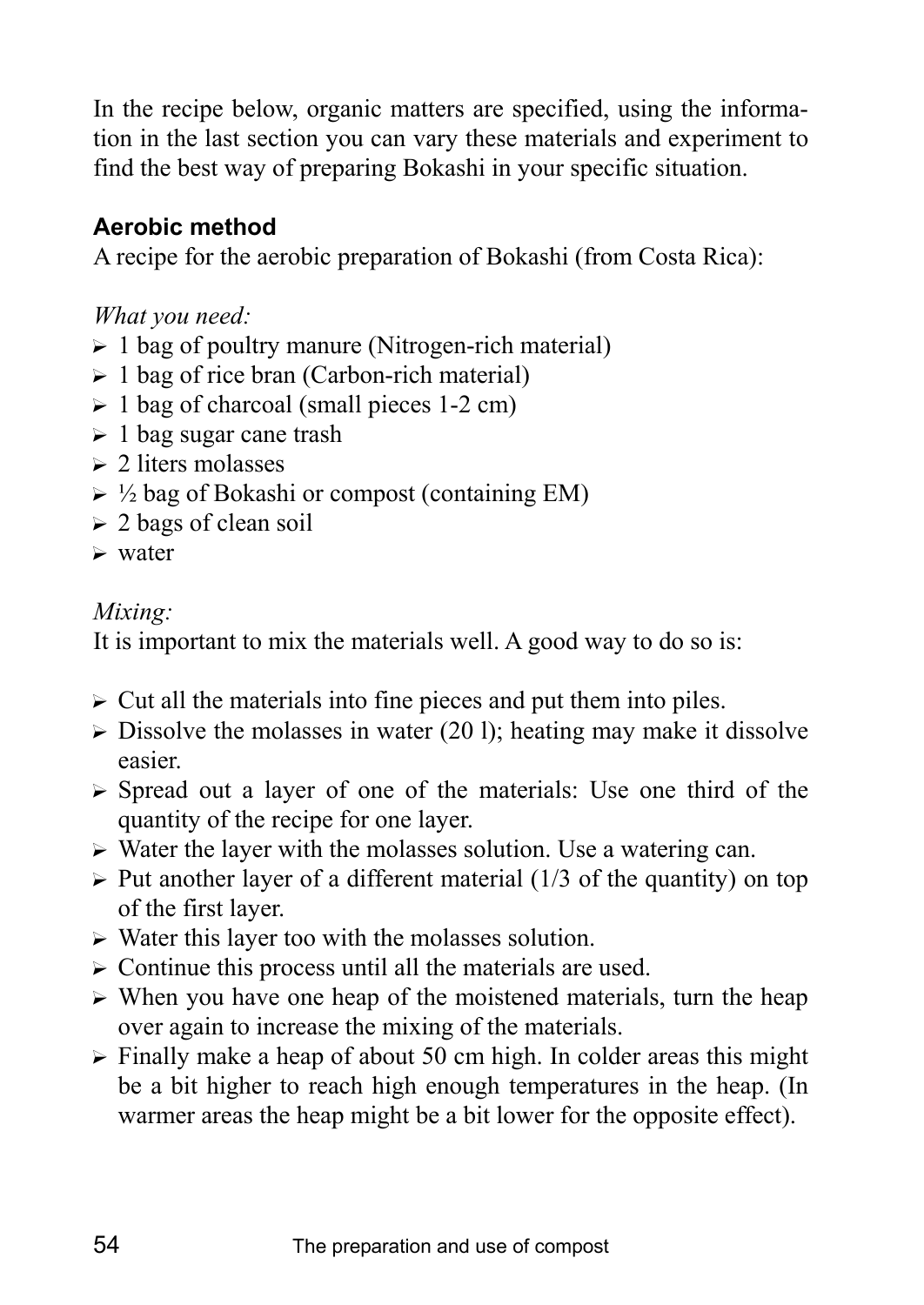In the recipe below, organic matters are specified, using the information in the last section you can vary these materials and experiment to find the best way of preparing Bokashi in your specific situation.

# **Aerobic method**

A recipe for the aerobic preparation of Bokashi (from Costa Rica):

*What you need:*

- $\geq 1$  bag of poultry manure (Nitrogen-rich material)
- $\geq 1$  bag of rice bran (Carbon-rich material)
- $\geq 1$  bag of charcoal (small pieces 1-2 cm)
- $\geq 1$  bag sugar cane trash
- $\geq 2$  liters molasses
- $\triangleright$  ½ bag of Bokashi or compost (containing EM)
- $\geq 2$  bags of clean soil
- $\triangleright$  water

### *Mixing:*

It is important to mix the materials well. A good way to do so is:

- $\triangleright$  Cut all the materials into fine pieces and put them into piles.
- $\triangleright$  Dissolve the molasses in water (20 l); heating may make it dissolve easier.
- $\triangleright$  Spread out a layer of one of the materials: Use one third of the quantity of the recipe for one layer.
- $\triangleright$  Water the layer with the molasses solution. Use a watering can.
- $\triangleright$  Put another layer of a different material (1/3 of the quantity) on top of the first layer.
- $\triangleright$  Water this layer too with the molasses solution.
- $\triangleright$  Continue this process until all the materials are used.
- $\triangleright$  When you have one heap of the moistened materials, turn the heap over again to increase the mixing of the materials.
- $\triangleright$  Finally make a heap of about 50 cm high. In colder areas this might be a bit higher to reach high enough temperatures in the heap. (In warmer areas the heap might be a bit lower for the opposite effect).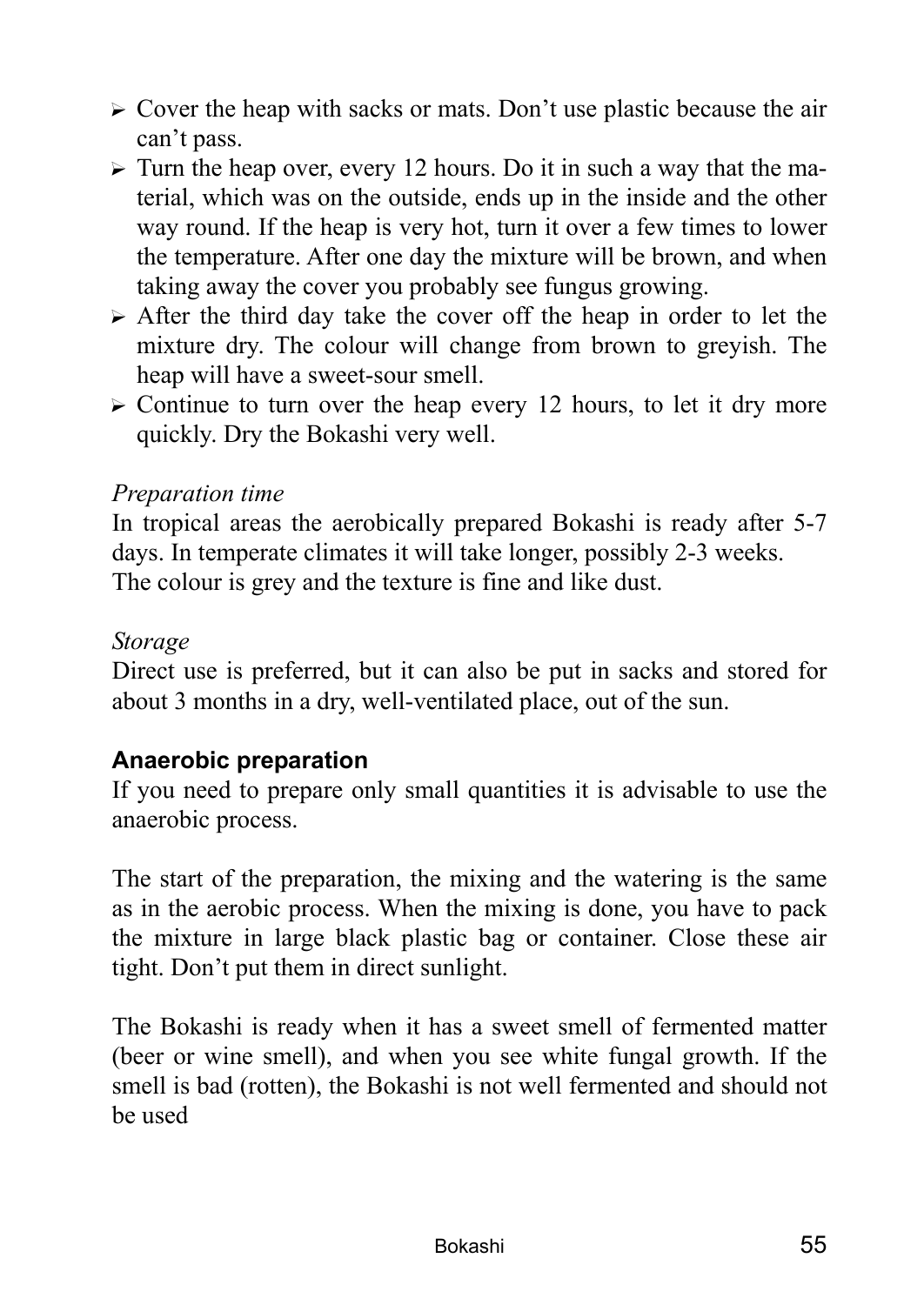- $\triangleright$  Cover the heap with sacks or mats. Don't use plastic because the air can't pass.
- $\triangleright$  Turn the heap over, every 12 hours. Do it in such a way that the material, which was on the outside, ends up in the inside and the other way round. If the heap is very hot, turn it over a few times to lower the temperature. After one day the mixture will be brown, and when taking away the cover you probably see fungus growing.
- $\triangleright$  After the third day take the cover off the heap in order to let the mixture dry. The colour will change from brown to greyish. The heap will have a sweet-sour smell.
- $\triangleright$  Continue to turn over the heap every 12 hours, to let it dry more quickly. Dry the Bokashi very well.

#### *Preparation time*

In tropical areas the aerobically prepared Bokashi is ready after 5-7 days. In temperate climates it will take longer, possibly 2-3 weeks. The colour is grey and the texture is fine and like dust.

#### *Storage*

Direct use is preferred, but it can also be put in sacks and stored for about 3 months in a dry, well-ventilated place, out of the sun.

### **Anaerobic preparation**

If you need to prepare only small quantities it is advisable to use the anaerobic process.

The start of the preparation, the mixing and the watering is the same as in the aerobic process. When the mixing is done, you have to pack the mixture in large black plastic bag or container. Close these air tight. Don't put them in direct sunlight.

The Bokashi is ready when it has a sweet smell of fermented matter (beer or wine smell), and when you see white fungal growth. If the smell is bad (rotten), the Bokashi is not well fermented and should not be used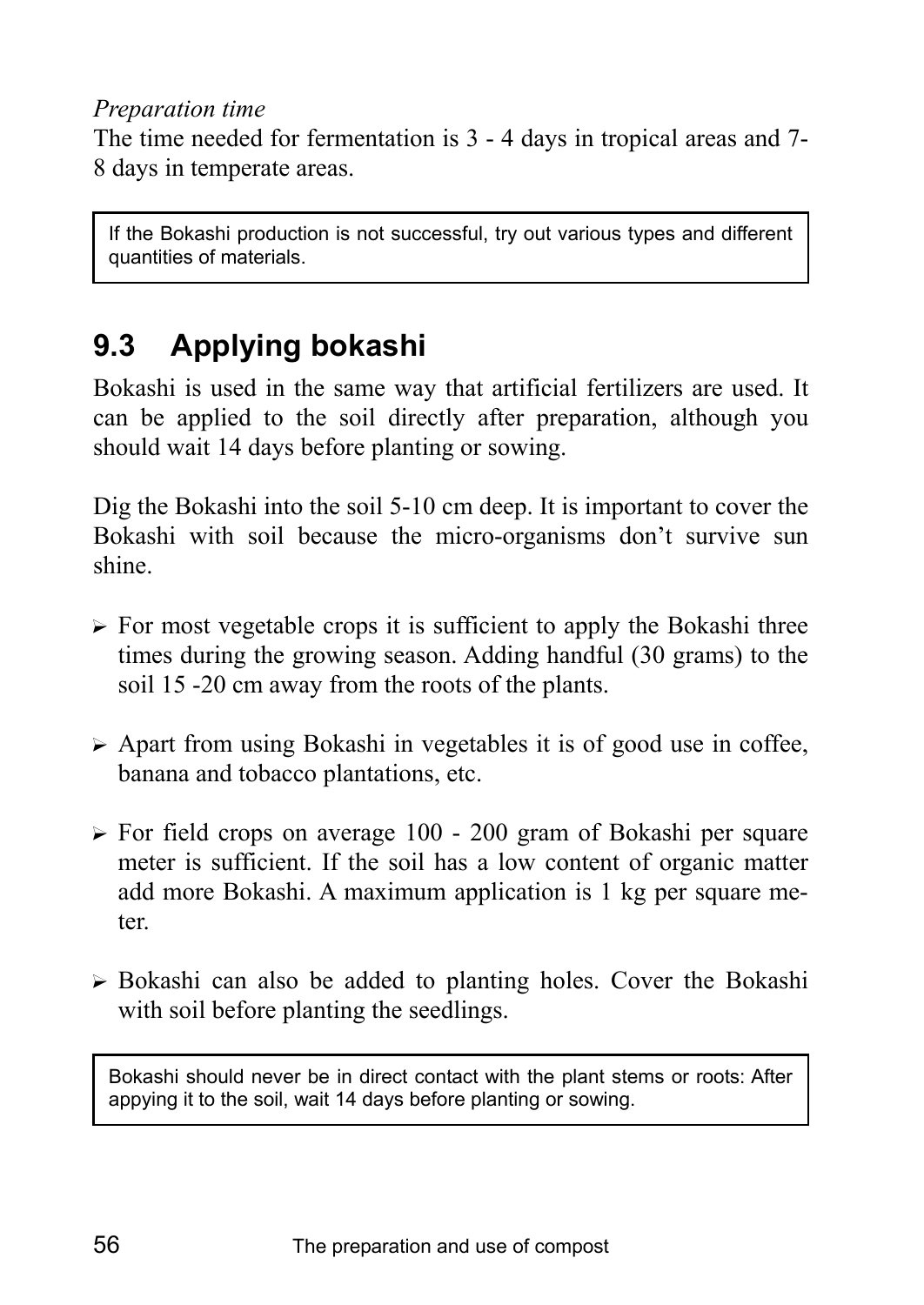#### *Preparation time*

The time needed for fermentation is 3 - 4 days in tropical areas and 7- 8 days in temperate areas.

If the Bokashi production is not successful, try out various types and different quantities of materials.

# **9.3 Applying bokashi**

Bokashi is used in the same way that artificial fertilizers are used. It can be applied to the soil directly after preparation, although you should wait 14 days before planting or sowing.

Dig the Bokashi into the soil 5-10 cm deep. It is important to cover the Bokashi with soil because the micro-organisms don't survive sun shine.

- $\triangleright$  For most vegetable crops it is sufficient to apply the Bokashi three times during the growing season. Adding handful (30 grams) to the soil 15 -20 cm away from the roots of the plants.
- $\triangleright$  Apart from using Bokashi in vegetables it is of good use in coffee, banana and tobacco plantations, etc.
- $\triangleright$  For field crops on average 100 200 gram of Bokashi per square meter is sufficient. If the soil has a low content of organic matter add more Bokashi. A maximum application is 1 kg per square meter.
- $\triangleright$  Bokashi can also be added to planting holes. Cover the Bokashi with soil before planting the seedlings.

Bokashi should never be in direct contact with the plant stems or roots: After appying it to the soil, wait 14 days before planting or sowing.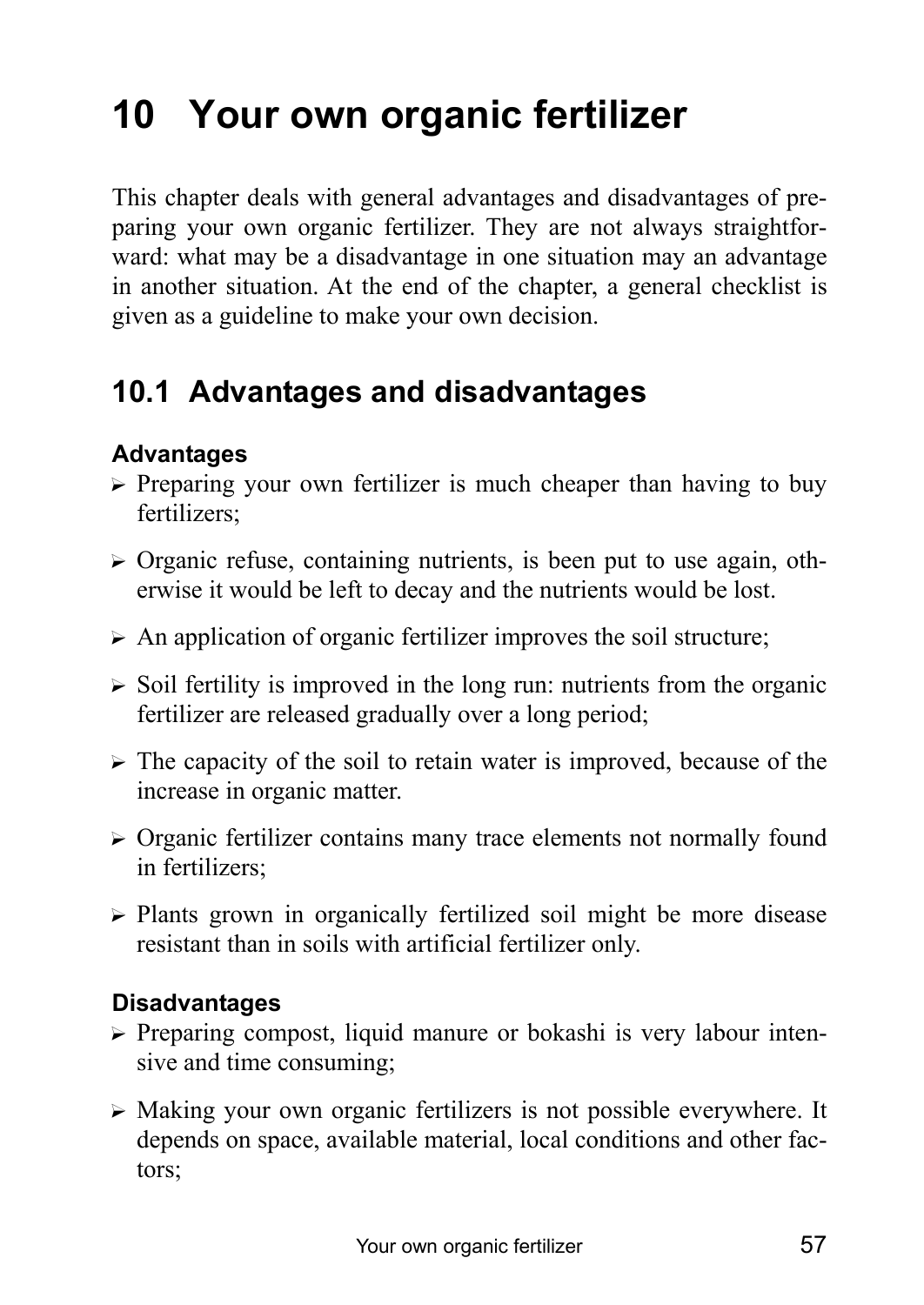# **10 Your own organic fertilizer**

This chapter deals with general advantages and disadvantages of preparing your own organic fertilizer. They are not always straightforward: what may be a disadvantage in one situation may an advantage in another situation. At the end of the chapter, a general checklist is given as a guideline to make your own decision.

# **10.1 Advantages and disadvantages**

## **Advantages**

- $\triangleright$  Preparing your own fertilizer is much cheaper than having to buy fertilizers;
- $\triangleright$  Organic refuse, containing nutrients, is been put to use again, otherwise it would be left to decay and the nutrients would be lost.
- $\triangleright$  An application of organic fertilizer improves the soil structure;
- $\triangleright$  Soil fertility is improved in the long run: nutrients from the organic fertilizer are released gradually over a long period;
- $\triangleright$  The capacity of the soil to retain water is improved, because of the increase in organic matter.
- $\triangleright$  Organic fertilizer contains many trace elements not normally found in fertilizers;
- $\triangleright$  Plants grown in organically fertilized soil might be more disease resistant than in soils with artificial fertilizer only.

### **Disadvantages**

- $\triangleright$  Preparing compost, liquid manure or bokashi is very labour intensive and time consuming;
- $\triangleright$  Making your own organic fertilizers is not possible everywhere. It depends on space, available material, local conditions and other factors;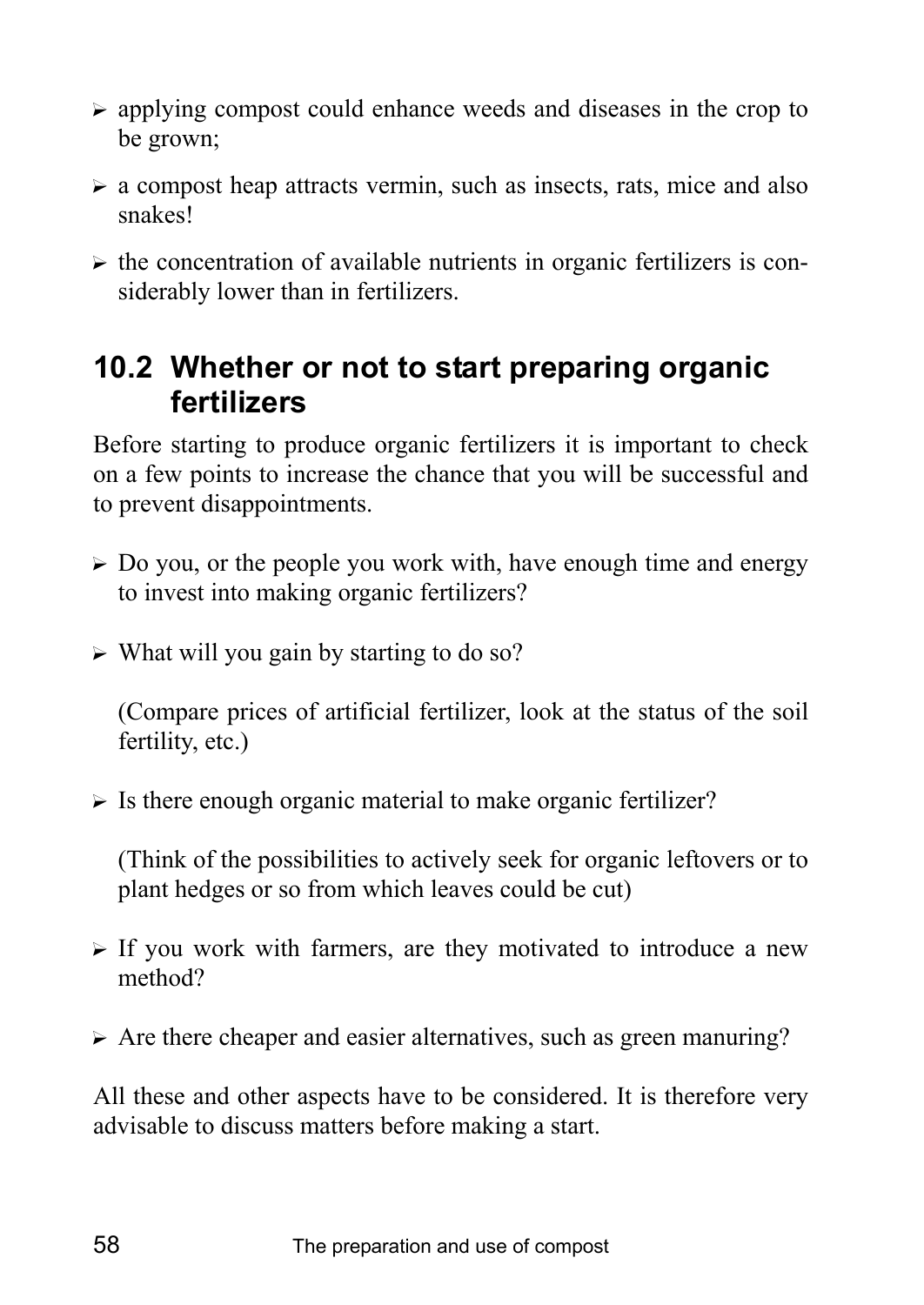- $\triangleright$  applying compost could enhance weeds and diseases in the crop to be grown;
- $\triangleright$  a compost heap attracts vermin, such as insects, rats, mice and also snakes!
- $\triangleright$  the concentration of available nutrients in organic fertilizers is considerably lower than in fertilizers.

# **10.2 Whether or not to start preparing organic fertilizers**

Before starting to produce organic fertilizers it is important to check on a few points to increase the chance that you will be successful and to prevent disappointments.

- $\triangleright$  Do you, or the people you work with, have enough time and energy to invest into making organic fertilizers?
- $\triangleright$  What will you gain by starting to do so?

(Compare prices of artificial fertilizer, look at the status of the soil fertility, etc.)

 $\triangleright$  Is there enough organic material to make organic fertilizer?

(Think of the possibilities to actively seek for organic leftovers or to plant hedges or so from which leaves could be cut)

- $\triangleright$  If you work with farmers, are they motivated to introduce a new method?
- $\triangleright$  Are there cheaper and easier alternatives, such as green manuring?

All these and other aspects have to be considered. It is therefore very advisable to discuss matters before making a start.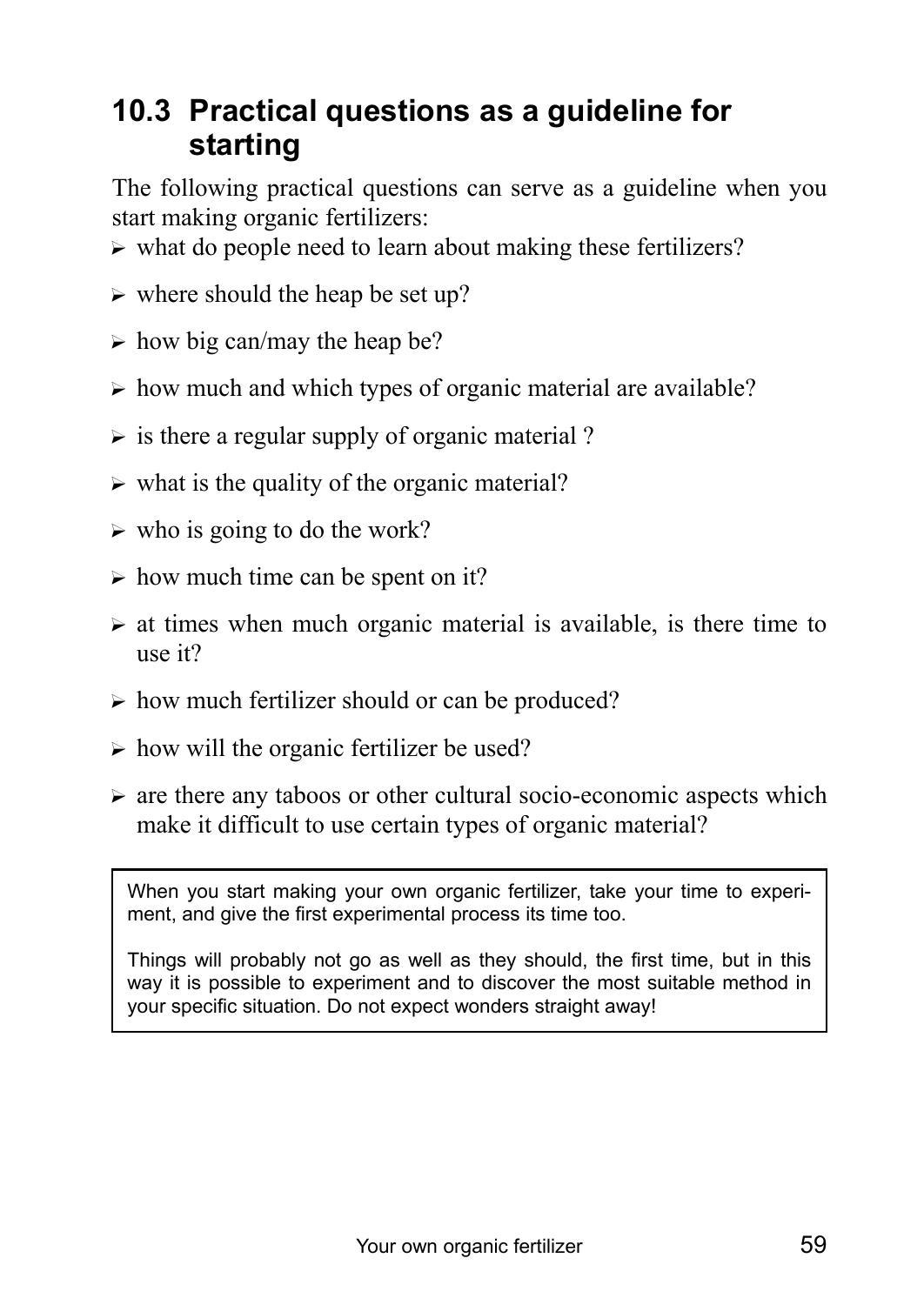# **10.3 Practical questions as a guideline for starting**

The following practical questions can serve as a guideline when you start making organic fertilizers:

- $\triangleright$  what do people need to learn about making these fertilizers?
- $\triangleright$  where should the heap be set up?
- $\triangleright$  how big can/may the heap be?
- $\triangleright$  how much and which types of organic material are available?
- $\triangleright$  is there a regular supply of organic material ?
- $\triangleright$  what is the quality of the organic material?
- $\triangleright$  who is going to do the work?
- $\triangleright$  how much time can be spent on it?
- $\triangleright$  at times when much organic material is available, is there time to use it?
- $\triangleright$  how much fertilizer should or can be produced?
- $\triangleright$  how will the organic fertilizer be used?
- $\triangleright$  are there any taboos or other cultural socio-economic aspects which make it difficult to use certain types of organic material?

When you start making your own organic fertilizer, take your time to experiment, and give the first experimental process its time too.

Things will probably not go as well as they should, the first time, but in this way it is possible to experiment and to discover the most suitable method in your specific situation. Do not expect wonders straight away!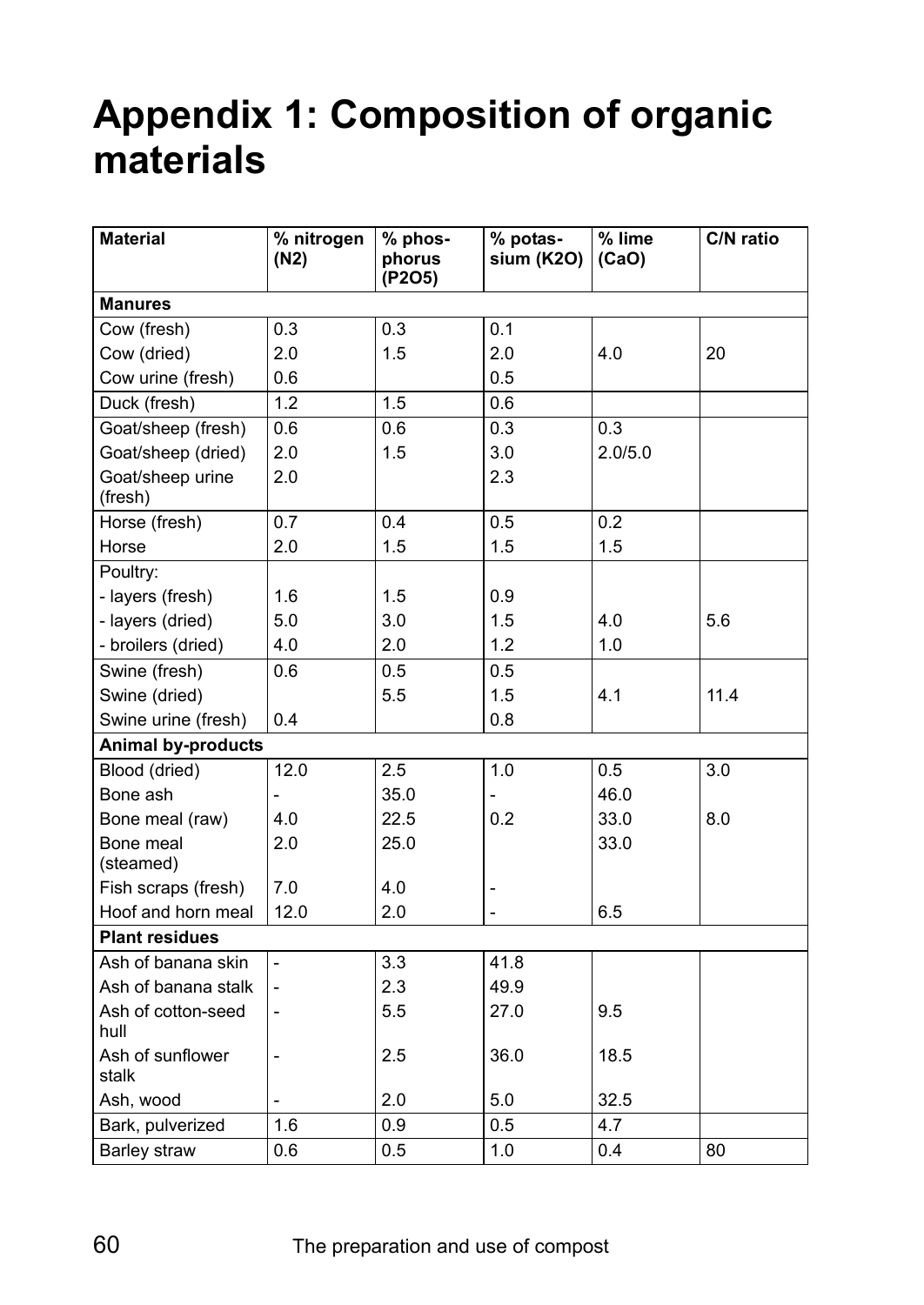# **Appendix 1: Composition of organic materials**

| <b>Material</b>             | % nitrogen<br>(N2)       | % phos-<br>phorus<br>(P2O5) | % potas-<br>sium (K2O) | % lime<br>(CaO) | C/N ratio |  |
|-----------------------------|--------------------------|-----------------------------|------------------------|-----------------|-----------|--|
| <b>Manures</b>              |                          |                             |                        |                 |           |  |
| Cow (fresh)                 | 0.3                      | 0.3                         | 0.1                    |                 |           |  |
| Cow (dried)                 | 2.0                      | 1.5                         | 2.0                    | 4.0             | 20        |  |
| Cow urine (fresh)           | 0.6                      |                             | 0.5                    |                 |           |  |
| Duck (fresh)                | 1.2                      | 1.5                         | 0.6                    |                 |           |  |
| Goat/sheep (fresh)          | 0.6                      | 0.6                         | 0.3                    | 0.3             |           |  |
| Goat/sheep (dried)          | 2.0                      | 1.5                         | 3.0                    | 2.0/5.0         |           |  |
| Goat/sheep urine<br>(fresh) | 2.0                      |                             | 2.3                    |                 |           |  |
| Horse (fresh)               | 0.7                      | 0.4                         | 0.5                    | 0.2             |           |  |
| Horse                       | 2.0                      | 1.5                         | 1.5                    | 1.5             |           |  |
| Poultry:                    |                          |                             |                        |                 |           |  |
| - layers (fresh)            | 1.6                      | 1.5                         | 0.9                    |                 |           |  |
| - layers (dried)            | 5.0                      | 3.0                         | 1.5                    | 4.0             | 5.6       |  |
| - broilers (dried)          | 4.0                      | 2.0                         | 1.2                    | 1.0             |           |  |
| Swine (fresh)               | 0.6                      | 0.5                         | 0.5                    |                 |           |  |
| Swine (dried)               |                          | 5.5                         | 1.5                    | 4.1             | 11.4      |  |
| Swine urine (fresh)         | 0.4                      |                             | 0.8                    |                 |           |  |
| <b>Animal by-products</b>   |                          |                             |                        |                 |           |  |
| Blood (dried)               | 12.0                     | 2.5                         | 1.0                    | 0.5             | 3.0       |  |
| Bone ash                    | $\overline{a}$           | 35.0                        |                        | 46.0            |           |  |
| Bone meal (raw)             | 4.0                      | 22.5                        | 0.2                    | 33.0            | 8.0       |  |
| Bone meal<br>(steamed)      | 2.0                      | 25.0                        |                        | 33.0            |           |  |
| Fish scraps (fresh)         | 7.0                      | 4.0                         |                        |                 |           |  |
| Hoof and horn meal          | 12.0                     | 2.0                         |                        | 6.5             |           |  |
| <b>Plant residues</b>       |                          |                             |                        |                 |           |  |
| Ash of banana skin          | $\overline{\phantom{0}}$ | 3.3                         | 41.8                   |                 |           |  |
| Ash of banana stalk         | $\overline{\phantom{a}}$ | 2.3                         | 49.9                   |                 |           |  |
| Ash of cotton-seed<br>hull  |                          | 5.5                         | 27.0                   | 9.5             |           |  |
| Ash of sunflower<br>stalk   | $\overline{a}$           | 2.5                         | 36.0                   | 18.5            |           |  |
| Ash, wood                   |                          | 2.0                         | 5.0                    | 32.5            |           |  |
| Bark, pulverized            | 1.6                      | 0.9                         | 0.5                    | 4.7             |           |  |
| Barley straw                | 0.6                      | 0.5                         | 1.0                    | 0.4             | 80        |  |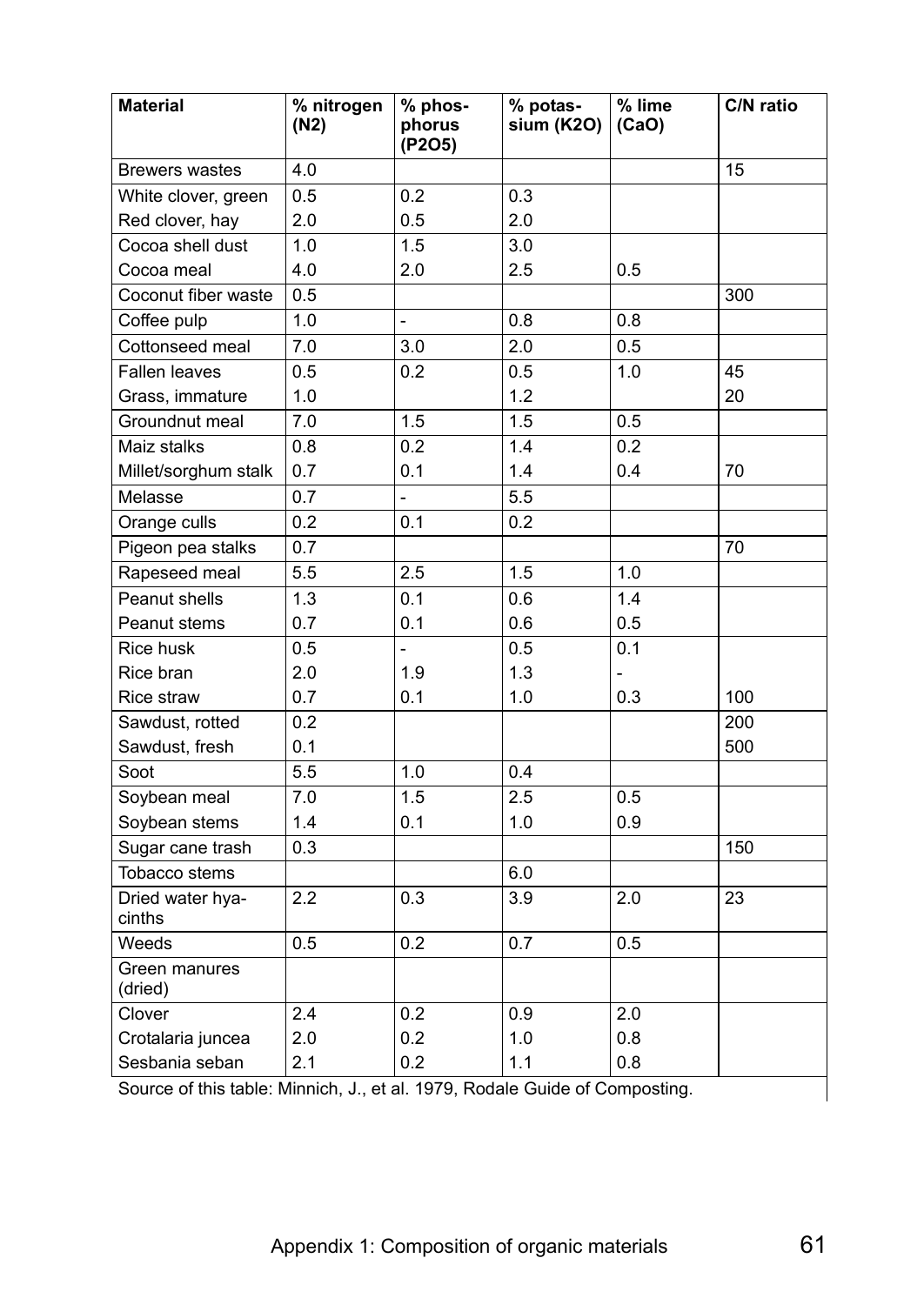| <b>Material</b>                                                             | $%$ nitrogen<br>(N2) | % phos-<br>phorus | % potas-<br>sium (K2O) | % lime<br>(CaO) | C/N ratio |  |
|-----------------------------------------------------------------------------|----------------------|-------------------|------------------------|-----------------|-----------|--|
|                                                                             |                      | (P2O5)            |                        |                 |           |  |
| <b>Brewers wastes</b>                                                       | 4.0                  |                   |                        |                 | 15        |  |
| White clover, green                                                         | 0.5                  | 0.2               | 0.3                    |                 |           |  |
| Red clover, hay                                                             | 2.0                  | 0.5               | 2.0                    |                 |           |  |
| Cocoa shell dust                                                            | 1.0                  | 1.5               | 3.0                    |                 |           |  |
| Cocoa meal                                                                  | 4.0                  | 2.0               | 2.5                    | 0.5             |           |  |
| Coconut fiber waste                                                         | 0.5                  |                   |                        |                 | 300       |  |
| Coffee pulp                                                                 | 1.0                  | $\overline{a}$    | 0.8                    | 0.8             |           |  |
| Cottonseed meal                                                             | 7.0                  | 3.0               | 2.0                    | 0.5             |           |  |
| <b>Fallen leaves</b>                                                        | 0.5                  | 0.2               | 0.5                    | 1.0             | 45        |  |
| Grass, immature                                                             | 1.0                  |                   | 1.2                    |                 | 20        |  |
| Groundnut meal                                                              | 7.0                  | 1.5               | 1.5                    | 0.5             |           |  |
| Maiz stalks                                                                 | 0.8                  | 0.2               | 1.4                    | 0.2             |           |  |
| Millet/sorghum stalk                                                        | 0.7                  | 0.1               | 1.4                    | 0.4             | 70        |  |
| Melasse                                                                     | 0.7                  | $\overline{a}$    | 5.5                    |                 |           |  |
| Orange culls                                                                | 0.2                  | 0.1               | 0.2                    |                 |           |  |
| Pigeon pea stalks                                                           | 0.7                  |                   |                        |                 | 70        |  |
| Rapeseed meal                                                               | 5.5                  | 2.5               | 1.5                    | 1.0             |           |  |
| Peanut shells                                                               | 1.3                  | 0.1               | 0.6                    | 1.4             |           |  |
| Peanut stems                                                                | 0.7                  | 0.1               | 0.6                    | 0.5             |           |  |
| Rice husk                                                                   | 0.5                  |                   | 0.5                    | 0.1             |           |  |
| Rice bran                                                                   | 2.0                  | 1.9               | 1.3                    |                 |           |  |
| Rice straw                                                                  | 0.7                  | 0.1               | 1.0                    | 0.3             | 100       |  |
| Sawdust, rotted                                                             | 0.2                  |                   |                        |                 | 200       |  |
| Sawdust, fresh                                                              | 0.1                  |                   |                        |                 | 500       |  |
| Soot                                                                        | 5.5                  | 1.0               | 0.4                    |                 |           |  |
| Soybean meal                                                                | 7.0                  | 1.5               | 2.5                    | 0.5             |           |  |
| Soybean stems                                                               | 1.4                  | 0.1               | 1.0                    | 0.9             |           |  |
| Sugar cane trash                                                            | 0.3                  |                   |                        |                 | 150       |  |
| Tobacco stems                                                               |                      |                   | 6.0                    |                 |           |  |
| Dried water hya-<br>cinths                                                  | 2.2                  | 0.3               | 3.9                    | 2.0             | 23        |  |
| Weeds                                                                       | 0.5                  | 0.2               | 0.7                    | 0.5             |           |  |
| Green manures<br>(dried)                                                    |                      |                   |                        |                 |           |  |
| Clover                                                                      | 2.4                  | 0.2               | 0.9                    | 2.0             |           |  |
| Crotalaria juncea                                                           | 2.0                  | 0.2               | 1.0                    | 0.8             |           |  |
| Sesbania seban                                                              | 2.1                  | 0.2               | 1.1                    | 0.8             |           |  |
| Source of this table: Minnich, J., et al. 1979, Rodale Guide of Composting. |                      |                   |                        |                 |           |  |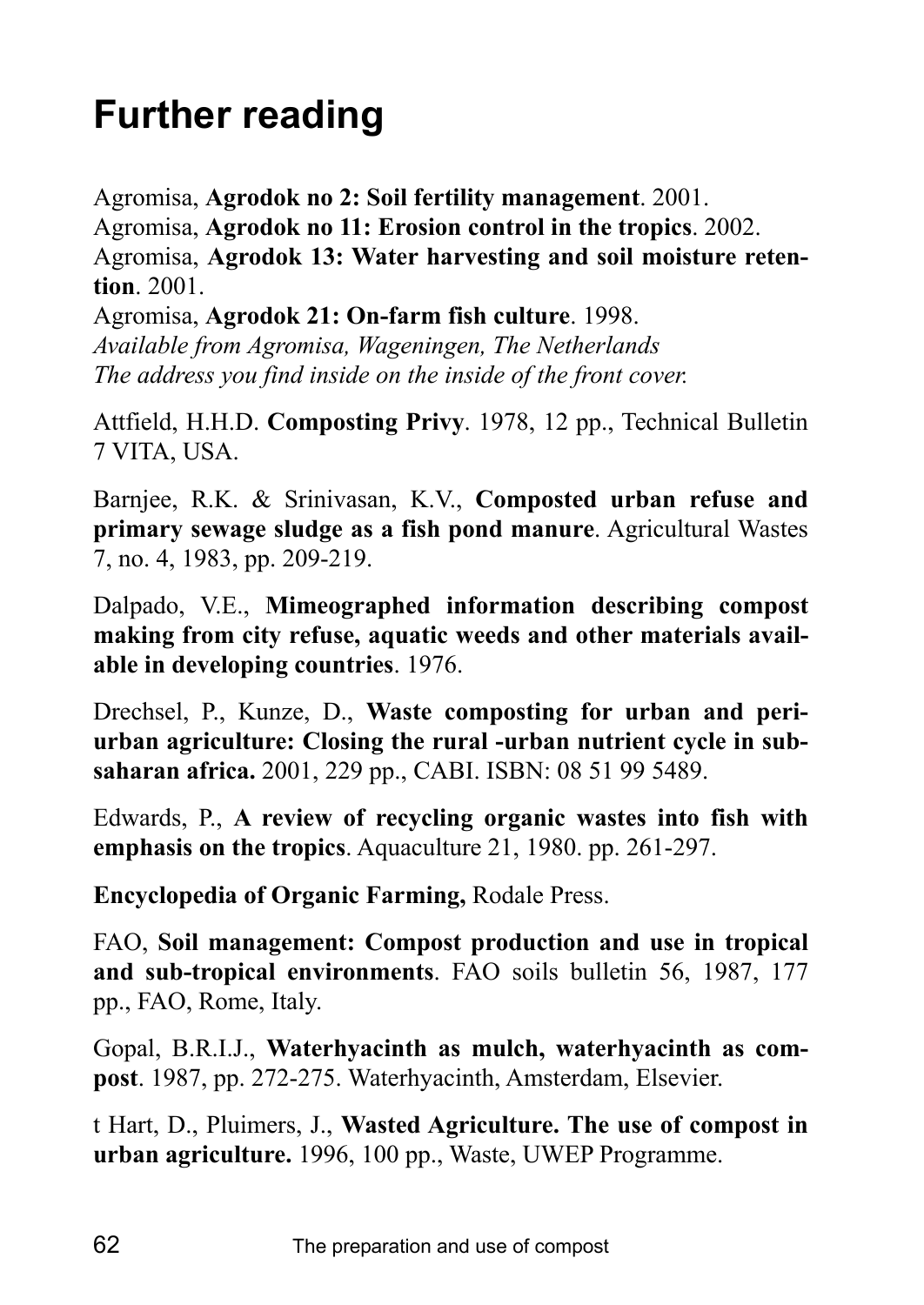# **Further reading**

Agromisa, **Agrodok no 2: Soil fertility management**. 2001. Agromisa, **Agrodok no 11: Erosion control in the tropics**. 2002. Agromisa, **Agrodok 13: Water harvesting and soil moisture retention**. 2001.

Agromisa, **Agrodok 21: On-farm fish culture**. 1998. *Available from Agromisa, Wageningen, The Netherlands The address you find inside on the inside of the front cover.*

Attfield, H.H.D. **Composting Privy**. 1978, 12 pp., Technical Bulletin 7 VITA, USA.

Barnjee, R.K. & Srinivasan, K.V., **Composted urban refuse and primary sewage sludge as a fish pond manure**. Agricultural Wastes 7, no. 4, 1983, pp. 209-219.

Dalpado, V.E., **Mimeographed information describing compost making from city refuse, aquatic weeds and other materials available in developing countries**. 1976.

Drechsel, P., Kunze, D., **Waste composting for urban and periurban agriculture: Closing the rural -urban nutrient cycle in subsaharan africa.** 2001, 229 pp., CABI. ISBN: 08 51 99 5489.

Edwards, P., **A review of recycling organic wastes into fish with emphasis on the tropics**. Aquaculture 21, 1980. pp. 261-297.

**Encyclopedia of Organic Farming,** Rodale Press.

FAO, **Soil management: Compost production and use in tropical and sub-tropical environments**. FAO soils bulletin 56, 1987, 177 pp., FAO, Rome, Italy.

Gopal, B.R.I.J., **Waterhyacinth as mulch, waterhyacinth as compost**. 1987, pp. 272-275. Waterhyacinth, Amsterdam, Elsevier.

t Hart, D., Pluimers, J., **Wasted Agriculture. The use of compost in urban agriculture.** 1996, 100 pp., Waste, UWEP Programme.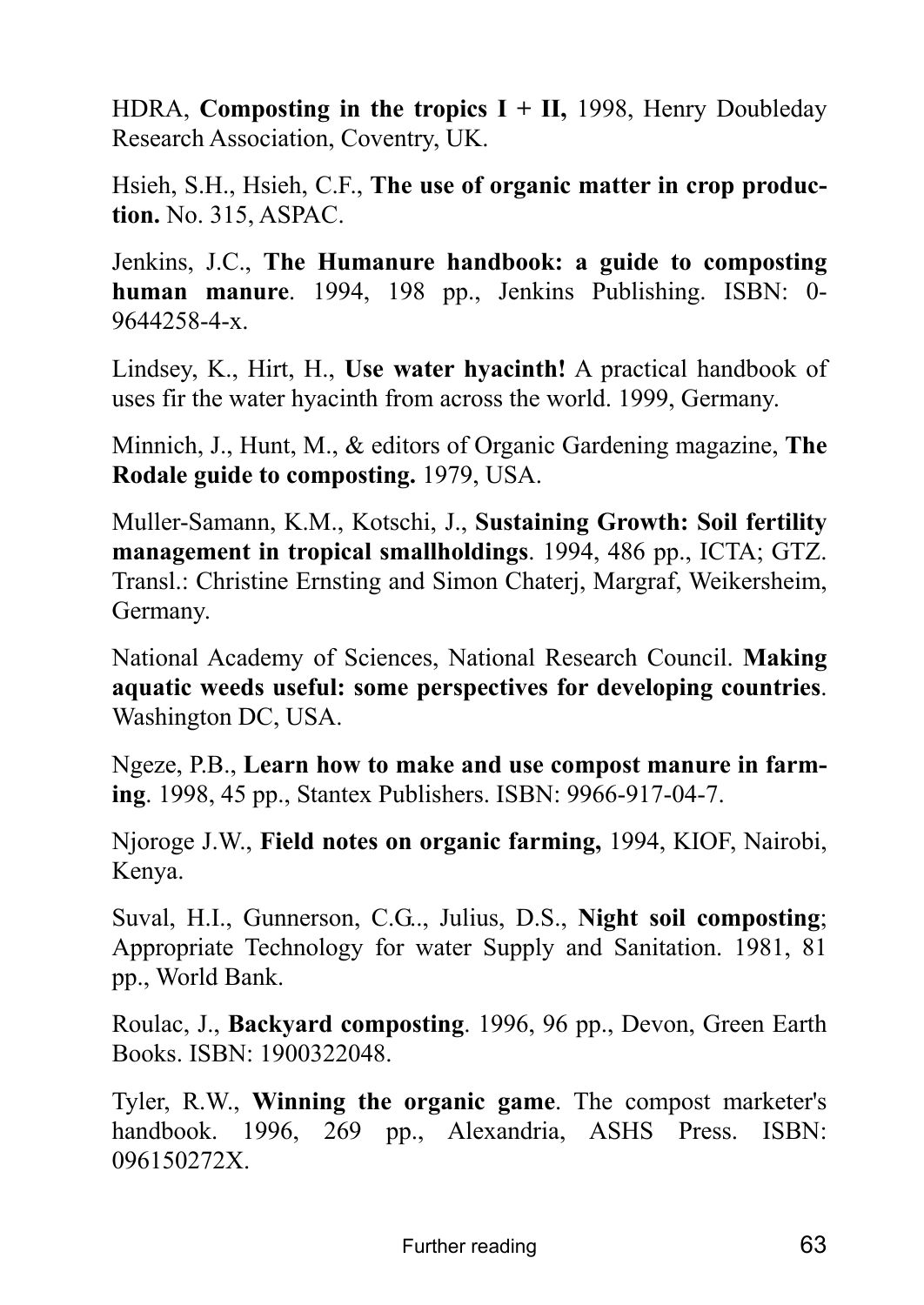HDRA, **Composting in the tropics I + II,** 1998, Henry Doubleday Research Association, Coventry, UK.

Hsieh, S.H., Hsieh, C.F., **The use of organic matter in crop production.** No. 315, ASPAC.

Jenkins, J.C., **The Humanure handbook: a guide to composting human manure**. 1994, 198 pp., Jenkins Publishing. ISBN: 0- 9644258-4-x.

Lindsey, K., Hirt, H., **Use water hyacinth!** A practical handbook of uses fir the water hyacinth from across the world. 1999, Germany.

Minnich, J., Hunt, M., & editors of Organic Gardening magazine, **The Rodale guide to composting.** 1979, USA.

Muller-Samann, K.M., Kotschi, J., **Sustaining Growth: Soil fertility management in tropical smallholdings**. 1994, 486 pp., ICTA; GTZ. Transl.: Christine Ernsting and Simon Chaterj, Margraf, Weikersheim, Germany.

National Academy of Sciences, National Research Council. **Making aquatic weeds useful: some perspectives for developing countries**. Washington DC, USA.

Ngeze, P.B., **Learn how to make and use compost manure in farming**. 1998, 45 pp., Stantex Publishers. ISBN: 9966-917-04-7.

Njoroge J.W., **Field notes on organic farming,** 1994, KIOF, Nairobi, Kenya.

Suval, H.I., Gunnerson, C.G.., Julius, D.S., **Night soil composting**; Appropriate Technology for water Supply and Sanitation. 1981, 81 pp., World Bank.

Roulac, J., **Backyard composting**. 1996, 96 pp., Devon, Green Earth Books. ISBN: 1900322048.

Tyler, R.W., **Winning the organic game**. The compost marketer's handbook. 1996, 269 pp., Alexandria, ASHS Press. ISBN: 096150272X.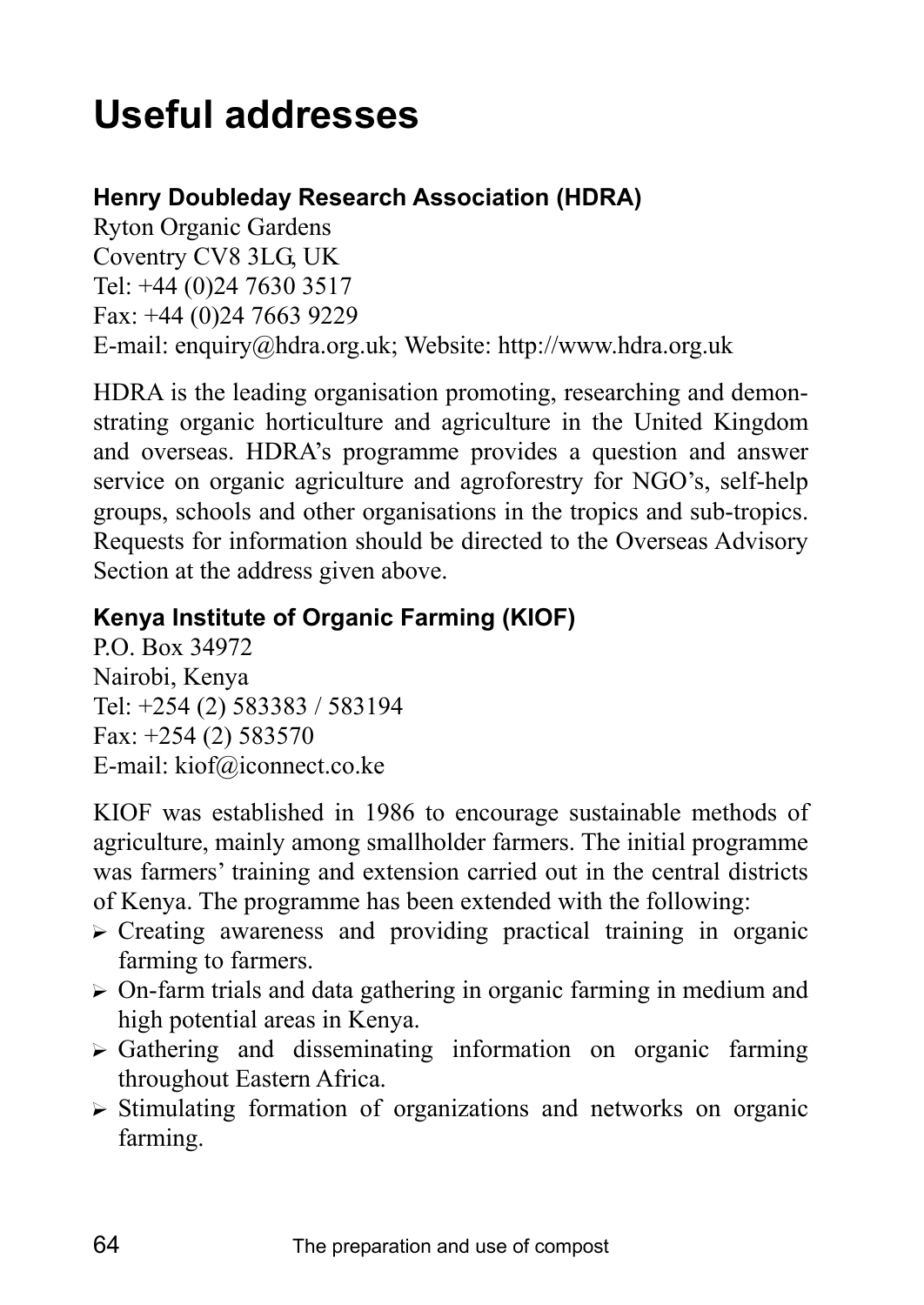# **Useful addresses**

## **Henry Doubleday Research Association (HDRA)**

Ryton Organic Gardens Coventry CV8 3LG, UK Tel: +44 (0)24 7630 3517 Fax: +44 (0)24 7663 9229 E-mail: enquiry@hdra.org.uk; Website: http://www.hdra.org.uk

HDRA is the leading organisation promoting, researching and demonstrating organic horticulture and agriculture in the United Kingdom and overseas. HDRAís programme provides a question and answer service on organic agriculture and agroforestry for NGO's, self-help groups, schools and other organisations in the tropics and sub-tropics. Requests for information should be directed to the Overseas Advisory Section at the address given above.

# **Kenya Institute of Organic Farming (KIOF)**

P.O. Box 34972 Nairobi, Kenya Tel: +254 (2) 583383 / 583194 Fax: +254 (2) 583570 E-mail: kiof@iconnect.co.ke

KIOF was established in 1986 to encourage sustainable methods of agriculture, mainly among smallholder farmers. The initial programme was farmers' training and extension carried out in the central districts of Kenya. The programme has been extended with the following:

- $\triangleright$  Creating awareness and providing practical training in organic farming to farmers.
- $\triangleright$  On-farm trials and data gathering in organic farming in medium and high potential areas in Kenya.
- $\triangleright$  Gathering and disseminating information on organic farming throughout Eastern Africa.
- $\triangleright$  Stimulating formation of organizations and networks on organic farming.